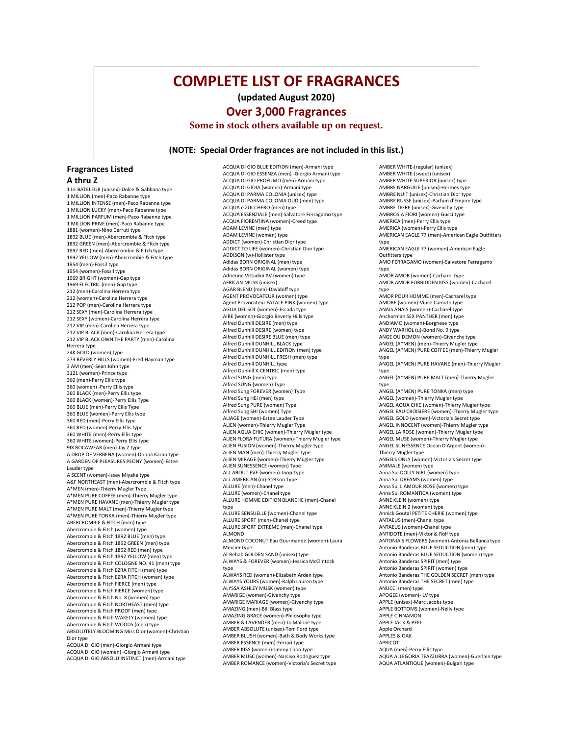## **COMPLETE LIST OF FRAGRANCES**

**(updated August 2020)** 

## **Over 3,000 Fragrances**

**Some in stock others available up on request.**

**(NOTE: Special Order fragrances are not included in this list.)** 

## **Fragrances Listed A thru Z**

1 LE BATELEUR (unisex)-Dolce & Gabbana type 1 MILLION (men)-Paco Rabanne type 1 MILLION INTENSE (men)-Paco Rabanne type 1 MILLION LUCKY (men)-Paco Rabanne type 1 MILLION PARFUM (men)-Paco Rabanne type 1 MILLION PRIVE (men)-Paco Rabanne type 1881 (women)-Nino Cerruti type 1892 BLUE (men)-Abercrombie & Fitch type 1892 GREEN (men)-Abercrombie & Fitch type 1892 RED (men)-Abercrombie & Fitch type 1892 YELLOW (men)-Abercrombie & Fitch type 1954 (men)-Fossil type 1954 (women)-Fossil type 1969 BRIGHT (women)-Gap type 1969 ELECTRIC (men)-Gap type 212 (men)-Carolina Herrera type 212 (women)-Carolina Herrera type 212 POP (men)-Carolina Herrera type 212 SEXY (men)-Carolina Herrera type 212 SEXY (women)-Carolina Herrera type 212 VIP (men)-Carolina Herrera type 212 VIP BLACK (men)-Carolina Herrera type 212 VIP BLACK OWN THE PARTY (men)-Carolina Herrera type 24K GOLD (women) type 273 BEVERLY HILLS (women)-Fred Hayman type 3 AM (men)-Sean John type 3121 (women)-Prince type 360 (men)-Perry Ellis type 360 (women) -Perry Ellis type 360 BLACK (men)-Perry Ellis type 360 BLACK (women)-Perry Ellis Type 360 BLUE (men)-Perry Ellis Type 360 BLUE (women)-Perry Ellis type 360 RED (men)-Perry Ellis type 360 RED (women)-Perry Ellis type 360 WHITE (men)-Perry Ellis type 360 WHITE (women)-Perry Ellis type 9IX ROCAWEAR (men)-Jay Z type A DROP OF VERBENA (women)-Donna Karan type A GARDEN OF PLEASURES PEONY (women)-Estee Lauder type A SCENT (women)-Issey Miyake type A&F NORTHEAST (men)-Abercrombie & Fitch type A\*MEN (men)-Thierry Mugler Type A\*MEN PURE COFFEE (men)-Thierry Mugler type A\*MEN PURE HAVANE (men)-Thierry Mugler type A\*MEN PURE MALT (men)-Thierry Mugler type A\*MEN PURE TONKA (men)-Thierry Mugler type ABERCROMBIE & FITCH (men) type Abercrombie & Fitch (women) type Abercrombie & Fitch 1892 BLUE (men) type Abercrombie & Fitch 1892 GREEN (men) type Abercrombie & Fitch 1892 RED (men) type Abercrombie & Fitch 1892 YELLOW (men) type Abercrombie & Fitch COLOGNE NO. 41 (men) type Abercrombie & Fitch EZRA FITCH (men) type Abercrombie & Fitch EZRA FITCH (women) type Abercrombie & Fitch FIERCE (men) type Abercrombie & Fitch FIERCE (women) type Abercrombie & Fitch No. 8 (women) type Abercrombie & Fitch NORTHEAST (men) type Abercrombie & Fitch PROOF (men) type Abercrombie & Fitch WAKELY (women) type Abercrombie & Fitch WOODS (men) type ABSOLUTELY BLOOMING Miss Dior (women)-Christian Dior type ACQUA DI GIO (men)-Giorgio Armani type ACQUA DI GIO (women) -Giorgio Armani type

ACQUA DI GIO ABSOLU INSTINCT (men)-Armani type

ACQUA DI GIO BLUE EDITION (men)-Armani type ACQUA DI GIO ESSENZA (men) -Giorgio Armani type ACQUA DI GIO PROFUMO (men)-Armani type ACQUA DI GIOIA (women)-Armani type ACQUA DI PARMA COLONIA (unisex) type ACQUA DI PARMA COLONIA OUD (men) type ACQUA e ZUCCHERO (men) type ACQUA ESSENZIALE (men)-Salvatore Ferragamo type ACQUA FIORENTINA (women)-Creed type ADAM LEVINE (men) type ADAM LEVINE (women) type ADDICT (women)-Christian Dior type ADDICT TO LIFE (women)-Christian Dior type ADDISON (w)-Hollister type Adidas BORN ORIGINAL (men) type Adidas BORN ORIGINAL (women) type Adrienne Vittadini AV (women) type AFRICAN MUSK (unisex) AGAR BLEND (men)-Davidoff type AGENT PROVOCATEUR (women) type Agent Provocateur FATALE PINK (women) type AGUA DEL SOL (women)-Escada type AIRE (women)-Giorgio Beverly Hills type Alfred Dunhill DESIRE (men) type Alfred Dunhill DESIRE (women) type Alfred Dunhill DESIRE BLUE (men) type Alfred Dunhill DUNHILL BLACK type Alfred Dunhill DUNHILL EDITION (men) type Alfred Dunhill DUNHILL FRESH (men) type Alfred Dunhill DUNHILL type Alfred Dunhill X-CENTRIC (men) type Alfred SUNG (men) type Alfred SUNG (women) Type Alfred Sung FOREVER (women) Type Alfred Sung HEI (men) type Alfred Sung PURE (women) Type Alfred Sung SHI (women) Type ALIAGE (women)-Estee Lauder Type ALIEN (women)-Thierry Mugler Type ALIEN AQUA CHIC (women)-Thierry Mugler type ALIEN FLORA FUTURA (women)-Thierry Mugler type ALIEN FUSION (women)-Thierry Mugler type ALIEN MAN (men)-Thierry Mugler type ALIEN MIRAGE (women)-Thierry Mugler type ALIEN SUNESSENCE (women) Type ALL ABOUT EVE (women)-Joop Type ALL AMERICAN (m)-Stetson Type ALLURE (men)-Chanel type ALLURE (women)-Chanel type ALLURE HOMME EDITION BLANCHE (men)-Chanel type ALLURE SENSUELLE (women)-Chanel type ALLURE SPORT (men)-Chanel type ALLURE SPORT EXTREME (men)-Chanel type ALMOND ALMOND COCONUT Eau Gourmande (women)-Laura Mercier type Al-Rehab GOLDEN SAND (unisex) type ALWAYS & FOREVER (women)-Jessica McClintock type ALWAYS RED (women)-Elizabeth Arden type ALWAYS YOURS (women)-Ralph Lauren type ALYSSA ASHLEY MUSK (women) type AMARIGE (women)-Givenchy type AMARIGE MARIAGE (women)-Givenchy type AMAZING (men)-Bill Blass type AMAZING GRACE (women)-Philosophy type AMBER & LAVENDER (men)-Jo Malone type AMBER ABSOLUTE (unisex)-Tom Ford type AMBER BLUSH (women)-Bath & Body Works type AMBER ESSENCE (men)-Ferrari type AMBER KISS (women)-Jimmy Choo type AMBER MUSC (women)-Narciso Rodriguez type AMBER ROMANCE (women)-Victoria's Secret type

AMBER WHITE-(regular) (unisex) AMBER WHITE-(sweet) (unisex) AMBER WHITE SUPERIOR (unisex) type AMBRE NARGUILE (unisex)-Hermes type AMBRE NUIT (unisex)-Christian Dior type AMBRE RUSSE (unisex)-Parfum d'Empire type AMBRE TIGRE (unisex)-Givenchy type AMBROSIA FIORI (women)-Gucci type AMERICA (men)-Perry Ellis type AMERICA (women)-Perry Ellis type AMERICAN EAGLE 77 (men)-American Eagle Outfitters type AMERICAN EAGLE 77 (women)-American Eagle Outfitters type AMO FERRAGAMO (women)-Salvatore Ferragamo type AMOR AMOR (women)-Cacharel type AMOR AMOR FORBIDDEN KISS (women)-Cacharel type AMOR POUR HOMME (men)-Cacharel type AMORE (women)-Vince Camuto type ANAIS ANAIS (women)-Cacharel type Anchorman SEX PANTHER (men) type ANDIAMO (women)-Borghese type ANDY WARHOL (u)-Bond No. 9 type ANGE OU DEMON (women)-Givenchy type ANGEL (A\*MEN) (men)-Thierry Mugler type ANGEL (A\*MEN) PURE COFFEE (men)-Thierry Mugler type ANGEL (A\*MEN) PURE HAVANE (men)-Thierry Mugler type<br>ANGEL (A\*MEN) PURE MALT (men)-Thierry Mugler type ANGEL (A\*MEN) PURE TONKA (men) type ANGEL (women)-Thierry Mugler type ANGEL AQUA CHIC (women)-Thierry Mugler type ANGEL EAU CROISIERE (women)-Thierry Mugler type ANGEL GOLD (women)-Victoria's Secret type ANGEL INNOCENT (women)-Thierry Mugler type ANGEL LA ROSE (women)-Thierry Mugler type ANGEL MUSE (women)-Thierry Mugler type ANGEL SUNESSENCE Ocean D'Argent (women)- Thierry Mugler type ANGELS ONLY (women)-Victoria's Secret type ANIMALE (women) type Anna Sui DOLLY GIRL (women) type Anna Sui DREAMS (women) type Anna Sui L'AMOUR ROSE (women) type Anna Sui ROMANTICA (women) type ANNE KLEIN (women) type ANNE KLEIN 2 (women) type Annick Goutal PETITE CHERIE (women) type ANTAEUS (men)-Chanel type ANTAEUS (women)-Chanel type ANTIDOTE (men)-Viktor & Rolf type ANTONIA'S FLOWERS (women)-Antonia Bellanca type Antonio Banderas BLUE SEDUCTION (men) type Antonio Banderas BLUE SEDUCTION (women) type Antonio Banderas SPIRIT (men) type Antonio Banderas SPIRIT (women) type Antonio Banderas THE GOLDEN SECRET (men) type Antonio Banderas THE SECRET (men) type ANUCCI (men) type APOGEE (women)- LV type APPLE (unisex)-Marc Jacobs type APPLE BOTTOMS (women)-Nelly type APPLE CINNAMON APPLE JACK & PEEL Apple Orchard APPLES & OAK APRICOT AQUA (men)-Perry Ellis type AQUA ALLEGORIA TEAZZURRA (women)-Guerlain type AQUA ATLANTIQUE (women)-Bulgari type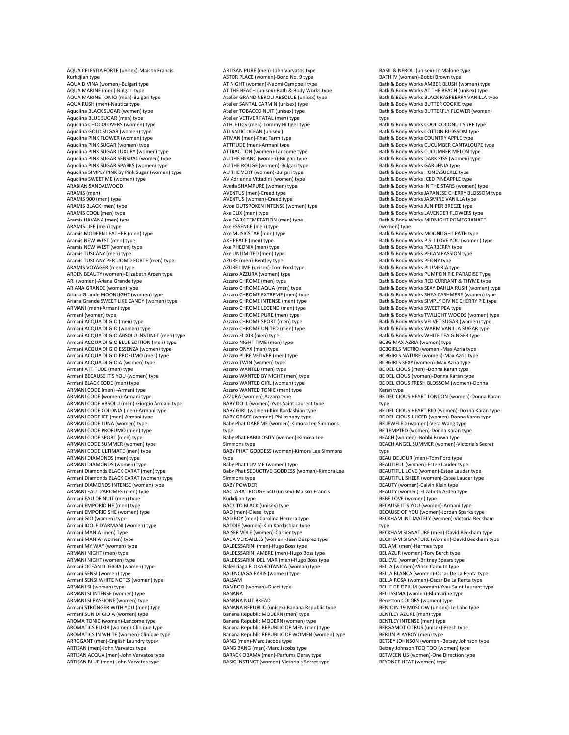AQUA CELESTIA FORTE (unisex)-Maison Francis Kurkdjian type AQUA DIVINA (women)-Bulgari type AQUA MARINE (men)-Bulgari type AQUA MARINE TONIQ (men)-Bulgari type AQUA RUSH (men)-Nautica type Aquolina BLACK SUGAR (women) type Aquolina BLUE SUGAR (men) type Aquolina CHOCOLOVERS (women) type Aquolina GOLD SUGAR (women) type Aquolina PINK FLOWER (women) type Aquolina PINK SUGAR (women) type Aquolina PINK SUGAR LUXURY (women) type Aquolina PINK SUGAR SENSUAL (women) type Aquolina PINK SUGAR SPARKS (women) type Aquolina SIMPLY PINK by Pink Sugar (women) type Aquolina SWEET ME (women) type ARABIAN SANDALWOOD ARAMIS (men) ARAMIS 900 (men) type ARAMIS BLACK (men) type ARAMIS COOL (men) type Aramis HAVANA (men) type ARAMIS LIFE (men) type Aramis MODERN LEATHER (men) type Aramis NEW WEST (men) type Aramis NEW WEST (women) type Aramis TUSCANY (men) type Aramis TUSCANY PER UOMO FORTE (men) type ARAMIS VOYAGER (men) type ARDEN BEAUTY (women)-Elizabeth Arden type ARI (women)-Ariana Grande type ARIANA GRANDE (women) type Ariana Grande MOONLIGHT (women) type Ariana Grande SWEET LIKE CANDY (women) type ARMANI (men)-Armani type Armani (women) type Armani ACQUA DI GIO (men) type Armani ACQUA DI GIO (women) type Armani ACQUA DI GIO ABSOLU INSTINCT (men) type Armani ACQUA DI GIO BLUE EDITION (men) type Armani ACQUA DI GIO ESSENZA (women) type Armani ACQUA DI GIO PROFUMO (men) type Armani ACQUA DI GIOIA (women) type Armani ATTITUDE (men) type Armani BECAUSE IT'S YOU (women) type Armani BLACK CODE (men) type ARMANI CODE (men) -Armani type ARMANI CODE (women)-Armani type ARMANI CODE ABSOLU (men)-Giorgio Armani type ARMANI CODE COLONIA (men)-Armani type ARMANI CODE ICE (men)-Armani type ARMANI CODE LUNA (women) type ARMANI CODE PROFUMO (men) type ARMANI CODE SPORT (men) type ARMANI CODE SUMMER (women) type ARMANI CODE ULTIMATE (men) type ARMANI DIAMONDS (men) type ARMANI DIAMONDS (women) type Armani Diamonds BLACK CARAT (men) type Armani Diamonds BLACK CARAT (women) type Armani DIAMONDS INTENSE (women) type ARMANI EAU D'AROMES (men) type Armani EAU DE NUIT (men) type Armani EMPORIO HE (men) type Armani EMPORIO SHE (women) type Armani GIO (women) type Armani IDOLE D'ARMANI (women) type Armani MANIA (men) Type Armani MANIA (women) type Armani MY WAY (women) type ARMANI NIGHT (men) type ARMANI NIGHT (women) type Armani OCEAN DI GIOIA (women) type Armani SENSI (women) type Armani SENSI WHITE NOTES (women) type ARMANI SI (women) type ARMANI SI INTENSE (women) type ARMANI SI PASSIONE (women) type Armani STRONGER WITH YOU (men) type Armani SUN DI GIOIA (women) type AROMA TONIC (women)-Lancome type AROMATICS ELIXIR (women)-Clinique type AROMATICS IN WHITE (women)-Clinique type ARROGANT (men)-English Laundry type< ARTISAN (men)-John Varvatos type ARTISAN ACQUA (men)-John Varvatos type ARTISAN BLUE (men)-John Varvatos type

ARTISARY FORE (men) Some varvaces cypi AT NIGHT (women)-Naomi Campbell type AT THE BEACH (unisex)-Bath & Body Works type Atelier GRAND NEROLI ABSOLUE (unisex) type Atelier SANTAL CARMIN (unisex) type Atelier TOBACCO NUIT (unisex) type Atelier VETIVER FATAL (men) type ATHLETICS (men)-Tommy Hilfiger type ATLANTIC OCEAN (unisex ) ATMAN (men)-Phat Farm type ATTITUDE (men)-Armani type ATTRACTION (women)-Lancome type AU THE BLANC (women)-Bulgari type AU THE ROUGE (women)-Bulgari type AU THE VERT (women)-Bulgari type AV Adrienne Vittadini (women) type Aveda SHAMPURE (women) type AVENTUS (men)-Creed type AVENTUS (women)-Creed type Avon OUTSPOKEN INTENSE (women) type Axe CLIX (men) type Axe DARK TEMPTATION (men) type Axe ESSENCE (men) type Axe MUSICSTAR (men) type AXE PEACE (men) type Axe PHEONIX (men) type Axe UNLIMITED (men) type AZURE (men)-Bentley type AZURE LIME (unisex)-Tom Ford type Azzaro AZZURA (women) type Azzaro CHROME (men) type Azzaro CHROME AQUA (men) type Azzaro CHROME EXTREME (men) type Azzaro CHROME INTENSE (men) type Azzaro CHROME LEGEND (men) type Azzaro CHROME PURE (men) type Azzaro CHROME FORE (men) type Azzaro CHROME UNITED (men) type Azzaro ELIXIR (men) type Azzaro NIGHT TIME (men) type Azzaro ONYX (men) type Azzaro PURE VETIVER (men) type Azzaro TWIN (women) type Azzaro WANTED (men) type Azzaro WANTED BY NIGHT (men) type Azzaro WANTED GIRL (women) type Azzaro WANTED TONIC (men) type AZZURA (women)-Azzaro type BABY DOLL (women)-Yves Saint Laurent type BABY GIRL (women)-Kim Kardashian type BABY GRACE (women)-Philosophy type Baby Phat DARE ME (women)-Kimora Lee Simmons type Baby Phat FABULOSITY (women)-Kimora Lee Simmons type BABY PHAT GODDESS (women)-Kimora Lee Simmons type Baby Phat LUV ME (women) type Baby Phat SEDUCTIVE GODDESS (women)-Kimora Lee Simmons type BABY POWDER BACCARAT ROUGE 540 (unisex)-Maison Francis Kurkdjian type BACK TO BLACK (unisex) type BAD (men)-Diesel type BAD BOY (men)-Carolina Herrera type BADDIE (women)-Kim Kardashian type BAISER VOLE (women)-Cartier type BAL A VERSAILLES (women)-Jean Desprez type BALDESSARINI (men)-Hugo Boss type BALDESSARINI AMBRE (men)-Hugo Boss type BALDESSARINI DEL MAR (men)-Hugo Boss type Balenciaga FLORABOTANICA (woman) type BALENCIAGA PARIS (women) type BALSAM BAMBOO (women)-Gucci type BANANA BANANA NUT BREAD BANANA REPUBLIC (unisex)-Banana Republic type Banana Republic MODERN (men) type Banana Republic MODERN (women) type Banana Republic REPUBLIC OF MEN (men) type Banana Republic REPUBLIC OF WOMEN (women) type BANG (men)-Marc Jacobs type BANG BANG (men)-Marc Jacobs type BARACK OBAMA (men)-Parfums Deray type BASIC INSTINCT (women)-Victoria's Secret type

ARTISAN PURE (men)-John Varvatos type

BASIL & NEROLI (unisex)-Jo Malone type BATH IV (women)-Bobbi Brown type Bath & Body Works AMBER BLUSH (women) type Bath & Body Works AT THE BEACH (unisex) type Bath & Body Works BLACK RASPBERRY VANILLA type Bath & Body Works BUTTER COOKIE type Bath & Body Works BUTTERFLY FLOWER (women) type Bath & Body Works COOL COCONUT SURF type Bath & Body Works COTTON BLOSSOM type Bath & Body Works COUNTRY APPLE type Bath & Body Works CUCUMBER CANTALOUPE type Bath & Body Works CUCUMBER MELON type Bath & Body Works DARK KISS (women) type Bath & Body Works GARDENIA type Bath & Body Works HONEYSUCKLE type Bath & Body Works ICED PINEAPPLE type Bath & Body Works IN THE STARS (women) type Bath & Body Works JAPANESE CHERRY BLOSSOM type Bath & Body Works JASMINE VANILLA type Bath & Body Works JUNIPER BREEZE type Bath & Body Works LAVENDER FLOWERS type Bath & Body Works MIDNIGHT POMEGRANATE (women) type Bath & Body Works MOONLIGHT PATH type Bath & Body Works P.S. I LOVE YOU (women) type Bath & Body Works PEARBERRY type Bath & Body Works PECAN PASSION type Bath & Body Works PEONY type Bath & Body Works PLUMERIA type Bath & Body Works PUMPKIN PIE PARADISE Type Bath & Body Works RED CURRANT & THYME type Bath & Body Works SEXY DAHLIA RUSH (women) type Bath & Body Works SHEA CASHMERE (women) type Bath & Body Works SIMPLY DIVINE CHERRY PIE type Bath & Body Works SWEET PEA type Bath & Body Works TWILIGHT WOODS (women) type Bath & Body Works VELVET SUGAR (women) type Bath & Body Works WARM VANILLA SUGAR type Bath & Body Works WHITE TEA GINGER type BCBG MAX AZRIA (women) type BCBGIRLS METRO (women)-Max Azria type BCBGIRLS NATURE (women)-Max Azria type BCBGIRLS SEXY (women)-Max Azria type BE DELICIOUS (men) -Donna Karan type BE DELICIOUS (women)-Donna Karan type BE DELICIOUS FRESH BLOSSOM (women)-Donna Karan type BE DELICIOUS HEART LONDON (women)-Donna Karan type BE DELICIOUS HEART RIO (women)-Donna Karan type BE DELICIOUS JUICED (women)-Donna Karan type BE JEWELED (women)-Vera Wang type BE TEMPTED (women)-Donna Karan type BEACH (women) -Bobbi Brown type BEACH ANGEL SUMMER (women)-Victoria's Secret type BEAU DE JOUR (men)-Tom Ford type BEAUTIFUL (women)-Estee Lauder type BEAUTIFUL LOVE (women)-Estee Lauder type BEAUTIFUL SHEER (women)-Estee Lauder type BEAUTY (women)-Calvin Klein type BEAUTY (women)-Elizabeth Arden type BEBE LOVE (women) type BECAUSE IT'S YOU (women)-Armani type BECAUSE OF YOU (women)-Jordan Sparks type BECKHAM INTIMATELY (women)-Victoria Beckham type BECKHAM SIGNATURE (men)-David Beckham type BECKHAM SIGNATURE (women)-David Beckham type BEL AMI (men)-Hermes type BEL AZUR (women)-Tory Burch type BELIEVE (women)-Britney Spears type BELLA (women)-Vince Camuto type BELLA BLANCA (women)-Oscar De La Renta type BELLA ROSA (women)-Oscar De La Renta type BELLE DE OPIUM (women)-Yves Saint Laurent type BELLISSIMA (women)-Blumarine type Benetton COLORS (women) type BENJOIN 19 MOSCOW (unisex)-Le Labo type BENTLEY AZURE (men) type BENTLEY INTENSE (men) type BERGAMOT CITRUS (unisex)-Fresh type BERLIN PLAYBOY (men) type BETSEY JOHNSON (women)-Betsey Johnson type Betsey Johnson TOO TOO (women) type BETWEEN US (women)-One Direction type BEYONCE HEAT (women) type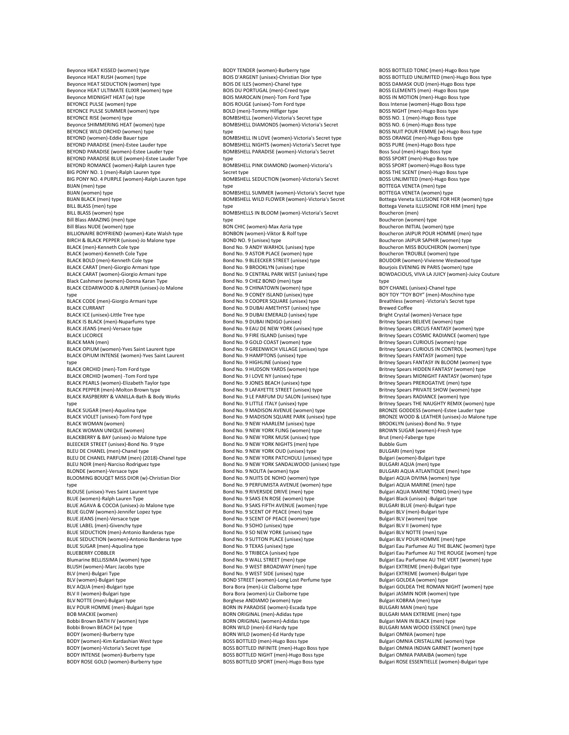Beyonce HEAT KISSED (women) type Beyonce HEAT RUSH (women) type Beyonce HEAT SEDUCTION (women) type Beyonce HEAT ULTIMATE ELIXIR (women) type Beyonce MIDNIGHT HEAT (w) type BEYONCE PULSE (women) type BEYONCE PULSE SUMMER (women) type BEYONCE RISE (women) type Beyonce SHIMMERING HEAT (women) type BEYONCE WILD ORCHID (women) type BEYOND (women)-Eddie Bauer type BEYOND PARADISE (men)-Estee Lauder type BEYOND PARADISE (women)-Estee Lauder type BEYOND PARADISE BLUE (women)-Estee Lauder Type BEYOND ROMANCE (women)-Ralph Lauren type BIG PONY NO. 1 (men)-Ralph Lauren type BIG PONY NO. 4 PURPLE (women)-Ralph Lauren type BIJAN (men) type BIJAN (women) type BIJAN BLACK (men) type BILL BLASS (men) type BILL BLASS (women) type Bill Blass AMAZING (men) type Bill Blass NUDE (women) type BILLIONAIRE BOYFRIEND (women)-Kate Walsh type BIRCH & BLACK PEPPER (unisex)-Jo Malone type BLACK (men)-Kenneth Cole type BLACK (women)-Kenneth Cole Type BLACK ROLD (men)-Kenneth Cole type BLACK CARAT (men)-Giorgio Armani type BLACK CARAT (women)-Giorgio Armani type Black Cashmere (women)-Donna Karan Type Black Casilinere (women) Donne norson Type type BLACK CODE (men)-Giorgio Armani type BLACK CURRANT BLACK ICE (unisex)-Little Tree type BLACK IS BLACK (men)-Nuparfums type BLACK JEANS (men)-Versace type BLACK LICORICE BLACK MAN (men) BLACK OPIUM (women)-Yves Saint Laurent type BLACK OPIUM INTENSE (women)-Yves Saint Laurent type BLACK ORCHID (men)-Tom Ford type BLACK ORCHID (women) -Tom Ford type BLACK PEARLS (women)-Elizabeth Taylor type BLACK PEPPER (men)-Molton Brown type BLACK RASPBERRY & VANILLA-Bath & Body Works type BLACK SUGAR (men)-Aquolina type BLACK VIOLET (unisex)-Tom Ford type BLACK WOMAN (women) BLACK WOMAN UNIQUE (women) BLACKBERRY & BAY (unisex)-Jo Malone type BLEECKER STREET (unisex)-Bond No. 9 type BLEU DE CHANEL (men)-Chanel type BLEU DE CHANEL PARFUM (men) (2018)-Chanel type BLEU NOIR (men)-Narciso Rodriguez type BLONDE (women)-Versace type BLOOMING BOUQET MISS DIOR (w)-Christian Dior type BLOUSE (unisex)-Yves Saint Laurent type BLUE (women)-Ralph Lauren Type BLUE AGAVA & COCOA (unisex)-Jo Malone type BLUE GLOW (women)-Jennifer Lopez type BLUE JEANS (men)-Versace type BLUE LABEL (men)-Givenchy type BLUE SEDUCTION (men)-Antonio Banderas type BLUE SEDUCTION (women)-Antonio Banderas type BLUE SUGAR (men)-Aquolina type BLUEBERRY COBBLER Blumarine BELLISSIMA (women) type BLUSH (women)-Marc Jacobs type BLV (men)-Bulgari Type BLV (women)-Bulgari type BLV AQUA (men)-Bulgari type BLV II (women)-Bulgari type BLV NOTTE (men)-Bulgari type BLV POUR HOMME (men)-Bulgari type BOB MACKIE (women) Bobbi Brown BATH IV (women) type Bobbi Brown BEACH (w) type BODY (women)-Burberry type BODY (women)-Kim Kardashian West type BODY (women)-Victoria's Secret type BODY INTENSE (women)-Burberry type BODY ROSE GOLD (women)-Burberry type

BODY TENDER (women)-Burberry type BOIS D'ARGENT (unisex)-Christian Dior type BOIS DE ILES (women)-Chanel type BOIS DU PORTUGAL (men)-Creed type BOIS MAROCAIN (men)-Tom Ford Type BOIS ROUGE (unisex)-Tom Ford type BOLD (men)-Tommy Hilfiger type BOMBSHELL (women)-Victoria's Secret type BOMBSHELL DIAMONDS (women)-Victoria's Secret type BOMBSHELL IN LOVE (women)-Victoria's Secret type BOMBSHELL NIGHTS (women)-Victoria's Secret type BOMBSHELL PARADISE (women)-Victoria's Secret type BOMBSHELL PINK DIAMOND (women)-Victoria's Secret type BOMBSHELL SEDUCTION (women)-Victoria's Secret type BOMBSHELL SUMMER (women)-Victoria's Secret type BOMBSHELL WILD FLOWER (women)-Victoria's Secret type BOMBSHELLS IN BLOOM (women)-Victoria's Secret type BON CHIC (women)-Max Azria type BONBON (women)-Viktor & Rolf type BOND NO. 9 (unisex) type Bond No. 9 ANDY WARHOL (unisex) type Bond No. 9 ASTOR PLACE (women) type Bond No. 9 BLEECKER STREET (unisex) type Bond No. 9 BROOKLYN (unisex) type Bond No. 9 CENTRAL PARK WEST (unisex) type Bond No. 9 CHEZ BOND (men) type Bond No. 9 CHINATOWN (women) type Bond No. 9 CONEY ISLAND (unisex) type Bond No. 9 COOPER SQUARE (unisex) type Bond No. 9 DUBAI AMETHYST (unisex) type Bond No. 9 DUBAI EMERALD (unisex) type Bond No. 9 DUBAI INDIGO (unisex) Bond No. 9 EAU DE NEW YORK (unisex) type Bond No. 9 FIRE ISLAND (unisex) type Bond No. 9 GOLD COAST (women) type Bond No. 9 GREENWICH VILLAGE (unisex) type Bond No. 9 HAMPTONS (unisex) type Bond No. 9 HIGHLINE (unisex) type Bond No. 9 HUDSON YARDS (women) type Bond No. 9 I LOVE NY (unisex) type Bond No. 9 JONES BEACH (unisex) type Bond No. 9 LAFAYETTE STREET (unisex) type Bond No. 9 LE PARFUM DU SALON (unisex) type Bond No. 9 LITTLE ITALY (unisex) type Bond No. 9 MADISON AVENUE (women) type Bond No. 9 MADISON SQUARE PARK (unisex) type Bond No. 9 NEW HAARLEM (unisex) type Bond No. 9 NEW YORK FLING (women) type Bond No. 9 NEW YORK MUSK (unisex) type Bond No. 9 NEW YORK NIGHTS (men) type Bond No. 9 NEW YORK OUD (unisex) type Bond No. 9 NEW YORK PATCHOULI (unisex) type Bond No. 9 NEW YORK SANDALWOOD (unisex) type Bond No. 9 NOLITA (women) type Bond No. 9 NUITS DE NOHO (women) type Bond No. 9 PERFUMISTA AVENUE (women) type Bond No. 9 RIVERSIDE DRIVE (men) type Bond No. 9 SAKS EN ROSE (women) type Bond No. 9 SAKS FIFTH AVENUE (women) type Bond No. 9 SCENT OF PEACE (men) type Bond No. 9 SCENT OF PEACE (women) type Bond No. 9 SOHO (unisex) type Bond No. 9 SO NEW YORK (unisex) type Bond No. 9 SUTTON PLACE (unisex) type Bond No. 9 TEXAS (unisex) type Bond No. 9 TRIBECA (unisex) type Bond No. 9 WALL STREET (men) type Bond No. 9 WEST BROADWAY (men) type Bond No. 9 WEST SIDE (unisex) type BOND STREET (women)-Long Lost Perfume type Bora Bora (men)-Liz Claiborne type Bora Bora (women)-Liz Claiborne type Borghese ANDIAMO (women) type BORN IN PARADISE (women)-Escada type BORN ORIGINAL (men)-Adidas type BORN ORIGINAL (women)-Adidas type BORN WILD (men)-Ed Hardy type BORN WILD (women)-Ed Hardy type BOSS BOTTLED (men)-Hugo Boss type BOSS BOTTLED INFINITE (men)-Hugo Boss type BOSS BOTTLED NIGHT (men)-Hugo Boss type BOSS BOTTLED SPORT (men)-Hugo Boss type

BOSS BOTTLED TONIC (men)-Hugo Boss type BOSS BOTTLED UNLIMITED (men)-Hugo Boss type BOSS DAMASK OUD (men)-Hugo Boss type BOSS ELEMENTS (men) -Hugo Boss type BOSS IN MOTION (men)-Hugo Boss type Boss Intense (women)-Hugo Boss type BOSS NIGHT (men)-Hugo Boss type BOSS NO. 1 (men)-Hugo Boss type BOSS NO. 6 (men)-Hugo Boss type BOSS NUIT POUR FEMME (w)-Hugo Boss type BOSS ORANGE (men)-Hugo Boss type BOSS PURE (men)-Hugo Boss type Boss Soul (men)-Hugo Boss type BOSS SPORT (men)-Hugo Boss type BOSS SPORT (women)-Hugo Boss type BOSS THE SCENT (men)-Hugo Boss type BOSS UNLIMITED (men)-Hugo Boss type BOTTEGA VENETA (men) type BOTTEGA VENETA (women) type Bottega Veneta ILLUSIONE FOR HER (women) type Bottega Veneta ILLUSIONE FOR HIM (men) type Boucheron (men) Boucheron (women) type Boucheron INITIAL (women) type Boucheron JAIPUR POUR HOMME (men) type Boucheron JAIPUR SAPHIR (women) type Boucheron MISS BOUCHERON (women) type Boucheron TROUBLE (women) type BOUDOIR (women)-Vivienne Westwood type Bourjois EVENING IN PARIS (women) type BOWDACIOUS, VIVA LA JUICY (women)-Juicy Couture type BOY CHANEL (unisex)-Chanel type BOY TOY "TOY BOY" (men)-Moschino type Breathless (women) -Victoria's Secret type Brewed Coffee Bright Crystal (women)-Versace type Britney Spears BELIEVE (women) type Britney Spears CIRCUS FANTASY (women) type Britney Spears COSMIC RADIANCE (women) type Britney Spears CURIOUS (women) type Britney Spears CURIOUS IN CONTROL (women) type Britney Spears FANTASY (women) type Britney Spears FANTASY IN BLOOM (women) type Britney Spears HIDDEN FANTASY (women) type Britney Spears MIDNIGHT FANTASY (women) type Britney Spears Milbritant Partney (Won Britney Spears PRIVATE SHOW (women) type Britney Spears RADIANCE (women) type Britney Spears THE NAUGHTY REMIX (women) type BRONZE GODDESS (women)-Estee Lauder type BRONZE WOOD & LEATHER (unisex)-Jo Malone type BROOKLYN (unisex)-Bond No. 9 type BROWN SUGAR (women)-Fresh type Brut (men)-Faberge type Bubble Gum BULGARI (men) type Bulgari (women)-Bulgari type BULGARI AQUA (men) type BULGARI AQUA ATLANTIQUE (men) type Bulgari AQUA DIVINA (women) type Bulgari AQUA MARINE (men) type Bulgari AQUA MARINE TONIQ (men) type Bulgari Black (unisex) -Bulgari type BULGARI BLUE (men)-Bulgari type Bulgari BLV (men)-Bulgari type Bulgari BLV (women) type Bulgari BLV II (women) type Bulgari BLV NOTTE (men) type Bulgari BLV POUR HOMME (men) type Bulgari Eau Parfumee AU THE BLANC (women) type Bulgari Eau Parfumee AU THE ROUGE (women) type Bulgari Eau Parfumee AU THE VERT (women) type Bulgari EXTREME (men)-Bulgari type Bulgari EXTREME (women)-Bulgari type Bulgari GOLDEA (women) type Bulgari GOLDEA THE ROMAN NIGHT (women) type Bulgari JASMIN NOIR (women) type Bulgari KOBRAA (men) type BULGARI MAN (men) type BULGARI MAN EXTREME (men) type Bulgari MAN IN BLACK (men) type BULGARI MAN WOOD ESSENCE (men) type Bulgari OMNIA (women) type Bulgari OMNIA CRISTALLINE (women) type Bulgari OMNIA INDIAN GARNET (women) type Bulgari OMNIA PARAIBA (women) type Bulgari ROSE ESSENTIELLE (women)-Bulgari type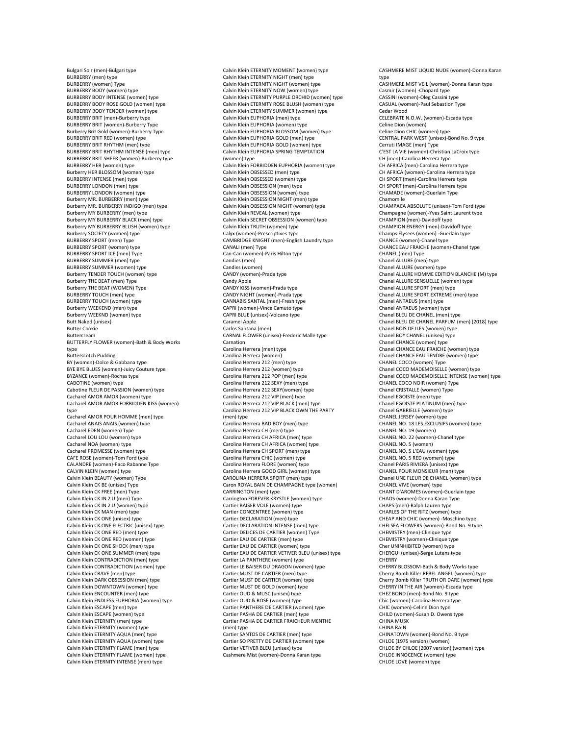Bulgari Soir (men)-Bulgari type BURBERRY (men) type BURBERRY (women) Type BURBERRY BODY (women) type BURBERRY BODY INTENSE (women) type BURBERRY BODY ROSE GOLD (women) type BURBERRY BODY TENDER (women) type BURBERRY BRIT (men)-Burberry type BURBERRY BRIT (women)-Burberry Type Burberry Brit Gold (women)-Burberry Type BURBERRY BRIT RED (women) type BURBERRY BRIT RHYTHM (men) type BURBERRY BRIT RHYTHM INTENSE (men) type BURBERRY BRIT SHEER (women)-Burberry type BURBERRY HER (women) type Burberry HER BLOSSOM (women) type BURBERRY INTENSE (men) type BURBERRY LONDON (men) type BURBERRY LONDON (women) type Burberry MR. BURBERRY (men) type Burberry MR. BURBERRY INDIGO (men) type Burberry MY BURBERRY (men) type Burberry MY BURBERRY BLACK (men) type Burberry MY BURBERRY BLUSH (women) type Burberry SOCIETY (women) type BURBERRY SPORT (men) Type BURBERRY SPORT (women) type BURBERRY SPORT ICE (men) Type BURBERRY SUMMER (men) type BURBERRY SUMMER (women) type Burberry TENDER TOUCH (women) type Burberry THE BEAT (men) Type Burberry THE BEAT (WOMEN) Type BURBERRY TOUCH (men) type BURBERRY TOUCH (women) type Burberry WEEKEND (men) type Burberry WEEKND (women) type Butt Naked (unisex) Butter Cookie Buttercream BUTTERFLY FLOWER (women)-Bath & Body Works type Butterscotch Pudding BY (women)-Dolce & Gabbana type BYE BYE BLUES (women)-Juicy Couture type BYZANCE (women)-Rochas type CABOTINE (women) type Cabotine FLEUR DE PASSION (women) type Cacharel AMOR AMOR (women) type Cacharel AMOR AMOR FORBIDDEN KISS (women) type Cacharel AMOR POUR HOMME (men) type Cacharel ANAIS ANAIS (women) type Cacharel EDEN (women) Type Cacharel LOU LOU (women) type Cacharel NOA (women) type Cacharel PROMESSE (women) type CAFE ROSE (women)-Tom Ford type CALANDRE (women)-Paco Rabanne Type CALVIN KLEIN (women) type Calvin Klein BEAUTY (women) Type Calvin Klein CK BE (unisex) Type Calvin Klein CK FREE (men) Type Calvin Klein CK IN 2 U (men) Type Calvin Klein CK IN 2 U (women) type Calvin Klein CK MAN (men) type Calvin Klein CK ONE (unisex) type Calvin Klein CK ONE ELECTRIC (unisex) type Calvin Klein CK ONE RED (men) type Calvin Klein CK ONE RED (women) type Calvin Klein CK ONE SHOCK (men) type Calvin Klein CK ONE SUMMER (men) type Calvin Klein CONTRADICTION (men) type Calvin Klein CONTRADICTION (women) type Calvin Klein CRAVE (men) type Calvin Klein DARK OBSESSION (men) type Calvin Klein DOWNTOWN (women) type Calvin Klein Bottniottin (momen) type Calvin Klein ENDLESS EUPHORIA (women) type Calvin Klein ESCAPE (men) type Calvin Klein ESCAPE (women) type Calvin Klein ETERNITY (men) type Calvin Klein ETERNITY (women) type Calvin Klein ETERNITY AQUA (men) type Calvin Klein ETERNITY AQUA (women) type Calvin Klein ETERNITY FLAME (men) type Calvin Klein ETERNITY FLAME (women) type Calvin Klein ETERNITY INTENSE (men) type

Calvin Klein ETERNITY MOMENT (women) type Calvin Klein ETERNITY NIGHT (men) type Calvin Klein ETERNITY NIGHT (women) type Calvin Klein ETERNITY NOW (women) type Calvin Klein ETERNITY PURPLE ORCHID (women) type Calvin Klein ETERNITY ROSE BLUSH (women) type Calvin Klein ETERNITY SUMMER (women) type Calvin Klein EUPHORIA (men) type Calvin Klein EUPHORIA (women) type Calvin Klein EUPHORIA BLOSSOM (women) type Calvin Klein EUPHORIA GOLD (men) type Calvin Klein EUPHORIA GOLD (women) type Calvin Klein EUPHORIA SPRING TEMPTATION (women) type Calvin Klein FORBIDDEN EUPHORIA (women) type Calvin Klein OBSESSED (men) type Calvin Klein OBSESSED (women) type Calvin Klein OBSESSION (men) type Calvin Klein OBSESSION (women) type Calvin Klein OBSESSION NIGHT (men) type Calvin Klein OBSESSION NIGHT (women) type Calvin Klein REVEAL (women) type Calvin Klein SECRET OBSESSION (women) type Calvin Klein TRUTH (women) type Calyx (women)-Prescriptives type CAMBRIDGE KNIGHT (men)-English Laundry type CANALI (men) Type Can-Can (women)-Paris Hilton type Candies (men) Candies (women) CANDY (women)-Prada type Candy Apple CANDY KISS (women)-Prada type CANDY NIGHT (women)-Prada type CANNABIS SANTAL (men)-Fresh type CAPRI (women)-Vince Camuto type CAPRI BLUE (unisex)-Volcano type Caramel Apple Carlos Santana (men) CARNAL FLOWER (unisex)-Frederic Malle type Carnation Carolina Herrera (men) type Carolina Herrera (women) Carolina Herrera 212 (men) type Carolina Herrera 212 (women) type Carolina Herrera 212 POP (men) type Carolina Herrera 212 SEXY (men) type Carolina Herrera 212 SEXY(women) type Carolina Herrera 212 VIP (men) type Carolina Herrera 212 VIP BLACK (men) type Carolina Herrera 212 VIP BLACK OWN THE PARTY (men) type Carolina Herrera BAD BOY (men) type Carolina Herrera CH (men) type Carolina Herrera CH AFRICA (men) type Carolina Herrera CH AFRICA (women) type Carolina Herrera CH SPORT (men) type Carolina Herrera CHIC (women) type Carolina Herrera FLORE (women) type Carolina Herrera GOOD GIRL (women) type CAROLINA HERRERA SPORT (men) type Caron ROYAL BAIN DE CHAMPAGNE type (women) CARRINGTON (men) type Carrington FOREVER KRYSTLE (women) type Cartier BAISER VOLE (women) type Cartier CONCENTREE (women) type Cartier DECLARATION (men) type Cartier DECLARATION INTENSE (men) type Cartier DELICES DE CARTIER (women) Type Cartier EAU DE CARTIER (men) type Cartier EAU DE CARTIER (women) type Cartier EAU DE CARTIER VETIVER BLEU (unisex) type Cartier LA PANTHERE (women) type Cartier LE BAISER DU DRAGON (women) type Cartier MUST DE CARTIER (men) type Cartier MUST DE CARTIER (women) type Cartier MUST DE GOLD (women) type Cartier OUD & MUSC (unisex) type Cartier OUD & ROSE (women) type Cartier PANTHERE DE CARTIER (women) type Cartier PASHA DE CARTIER (men) type Cartier PASHA DE CARTIER FRAICHEUR MENTHE (men) type .<br>Cartier SANTOS DE CARTIER (men) type Cartier SO PRETTY DE CARTIER (women) type Cartier VETIVER BLEU (unisex) type Cashmere Mist (women)-Donna Karan type

CASHMERE MIST LIQUID NUDE (women)-Donna Karan type CASHMERE MIST VEIL (women)-Donna Karan type Casmir (women) -Chopard type CASSINI (women)-Oleg Cassini type CASUAL (women)-Paul Sebastion Type Cedar Wood CELEBRATE N.O.W. (women)-Escada type Celine Dion (women) Celine Dion CHIC (women) type CENTRAL PARK WEST (unisex)-Bond No. 9 type Cerruti IMAGE (men) Type C'EST LA VIE (women)-Christian LaCroix type CH (men)-Carolina Herrera type CH AFRICA (men)-Carolina Herrera type CH AFRICA (women)-Carolina Herrera type CH SPORT (men)-Carolina Herrera type CH SPORT (men)-Carolina Herrera type CHAMADE (women)-Guerlain Type Chamomile CHAMPACA ABSOLUTE (unisex)-Tom Ford type Champagne (women)-Yves Saint Laurent type CHAMPION (men)-Davidoff type CHAMPION ENERGY (men)-Davidoff type Champs Elysees (women) -Guerlain type CHANCE (women)-Chanel type CHANCE EAU FRAICHE (women)-Chanel type CHANEL (men) Type Chanel ALLURE (men) type Chanel ALLURE (women) type Chanel ALLURE HOMME EDITION BLANCHE (M) type Chanel ALLURE SENSUELLE (women) type Chanel ALLURE SPORT (men) type Chanel ALLURE SPORT EXTREME (men) type Chanel ANTAEUS (men) type Chanel ANTAEUS (women) type Chanel BLEU DE CHANEL (men) type Chanel BLEU DE CHANEL PARFUM (men) (2018) type Chanel BOIS DE ILES (women) type Chanel BOY CHANEL (unisex) type Chanel CHANCE (women) type Chanel CHANCE EAU FRAICHE (women) type Chanel CHANCE EAU TENDRE (women) type CHANEL COCO (women) Type Chanel COCO MADEMOISELLE (women) type Chanel COCO MADEMOISELLE INTENSE (women) type CHANEL COCO NOIR (women) Type Chanel CRISTALLE (women) Type Chanel EGOISTE (men) type Chanel EGOISTE PLATINUM (men) type Chanel GABRIELLE (women) type CHANEL JERSEY (women) type CHANEL NO. 18 LES EXCLUSIFS (women) type CHANEL NO. 19 (women) CHANEL NO. 22 (women)-Chanel type CHANEL NO. 5 (women) CHANEL NO. 5 L'EAU (women) type CHANEL NO. 5 RED (women) type Chanel PARIS RIVIERA (unisex) type CHANEL POUR MONSIEUR (men) type Chanel UNE FLEUR DE CHANEL (women) type CHANEL VIVE (women) type CHANT D'AROMES (women)-Guerlain type CHAOS (women)-Donna Karan Type CHAPS (men)-Ralph Lauren type CHARLES OF THE RITZ (women) type CHEAP AND CHIC (women) -Moschino type CHELSEA FLOWERS (women)-Bond No. 9 type CHEMISTRY (men)-Clinique type CHEMISTRY (women)-Clinique type Cher UNINHIBITED (women) type CHERGUI (unisex)-Serge Lutens type **CHERRY** CHERRY BLOSSOM-Bath & Body Works type Cherry Bomb Killer REBEL ANGEL (women) type Cherry Bomb Killer TRUTH OR DARE (women) type CHERRY IN THE AIR (women)-Escada type CHEZ BOND (men)-Bond No. 9 type Chic (women)-Carolina Herrera type CHIC (women)-Celine Dion type CHILD (women)-Susan D. Owens type CHINA MUSK CHINA RAIN CHINATOWN (women)-Bond No. 9 type CHLOE (1975 version) (women) CHLOE BY CHLOE (2007 version) (women) type CHLOE INNOCENCE (women) type CHLOE LOVE (women) type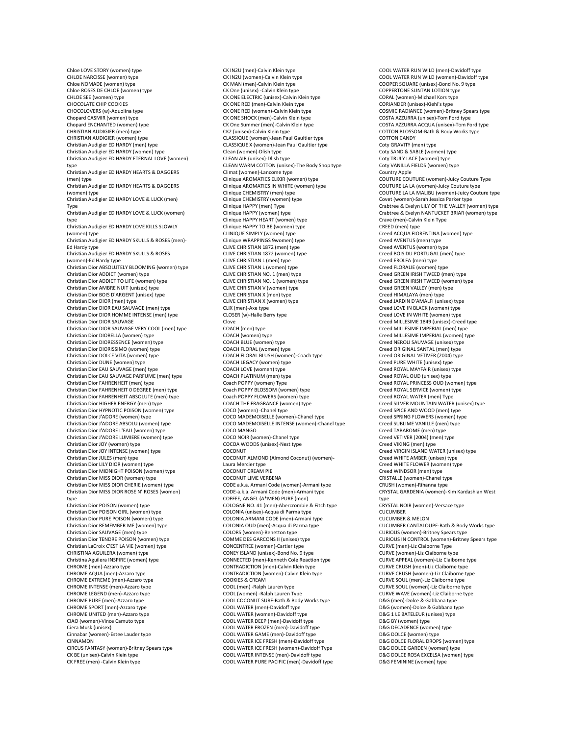Chloe LOVE STORY (women) type CHLOE NARCISSE (women) type Chloe NOMADE (women) type Chloe ROSES DE CHLOE (women) type CHLOE SEE (women) type CHOCOLATE CHIP COOKIES CHOCOLOVERS (w)-Aquolina type Chopard CASMIR (women) type Chopard ENCHANTED (women) type CHRISTIAN AUDIGIER (men) type CHRISTIAN AUDIGIER (women) type Christian Audigier ED HARDY (men) type Christian Audigier ED HARDY (women) type Christian Audigier ED HARDY ETERNAL LOVE (women) type Christian Audigier ED HARDY HEARTS & DAGGERS (men) type Christian Audigier ED HARDY HEARTS & DAGGERS (women) type Christian Audigier ED HARDY LOVE & LUCK (men) Type Christian Audigier ED HARDY LOVE & LUCK (women) type Christian Audigier ED HARDY LOVE KILLS SLOWLY (women) type Christian Audigier ED HARDY SKULLS & ROSES (men)- Ed Hardy type Christian Audigier ED HARDY SKULLS & ROSES (women)-Ed Hardy type Christian Dior ABSOLUTELY BLOOMING (women) type Christian Dior ADDICT (women) type Christian Dior ADDICT TO LIFE (women) type Christian Dior AMBRE NUIT (unisex) type Christian Dior BOIS D'ARGENT (unisex) type Christian Dior DIOR (men) type Christian Dior DIOR EAU SAUVAGE (men) type Christian Dior DIOR HOMME INTENSE (men) type Christian Dior DIOR SAUVAGE Christian Dior DIOR SAUVAGE VERY COOL (men) type Christian Dior DIORELLA (women) type Christian Dior DIORESSENCE (women) type Christian Dior DIORISSIMO (women) type Christian Dior DOLCE VITA (women) type Christian Dior DUNE (women) type Christian Dior EAU SAUVAGE (men) type Christian Dior EAU SAUVAGE PARFUME (men) type Christian Dior FAHRENHEIT (men) type Christian Dior FAHRENHEIT 0 DEGREE (men) type Christian Dior FAHRENHEIT ABSOLUTE (men) type Christian Dior HIGHER ENERGY (men) type Christian Dior HYPNOTIC POISON (women) type Christian Dior J'ADORE (women) type Christian Dior J'ADORE ABSOLU (women) type Christian Dior J'ADORE L'EAU (women) type Christian Dior J'ADORE LUMIERE (women) type Christian Dior JOY (women) type Christian Dior JOY INTENSE (women) type Christian Dior JULES (men) type Christian Dior LILY DIOR (women) type Christian Dior MIDNIGHT POISON (women) type Christian Dior MISS DIOR (women) type Christian Dior MISS DIOR CHERIE (women) type Christian Dior MISS DIOR ROSE N' ROSES (women) type Christian Dior POISON (women) type Christian Dior POISON GIRL (women) type Christian Dior PURE POISON (women) type Christian Dior REMEMBER ME (women) type Christian Dior SAUVAGE (men) type Christian Dior TENDRE POISON (women) type Christian LaCroix C'EST LA VIE (women) type CHRISTINA AGUILERA (women) type Christina Aguilera INSPIRE (women) type CHROME (men)-Azzaro type CHROME AQUA (men)-Azzaro type CHROME EXTREME (men)-Azzaro type CHROME INTENSE (men)-Azzaro type CHROME LEGEND (men)-Azzaro type CHROME PURE (men)-Azzaro type CHROME SPORT (men)-Azzaro type CHROME UNITED (men)-Azzaro type CIAO (women)-Vince Camuto type Ciera Musk (unisex) Cinnabar (women)-Estee Lauder type **CINNAMON** CIRCUS FANTASY (women)-Britney Spears type CK BE (unisex)-Calvin Klein type CK FREE (men) -Calvin Klein type

CK IN2U (men)-Calvin Klein type CK IN2U (women)-Calvin Klein type CK MAN (men)-Calvin Klein type CK One (unisex) -Calvin Klein type CK ONE ELECTRIC (unisex)-Calvin Klein type CK ONE RED (men)-Calvin Klein type CK ONE RED (women)-Calvin Klein type CK ONE SHOCK (men)-Calvin Klein type CK One Summer (men)-Calvin Klein type CK2 (unisex)-Calvin Klein type CLASSIQUE (women)-Jean Paul Gaultier type CLASSIQUE X (women)-Jean Paul Gaultier type Clean (women)-Dlish type CLEAN AIR (unisex)-Dlish type CLEAN WARM COTTON (unisex)-The Body Shop type Climat (women)-Lancome type Clinique AROMATICS ELIXIR (women) type Clinique AROMATICS IN WHITE (women) type Clinique CHEMISTRY (men) type Clinique CHEMISTRY (women) type Clinique HAPPY (men) Type Clinique HAPPY (women) type Clinique HAPPY HEART (women) type Clinique HAPPY TO BE (women) type CLINIQUE SIMPLY (women) type Clinique WRAPPINGS 9women) type CLIVE CHRISTIAN 1872 (men) type CLIVE CHRISTIAN 1872 (women) type CLIVE CHRISTIAN L (men) type CLIVE CHRISTIAN L (women) type CLIVE CHRISTIAN NO. 1 (men) type CLIVE CHRISTIAN NO. 1 (women) type CLIVE CHRISTIAN V (women) type CLIVE CHRISTIAN X (men) type CLIVE CHRISTIAN X (women) type CLIX (men)-Axe type CLOSER (w)-Halle Berry type Clove COACH (men) type COACH (women) type COACH BLUE (women) type COACH FLORAL (women) type COACH FLORAL BLUSH (women)-Coach type COACH LEGACY (women) type COACH LOVE (women) type COACH PLATINUM (men) type Coach POPPY (women) Type Coach POPPY BLOSSOM (women) type Coach POPPY FLOWERS (women) type COACH THE FRAGRANCE (women) type COCO (women) -Chanel type COCO MADEMOISELLE (women)-Chanel type COCO MADEMOISELLE INTENSE (women)-Chanel type COCO MANGO COCO NOIR (women)-Chanel type COCOA WOODS (unisex)-Nest type COCONUT COCONUT ALMOND (Almond Coconut) (women)- Laura Mercier type COCONUT CREAM PIE COCONUT LIME VERBENA CODE a.k.a. Armani Code (women)-Armani type CODE-a.k.a. Armani Code (men)-Armani type COFFEE, ANGEL (A\*MEN) PURE (men) COLOGNE NO. 41 (men)-Abercrombie & Fitch type COLONIA (unisex)-Acqua di Parma type COLONIA ARMANI CODE (men)-Armani type COLONIA OUD (men)-Acqua di Parma type COLORS (women)-Benetton type COMME DES GARCONS II (unisex) type CONCENTREE (women)-Cartier type CONEY ISLAND (unisex)-Bond No. 9 type CONNECTED (men)-Kenneth Cole Reaction type CONTRADICTION (men)-Calvin Klein type CONTRADICTION (women)-Calvin Klein type COOKIES & CREAM COOL (men) -Ralph Lauren type COOL (women) -Ralph Lauren Type COOL COCONUT SURF-Bath & Body Works type COOL WATER (men)-Davidoff type COOL WATER (women)-Davidoff type COOL WATER DEEP (men)-Davidoff type COOL WATER FROZEN (men)-Davidoff type COOL WATER GAME (men)-Davidoff type COOL WATER ICE FRESH (men)-Davidoff type COOL WATER ICE FRESH (women)-Davidoff Type COOL WATER INTENSE (men)-Davidoff type COOL WATER PURE PACIFIC (men)-Davidoff type

COOL WATER RUN WILD (men)-Davidoff type COOL WATER RUN WILD (women)-Davidoff type COOPER SQUARE (unisex)-Bond No. 9 type COPPERTONE SUNTAN LOTION type CORAL (women)-Michael Kors type CORIANDER (unisex)-Kiehl's type COSMIC RADIANCE (women)-Britney Spears type COSTA AZZURRA (unisex)-Tom Ford type COSTA AZZURRA ACQUA (unisex)-Tom Ford type COTTON BLOSSOM-Bath & Body Works type COTTON CANDY Coty GRAVITY (men) type Coty SAND & SABLE (women) type Coty TRULY LACE (women) type Coty VANILLA FIELDS (women) type Country Apple COUTURE COUTURE (women)-Juicy Couture Type COUTURE LA LA (women)-Juicy Couture type COUTURE LA LA MALIBU (women)-Juicy Couture type Covet (women)-Sarah Jessica Parker type Crabtree & Evelyn LILY OF THE VALLEY (women) type Crabtree & Evelyn NANTUCKET BRIAR (women) type Crave (men)-Calvin Klein Type CREED (men) type Creed ACQUA FIORENTINA (women) type Creed AVENTUS (men) type Creed AVENTUS (women) type Creed BOIS DU PORTUGAL (men) type Creed EROLFA (men) type Creed FLORALIE (women) type Creed GREEN IRISH TWEED (men) type Creed GREEN IRISH TWEED (women) type Creed GREEN VALLEY (men) type Creed HIMALAYA (men) type Creed JARDIN D'AMALFI (unisex) type Creed LOVE IN BLACK (women) type Creed LOVE IN WHITE (women) type Creed MILLESIME 1849 (unisex)-Creed type Creed MILLESIME IMPERIAL (men) type Creed MILLESIME IMPERIAL (women) type Creed NEROLI SAUVAGE (unisex) type Creed ORIGINAL SANTAL (men) type Creed ORIGINAL VETIVER (2004) type Creed PURE WHITE (unisex) type Creed ROYAL MAYFAIR (unisex) type Creed ROYAL OUD (unisex) type Creed ROYAL PRINCESS OUD (women) type Creed ROYAL SERVICE (women) type Creed ROYAL WATER (men) Type Creed SILVER MOUNTAIN WATER (unisex) type Creed SPICE AND WOOD (men) type Creed SPRING FLOWERS (women) type Creed SUBLIME VANILLE (men) type Creed TABAROME (men) type Creed VETIVER (2004) (men) type Creed VIKING (men) type Creed VIRGIN ISLAND WATER (unisex) type Creed WHITE AMBER (unisex) type Creed WHITE FLOWER (women) type Creed WINDSOR (men) type CRISTALLE (women)-Chanel type CRUSH (women)-Rihanna type CRYSTAL GARDENIA (women)-Kim Kardashian West type CRYSTAL NOIR (women)-Versace type CUCUMBER CUCUMBER & MELON CUCUMBER CANTALOUPE-Bath & Body Works type CURIOUS (women)-Britney Spears type CURIOUS IN CONTROL (women)-Britney Spears type CURVE (men)-Liz Claiborne Type CURVE (women)-Liz Claiborne type CURVE APPEAL (women)-Liz Claiborne type CURVE CRUSH (men)-Liz Claiborne type CURVE CRUSH (women)-Liz Claiborne type CURVE SOUL (men)-Liz Claiborne type CURVE SOUL (women)-Liz Claiborne type CURVE WAVE (women)-Liz Claiborne type D&G (men)-Dolce & Gabbana type D&G (women)-Dolce & Gabbana type D&G 1 LE BATELEUR (unisex) type D&G BY (women) type D&G DECADENCE (women) type D&G DOLCE (women) type D&G DOLCE FLORAL DROPS (women) type D&G DOLCE GARDEN (women) type D&G DOLCE ROSA EXCELSA (women) type D&G FEMININE (women) type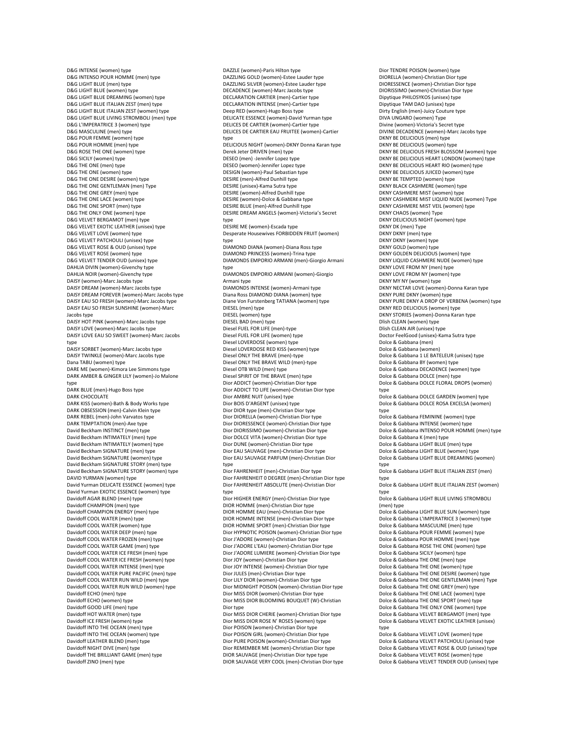D&G INTENSE (women) type D&G INTENSO POUR HOMME (men) type D&G LIGHT BLUE (men) type D&G LIGHT BLUE (women) type D&G LIGHT BLUE DREAMING (women) type D&G LIGHT BLUE ITALIAN ZEST (men) type D&G LIGHT BLUE ITALIAN ZEST (women) type D&G LIGHT BLUE LIVING STROMBOLI (men) type D&G L'IMPERATRICE 3 (women) type D&G MASCULINE (men) type D&G POUR FEMME (women) type D&G POUR HOMME (men) type D&G ROSE THE ONE (women) type D&G SICILY (women) type D&G THE ONE (men) type D&G THE ONE (women) type D&G THE ONE DESIRE (women) type D&G THE ONE GENTLEMAN (men) Type D&G THE ONE GREY (men) type D&G THE ONE LACE (women) type D&G THE ONE SPORT (men) type D&G THE ONLY ONE (women) type D&G VELVET BERGAMOT (men) type D&G VELVET EXOTIC LEATHER (unisex) type D&G VELVET LOVE (women) type D&G VELVET PATCHOULI (unisex) type D&G VELVET ROSE & OUD (unisex) type D&G VELVET ROSE (women) type D&G VELVET TENDER OUD (unisex) type DAHLIA DIVIN (women)-Givenchy type DAHLIA NOIR (women)-Givenchy type DAISY (women)-Marc Jacobs type DAISY DREAM (women)-Marc Jacobs type DAISY DREAM FOREVER (women)-Marc Jacobs type DAISY EAU SO FRESH (women)-Marc Jacobs type DAISY EAU SO FRESH SUNSHINE (women)-Marc Jacobs type DAISY HOT PINK (women)-Marc Jacobs type DAISY LOVE (women)-Marc Jacobs type DAISY LOVE EAU SO SWEET (women)-Marc Jacobs type DAISY SORBET (women)-Marc Jacobs type DAISY TWINKLE (women)-Marc Jacobs type Dana TABU (women) type DARE ME (women)-Kimora Lee Simmons type DARK AMBER & GINGER LILY (women)-Jo Malone type DARK BLUE (men)-Hugo Boss type DARK CHOCOLATE DARK KISS (women)-Bath & Body Works type DARK OBSESSION (men)-Calvin Klein type DARK REBEL (men)-John Varvatos type DARK TEMPTATION (men)-Axe type David Beckham INSTINCT (men) type David Beckham INTIMATELY (men) type David Beckham INTIMATELY (women) type David Beckham SIGNATURE (men) type David Beckham SIGNATURE (women) type David Beckham SIGNATURE STORY (men) type David Beckham SIGNATURE STORY (women) type DAVID YURMAN (women) type David Yurman DELICATE ESSENCE (women) type David Yurman EXOTIC ESSENCE (women) type Davidoff AGAR BLEND (men) type Davidoff CHAMPION (men) type Davidoff CHAMPION ENERGY (men) type Davidoff COOL WATER (men) type Davidoff COOL WATER (women) type Davidoff COOL WATER DEEP (men) type Davidoff COOL WATER FROZEN (men) type Davidoff COOL WATER GAME (men) type Davidoff COOL WATER ICE FRESH (men) type Davidoff COOL WATER ICE FRESH (women) type Davidoff COOL WATER INTENSE (men) type Davidoff COOL WATER PURE PACIFIC (men) type Davidoff COOL WATER RUN WILD (men) type Davidoff COOL WATER RUN WILD (women) type Davidoff ECHO (men) type Davidoff ECHO (women) type Davidoff GOOD LIFE (men) type Davidoff HOT WATER (men) type Davidoff ICE FRESH (women) type Davidoff INTO THE OCEAN (men) type Davidoff INTO THE OCEAN (women) type Davidoff LEATHER BLEND (men) type Davidoff NIGHT DIVE (men) type Davidoff THE BRILLIANT GAME (men) type Davidoff ZINO (men) type

DAZZLE (women)-Paris Hilton type DAZZLING GOLD (women)-Estee Lauder type DAZZLING SILVER (women)-Estee Lauder type DECADENCE (women)-Marc Jacobs type DECLARATION CARTIER (men)-Cartier type DECLARATION INTENSE (men)-Cartier type Deep RED (women)-Hugo Boss type DELICATE ESSENCE (women)-David Yurman type DELICES DE CARTIER (women)-Cartier type DELICES DE CARTIER EAU FRUITEE (women)-Cartier type DELICIOUS NIGHT (women)-DKNY Donna Karan type Derek Jeter DRIVEN (men) type DESEO (men) -Jennifer Lopez type DESEO (women)-Jennifer Lopez type DESIGN (women)-Paul Sebastian type DESIRE (men)-Alfred Dunhill type DESIRE (unisex)-Kama Sutra type DESIRE (women)-Alfred Dunhill type DESIRE (women)-Dolce & Gabbana type DESIRE BLUE (men)-Alfred Dunhill type DESIRE DREAM ANGELS (women)-Victoria's Secret type DESIRE ME (women)-Escada type Desperate Housewives FORBIDDEN FRUIT (women) type DIAMOND DIANA (women)-Diana Ross type DIAMOND PRINCESS (women)-Trina type DIAMONDS EMPORIO ARMANI (men)-Giorgio Armani type DIAMONDS EMPORIO ARMANI (women)-Giorgio Armani type DIAMONDS INTENSE (women)-Armani type Diana Ross DIAMOND DIANA (women) type Diane Von Furstenberg TATIANA (women) type DIESEL (men) type DIESEL (women) type DIESEL BAD (men) type Diesel FUEL FOR LIFE (men)-type Diesel FUEL FOR LIFE (women) type Diesel LOVERDOSE (women) type Diesel LOVERDOSE RED KISS (women) type Diesel ONLY THE BRAVE (men)-type Diesel ONLY THE BRAVE WILD (men)-type Diesel OTB WILD (men) type Diesel SPIRIT OF THE BRAVE (men) type Dior ADDICT (women)-Christian Dior type Dior ADDICT TO LIFE (women)-Christian Dior type Dior AMBRE NUIT (unisex) type Dior BOIS D'ARGENT (unisex) type Dior DIOR type (men)-Christian Dior type Dior DIORELLA (women)-Christian Dior type Dior DIORESSENCE (women)-Christian Dior type Dior DIORISSIMO (women)-Christian Dior type Dior DOLCE VITA (women)-Christian Dior type Dior DUNE (women)-Christian Dior type Dior EAU SAUVAGE (men)-Christian Dior type Dior EAU SAUVAGE PARFUM (men)-Christian Dior type Dior FAHRENHEIT (men)-Christian Dior type Dior FAHRENHEIT 0 DEGREE (men)-Christian Dior type Dior FAHRENHEIT ABSOLUTE (men)-Christian Dior type Dior HIGHER ENERGY (men)-Christian Dior type DIOR HOMME (men)-Christian Dior type DIOR HOMME EAU (men)-Christian Dior type DIOR HOMME INTENSE (men)-Christian Dior type DIOR HOMME SPORT (men)-Christian Dior type Dior HYPNOTIC POISON (women)-Christian Dior type Dior J'ADORE (women)-Christian Dior type Dior J'ADORE L'EAU (women)-Christian Dior type Dior J'ADORE LUMIERE (women)-Christian Dior type Dior JOY (women)-Christian Dior type Dior JOY INTENSE (women)-Christian Dior type Dior JULES (men)-Christian Dior type Dior LILY DIOR (women)-Christian Dior type Dior MIDNIGHT POISON (women)-Christian Dior type Dior MISS DIOR (women)-Christian Dior type Dior MISS DIOR BLOOMING BOUQUET (W)-Christian Dior type Dior MISS DIOR CHERIE (women)-Christian Dior type Dior MISS DIOR ROSE N' ROSES (women) type Dior POISON (women)-Christian Dior type Dior POISON GIRL (women)-Christian Dior type Dior PURE POISON (women)-Christian Dior type Dior REMEMBER ME (women)-Christian Dior type DIOR SAUVAGE (men)-Christian Dior type type

DIOR SAUVAGE VERY COOL (men)-Christian Dior type

Dior TENDRE POISON (women) type DIORELLA (women)-Christian Dior type DIORESSENCE (women)-Christian Dior type DIORISSIMO (women)-Christian Dior type Dipytique PHILOSYKOS (unisex) type Dipytique TAM DAO (unisex) type Dirty English (men)-Juicy Couture type DIVA UNGARO (women) Type Divine (women)-Victoria's Secret type DIVINE DECADENCE (women)-Marc Jacobs type DKNY BE DELICIOUS (men) type DKNY BE DELICIOUS (women) type DKNY BE DELICIOUS FRESH BLOSSOM (women) type DKNY BE DELICIOUS HEART LONDON (women) type DKNY BE DELICIOUS HEART RIO (women) type DKNY BE DELICIOUS JUICED (women) type DKNY BE TEMPTED (women) type DKNY BLACK CASHMERE (women) type DKNY CASHMERE MIST (women) type DKNY CASHMERE MIST LIQUID NUDE (women) Type DKNY CASHMERE MIST VEIL (women) type DKNY CHAOS (women) Type DKNY DELICIOUS NIGHT (women) type DKNY DK (men) Type DKNY DKNY (men) type DKNY DKNY (women) type DKNY GOLD (women) type DKNY GOLDEN DELICIOUS (women) type DKNY LIQUID CASHMERE NUDE (women) type DKNY LOVE FROM NY (men) type DKNY LOVE FROM NY (women) type DKNY MY NY (women) type DKNY NECTAR LOVE (women)-Donna Karan type DKNY PURE DKNY (women) type DKNY PURE DKNY A DROP OF VERBENA (women) type DKNY RED DELICIOUS (women) type DKNY STORIES (women)-Donna Karan type Dlish CLEAN (women) type Dlish CLEAN AIR (unisex) type Doctor FeelGood (unisex)-Kama Sutra type Dolce & Gabbana (men) Dolce & Gabbana (women) Dolce & Gabbana 1 LE BATELEUR (unisex) type Dolce & Gabbana BY (women) type Dolce & Gabbana DECADENCE (women) type Dolce & Gabbana DOLCE (men) type Dolce & Gabbana DOLCE FLORAL DROPS (women) type Dolce & Gabbana DOLCE GARDEN (women) type Dolce & Gabbana DOLCE ROSA EXCELSA (women) type Dolce & Gabbana FEMININE (women) type Dolce & Gabbana INTENSE (women) type Dolce & Gabbana INTENSO POUR HOMME (men) type Dolce & Gabbana K (men) type Dolce & Gabbana LIGHT BLUE (men) type Dolce & Gabbana LIGHT BLUE (women) type Dolce & Gabbana LIGHT BLUE DREAMING (women) type Dolce & Gabbana LIGHT BLUE ITALIAN ZEST (men) type Dolce & Gabbana LIGHT BLUE ITALIAN ZEST (women) type Dolce & Gabbana LIGHT BLUE LIVING STROMBOLI (men) type Dolce & Gabbana LIGHT BLUE SUN (women) type Dolce & Gabbana L'IMPERATRICE 3 (women) type Dolce & Gabbana MASCULINE (men) type Dolce & Gabbana POUR FEMME (women) type Dolce & Gabbana POUR HOMME (men) type Dolce & Gabbana ROSE THE ONE (women) type Dolce & Gabbana SICILY (women) type Dolce & Gabbana THE ONE (men) type Dolce & Gabbana THE ONE (women) type Dolce & Gabbana THE ONE DESIRE (women) type Dolce & Gabbana THE ONE GENTLEMAN (men) Type Dolce & Gabbana THE ONE GREY (men) type Dolce & Gabbana THE ONE LACE (women) type Dolce & Gabbana THE ONE SPORT (men) type Dolce & Gabbana THE ONLY ONE (women) type Dolce & Gabbana VELVET BERGAMOT (men) type Dolce & Gabbana VELVET EXOTIC LEATHER (unisex) type Dolce & Gabbana VELVET LOVE (women) type Dolce & Gabbana VELVET PATCHOULI (unisex) type Dolce & Gabbana VELVET ROSE & OUD (unisex) type Dolce & Gabbana VELVET ROSE (women) type

Dolce & Gabbana VELVET TENDER OUD (unisex) type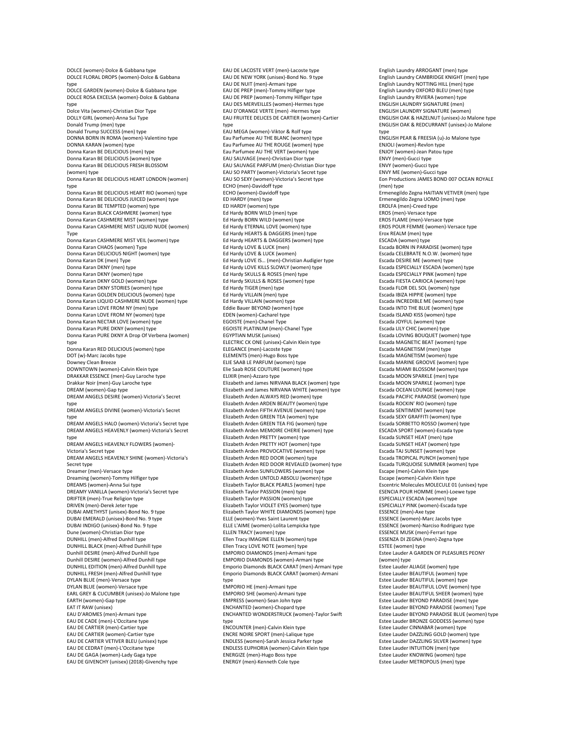DOLCE (women)-Dolce & Gabbana type DOLCE FLORAL DROPS (women)-Dolce & Gabbana type DOLCE GARDEN (women)-Dolce & Gabbana type DOLCE ROSA EXCELSA (women)-Dolce & Gabb type Dolce Vita (women)-Christian Dior Type DOLLY GIRL (women)-Anna Sui Type Donald Trump (men) type Donald Trump SUCCESS (men) type DONNA BORN IN ROMA (women)-Valentino type DONNA KARAN (women) type Donna Karan BE DELICIOUS (men) type Donna Karan BE DELICIOUS (women) type Donna Karan BE DELICIOUS FRESH BLOSSOM (women) type Donna Karan BE DELICIOUS HEART LONDON (women) type Donna Karan BE DELICIOUS HEART RIO (women) type Donna Karan BE DELICIOUS JUICED (women) type Donna Karan BE TEMPTED (women) type Donna Karan BLACK CASHMERE (women) type Donna Karan CASHMERE MIST (women) type Donna Karan CASHMERE MIST LIQUID NUDE (women) Type Donna Karan CASHMERE MIST VEIL (women) type Donna Karan CHAOS (women) Type Donna Karan DELICIOUS NIGHT (women) type Donna Karan DK (men) Type Donna Karan DKNY (men) type Donna Karan DKNY (women) type Donna Karan DKNY GOLD (women) type Donna Karan DKNY STORIES (women) type Donna Karan GOLDEN DELICIOUS (women) type Donna Karan LIQUID CASHMERE NUDE (women) type Donna Karan LOVE FROM NY (men) type Donna Karan LOVE FROM NY (women) type Donna Karan NECTAR LOVE (women) type Donna Karan PURE DKNY (women) type Donna Karan PURE DKNY A Drop Of Verbena (women) type Donna Karan RED DELICIOUS (women) type DOT (w)-Marc Jacobs type Downey Clean Breeze DOWNTOWN (women)-Calvin Klein type DRAKKAR ESSENCE (men)-Guy Laroche type Drakkar Noir (men)-Guy Laroche type DREAM (women)-Gap type DREAM ANGELS DESIRE (women)-Victoria's Secret type DREAM ANGELS DIVINE (women)-Victoria's Secret type DREAM ANGELS HALO (women)-Victoria's Secret type DREAM ANGELS HEAVENLY (women)-Victoria's Secret type DREAM ANGELS HEAVENLY FLOWERS (women)- Victoria's Secret type DREAM ANGELS HEAVENLY SHINE (women)-Victoria's Secret type Dreamer (men)-Versace type Dreaming (women)-Tommy Hilfiger type DREAMS (women)-Anna Sui type DREAMY VANILLA (women)-Victoria's Secret type DRIFTER (men)-True Religion type DRIVEN (men)-Derek Jeter type DUBAI AMETHYST (unisex)-Bond No. 9 type DUBAI EMERALD (unisex)-Bond No. 9 type DUBAI INDIGO (unisex)-Bond No. 9 type Dune (women)-Christian Dior type DUNHILL (men)-Alfred Dunhill type DUNHILL BLACK (men)-Alfred Dunhill type Dunhill DESIRE (men)-Alfred Dunhill type Dunhill DESIRE (women)-Alfred Dunhill type DUNHILL EDITION (men)-Alfred Dunhill type DUNHILL FRESH (men)-Alfred Dunhill type DYLAN BLUE (men)-Versace type DYLAN BLUE (women)-Versace type EARL GREY & CUCUMBER (unisex)-Jo Malone type EARTH (women)-Gap type EAT IT RAW (unisex) EAU D'AROMES (men)-Armani type EAU DE CADE (men)-L'Occitane type EAU DE CARTIER (men)-Cartier type EAU DE CARTIER (women)-Cartier type EAU DE CARTIER VETIVER BLEU (unisex) type EAU DE CEDRAT (men)-L'Occitane type EAU DE GAGA (women)-Lady Gaga type EAU DE GIVENCHY (unisex) (2018)-Givenchy type

EAU DE LACOSTE VERT (men)-Lacoste type EAU DE NEW YORK (unisex)-Bond No. 9 type EAU DE NUIT (men)-Armani type EAU DE PREP (men)-Tommy Hilfiger type EAU DE PREP (women)-Tommy Hilfiger type EAU DES MERVEILLES (women)-Hermes type EAU D'ORANGE VERTE (men) -Hermes type EAU FRUITEE DELICES DE CARTIER (women)-Cartier type EAU MEGA (women)-Viktor & Rolf type Eau Parfumee AU THE BLANC (women) type Eau Parfumee AU THE ROUGE (women) type Eau Parfumee AU THE VERT (women) type EAU SAUVAGE (men)-Christian Dior type EAU SAUVAGE PARFUM (men)-Christian Dior type EAU SO PARTY (women)-Victoria's Secret type EAU SO SEXY (women)-Victoria's Secret type ECHO (men)-Davidoff type ECHO (women)-Davidoff type ED HARDY (men) type ED HARDY (women) type Ed Hardy BORN WILD (men) type Ed Hardy BORN WILD (women) type Ed Hardy ETERNAL LOVE (women) type Ed Hardy HEARTS & DAGGERS (men) type Ed Hardy HEARTS & DAGGERS (women) type Ed Hardy LOVE & LUCK (men) Ed Hardy LOVE & LUCK (women) Ed Hardy LOVE IS… (men)-Christian Audigier type Ed Hardy LOVE KILLS SLOWLY (women) type Ed Hardy SKULLS & ROSES (men) type Ed Hardy SKULLS & ROSES (women) type Ed Hardy TIGER (men) type Ed Hardy VILLAIN (men) type Ed Hardy VILLAIN (women) type Eddie Bauer BEYOND (women) type EDEN (women)-Cacharel type EGOISTE (men)-Chanel Type EGOISTE PLATINUM (men)-Chanel Type EGYPTIAN MUSK (unisex) ELECTRIC CK ONE (unisex)-Calvin Klein type ELEGANCE (men)-Lacoste type ELEMENTS (men)-Hugo Boss type ELIE SAAB LE PARFUM (women) type Elie Saab ROSE COUTURE (women) type ELIXIR (men)-Azzaro type Elizabeth and James NIRVANA BLACK (women) type Elizabeth and James NIRVANA WHITE (women) type Elizabeth Arden ALWAYS RED (women) type Elizabeth Arden ARDEN BEAUTY (women) type Elizabeth Arden FIFTH AVENUE (women) type Elizabeth Arden GREEN TEA (women) type Elizabeth Arden GREEN TEA FIG (women) type Elizabeth Arden MEMOIRE CHERIE (women) type Elizabeth Arden PRETTY (women) type Elizabeth Arden PRETTY HOT (women) type Elizabeth Arden PROVOCATIVE (women) type Elizabeth Arden RED DOOR (women) type Elizabeth Arden RED DOOR REVEALED (women) type Elizabeth Arden SUNFLOWERS (women) type Elizabeth Arden UNTOLD ABSOLU (women) type Elizabeth Taylor BLACK PEARLS (women) type Elizabeth Taylor PASSION (men) type Elizabeth Taylor PASSION (women) type Elizabeth Taylor VIOLET EYES (women) type<br>Elizabeth Taylor WHITE DIAMONDS (women) type Elizabeth Taylor WHITE DIAMONDS (wo ELLE (women)-Yves Saint Laurent type ELLE L'AIME (women)-Lolita Lempicka type ELLEN TRACY (women) type Ellen Tracy IMAGINE ELLEN (women) type Ellen Tracy LOVE NOTE (women) type EMPORIO DIAMONDS (men)-Armani type EMPORIO DIAMONDS (women)-Armani type Emporio Diamonds BLACK CARAT (men)-Armani type Emporio Diamonds BLACK CARAT (women)-Armani type EMPORIO HE (men)-Armani type EMPORIO SHE (women)-Armani type EMPRESS (women)-Sean John type ENCHANTED (women)-Chopard type ENCHANTED WONDERSTRUCK (women)-Taylor Swift type ENCOUNTER (men)-Calvin Klein type ENCRE NOIRE SPORT (men)-Lalique type ENDLESS (women)-Sarah Jessica Parker type ENDLESS EUPHORIA (women)-Calvin Klein type ENERGIZE (men)-Hugo Boss type ENERGY (men)-Kenneth Cole type

English Laundry ARROGANT (men) type English Laundry CAMBRIDGE KNIGHT (men) type English Laundry NOTTING HILL (men) type English Laundry OXFORD BLEU (men) type English Laundry RIVIERA (women) type ENGLISH LAUNDRY SIGNATURE (men) ENGLISH LAUNDRY SIGNATURE (women) ENGLISH OAK & HAZELNUT (unisex)-Jo Malone type ENGLISH OAK & REDCURRANT (unisex)-Jo Malone type ENGLISH PEAR & FREESIA (u)-Jo Malone type ENJOLI (women)-Revlon type ENJOY (women)-Jean Patou type ENVY (men)-Gucci type ENVY (women)-Gucci type ENVY ME (women)-Gucci type Eon Productions JAMES BOND 007 OCEAN ROYALE (men) type Ermenegildo Zegna HAITIAN VETIVER (men) type Ermenegildo Zegna UOMO (men) type EROLFA (men)-Creed type EROS (men)-Versace type EROS FLAME (men)-Versace type EROS POUR FEMME (women)-Versace type Erox REALM (men) type ESCADA (women) type Escada BORN IN PARADISE (women) type Escada CELEBRATE N.O.W. (women) type Escada DESIRE ME (women) type Escada ESPECIALLY ESCADA (women) type Escada ESPECIALLY PINK (women) type Escada FIESTA CARIOCA (women) type Escada FLOR DEL SOL (women) type Escada IBIZA HIPPIE (women) type Escada INCREDIBLE ME (women) type Escada INTO THE BLUE (women) type Escada ISLAND KISS (women) type Escada JOYFUL (women) type Escada LILY CHIC (women) type Escada LOVING BOUQUET (women) type Escada MAGNETIC BEAT (women) typ Escada MAGNETISM (men) type Escada MAGNETISM (women) type Escada MARINE GROOVE (women) type Escada MIAMI BLOSSOM (women) type Escada MOON SPARKLE (men) type Escada MOON SPARKLE (women) type Escada OCEAN LOUNGE (women) type Escada PACIFIC PARADISE (women) type Escada ROCKIN' RIO (women) type Escada SENTIMENT (women) type Escada SEXY GRAFFITI (women) type Escada SORBETTO ROSSO (women) type ESCADA SPORT (women)-Escada type Escada SUNSET HEAT (men) type Escada SUNSET HEAT (women) type Escada TAJ SUNSET (women) type Escada TROPICAL PUNCH (women) type Escada TURQUOISE SUMMER (women) type Escape (men)-Calvin Klein type Escape (women)-Calvin Klein type Escentric Molecules MOLECULE 01 (unisex) type ESENCIA POUR HOMME (men)-Loewe type ESPECIALLY ESCADA (women) type ESPECIALLY PINK (women)-Escada type ESSENCE (men)-Axe type ESSENCE (women)-Marc Jacobs type ESSENCE (women)-Narciso Rodriguez type ESSENCE MUSK (men)-Ferrari type ESSENZA DI ZEGNA (men)-Zegna type ESTEE (women) type Estee Lauder A GARDEN OF PLEASURES PEONY (women) type Estee Lauder ALIAGE (women) type Estee Lauder BEAUTIFUL (women) type Estee Lauder BEAUTIFUL (women) type Estee Lauder BEAUTIFUL LOVE (women) type Estee Lauder BEAUTIFUL SHEER (women) type Estee Lauder BEYOND PARADISE (men) type Estee Lauder BEYOND PARADISE (women) Type Estee Lauder BEYOND PARADISE BLUE (women) type Estee Lauder BRONZE GODDESS (women) type Estee Lauder CINNABAR (women) type Estee Lauder DAZZLING GOLD (women) type Estee Lauder DAZZLING SILVER (women) type Estee Lauder INTUITION (men) type Estee Lauder KNOWING (women) type Estee Lauder METROPOLIS (men) type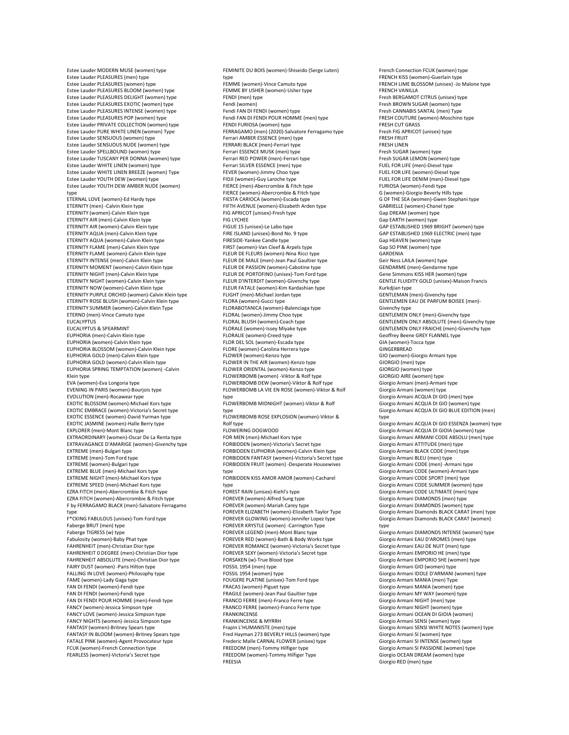Estee Lauder MODERN MUSE (women) type Estee Lauder PLEASURES (men) type Estee Lauder PLEASURES (women) type Estee Lauder PLEASURES BLOOM (women) type Estee Lauder PLEASURES DELIGHT (women) type Estee Lauder PLEASURES EXOTIC (women) type Estee Lauder PLEASURES INTENSE (women) type Estee Lauder PLEASURES POP (women) type Estee Lauder PRIVATE COLLECTION (women) type Estee Lauder PURE WHITE LINEN (women) Type Estee Lauder SENSUOUS (women) type Estee Lauder SENSUOUS NUDE (women) type Estee Lauder SPELLBOUND (women) type Estee Lauder TUSCANY PER DONNA (women) type Estee Lauder WHITE LINEN (women) type Estee Lauder WHITE LINEN BREEZE (women) Type Estee Lauder YOUTH DEW (women) type Estee Lauder YOUTH DEW AMBER NUDE (women) type ETERNAL LOVE (women)-Ed Hardy type ETERNITY (men) -Calvin Klein type ETERNITY (women)-Calvin Klein type ETERNITY AIR (men)-Calvin Klein type ETERNITY AIR (women)-Calvin Klein type ETERNITY AQUA (men)-Calvin Klein type ETERNITY AQUA (women)-Calvin Klein type ETERNITY FLAME (men)-Calvin Klein type ETERNITY FLAME (women)-Calvin Klein type ETERNITY INTENSE (men)-Calvin Klein type ETERNITY MOMENT (women)-Calvin Klein type ETERNITY NIGHT (men)-Calvin Klein type ETERNITY NIGHT (women)-Calvin Klein type ETERNITY NOW (women)-Calvin Klein type ETERNITY PURPLE ORCHID (women)-Calvin Klein type ETERNITY ROSE BLUSH (women)-Calvin Klein type ETERNITY SUMMER (women)-Calvin Klein Type ETERNO (men)-Vince Camuto type EUCALYPTUS EUCALYPTUS & SPEARMINT EUPHORIA (men)-Calvin Klein type EUPHORIA (women)-Calvin Klein type EUPHORIA BLOSSOM (women)-Calvin Klein type EUPHORIA GOLD (men)-Calvin Klein type EUPHORIA GOLD (women)-Calvin Klein type EUPHORIA SPRING TEMPTATION (women) -Calvin Klein type EVA (women)-Eva Longoria type EVENING IN PARIS (women)-Bourjois type EVOLUTION (men)-Rocawear type EXOTIC BLOSSOM (women)-Michael Kors type EXOTIC EMBRACE (women)-Victoria's Secret type EXOTIC ESSENCE (women)-David Yurman type EXOTIC JASMINE (women)-Halle Berry type EXPLORER (men)-Mont Blanc type EXTRAORDINARY (women)-Oscar De La Renta type EXTRAVAGANCE D'AMARIGE (women)-Givenchy type EXTREME (men)-Bulgari type EXTREME (men)-Tom Ford type EXTREME (women)-Bulgari type EXTREME BLUE (men)-Michael Kors type EXTREME NIGHT (men)-Michael Kors type EXTREME SPEED (men)-Michael Kors type EZRA FITCH (men)-Abercrombie & Fitch type EZRA FITCH (women)-Abercrombie & Fitch type F by FERRAGAMO BLACK (men)-Salvatore Ferragamo type F\*CKING FABULOUS (unisex)-Tom Ford type Faberge BRUT (men) type Faberge TIGRESS (w) type Fabulosity (women)-Baby Phat type FAHRENHEIT (men)-Christian Dior type FAHRENHEIT 0 DEGREE (men)-Christian Dior type FAHRENHEIT ABSOLUTE (men)-Christian Dior type FAIRY DUST (women) -Paris Hilton type FALLING IN LOVE (women)-Philosophy type FAME (women)-Lady Gaga type FAN DI FENDI (women)-Fendi type FAN DI FENDI (women)-Fendi type FAN DI FENDI POUR HOMME (men)-Fendi type FANCY (women)-Jessica Simpson type FANCY LOVE (women)-Jessica Simpson type FANCY NIGHTS (women)-Jessica Simpson type FANTASY (women)-Britney Spears type FANTASY IN BLOOM (women)-Britney Spears type FATALE PINK (women)-Agent Provocateur type FCUK (women)-French Connection type FEARLESS (women)-Victoria's Secret type

FEMINITE DU BOIS (women)-Shiseido (Serge Luten) type FEMME (women)-Vince Camuto type FEMME BY USHER (women)-Usher type FENDI (men) type Fendi (women) Fendi FAN DI FENDI (women) type Fendi FAN DI FENDI POUR HOMME (men) type FENDI FURIOSA (women) type FERRAGAMO (men) (2020)-Salvatore Ferragamo type Ferrari AMBER ESSENCE (men) type FERRARI BLACK (men)-Ferrari type Ferrari ESSENCE MUSK (men) type Ferrari RED POWER (men)-Ferrari type Ferrari SILVER ESSENCE (men) type FEVER (women)-Jimmy Choo type FIDJI (women)-Guy Laroche type FIERCE (men)-Abercrombie & Fitch type FIERCE (women)-Abercrombie & Fitch type FIESTA CARIOCA (women)-Escada type FIFTH AVENUE (women)-Elizabeth Arden type FIG APRICOT (unisex)-Fresh type FIG LYCHEE FIGUE 15 (unisex)-Le Labo type FIRE ISLAND (unisex)-Bond No. 9 type FIRESIDE-Yankee Candle type FIRST (women)-Van Cleef & Arpels type FLEUR DE FLEURS (women)-Nina Ricci type FLEUR DE MALE (men)-Jean Paul Gaultier type FLEUR DE PASSION (women)-Cabotine type FLEUR DE PORTOFINO (unisex)-Tom Ford type FLEUR D'INTERDIT (women)-Givenchy type FLEUR FATALE (women)-Kim Kardashian type FLIGHT (men)-Michael Jordan type FLORA (women)-Gucci type FLORABOTANICA (women)-Balenciaga type FLORAL (women)-Jimmy Choo type FLORAL BLUSH (women)-Coach type FLORALE (women)-Issey Miyake type FLORALIE (women)-Creed type FLOR DEL SOL (women)-Escada type FLORE (women)-Carolina Herrera type FLOWER (women)-Kenzo type FLOWER IN THE AIR (women)-Kenzo type FLOWER ORIENTAL (women)-Kenzo type FLOWERBOMB (women) -Viktor & Rolf type FLOWERBOMB DEW (women)-Viktor & Rolf type FLOWERBOMB LA VIE EN ROSE (women)-Viktor & Rolf type FLOWERBOMB MIDNIGHT (women)-Viktor & Rolf type FLOWERBOMB ROSE EXPLOSION (women)-Viktor & Rolf type FLOWERING DOGWOOD FOR MEN (men)-Michael Kors type FORBIDDEN (women)-Victoria's Secret type FORBIDDEN EUPHORIA (women)-Calvin Klein type FORBIDDEN FANTASY (women)-Victoria's Secret type FORBIDDEN FRUIT (women) -Desperate Housewives type FORBIDDEN KISS AMOR AMOR (women)-Cacharel type FOREST RAIN (unisex)-Kiehl's type FOREVER (women)-Alfred Sung type FOREVER (women)-Mariah Carey type FOREVER ELIZABETH (women)-Elizabeth Taylor Type FOREVER GLOWING (women)-Jennifer Lopez type FOREVER KRYSTLE (women) -Carrington Type FOREVER LEGEND (men)-Mont Blanc type FOREVER RED (women)-Bath & Body Works type FOREVER ROMANCE (women)-Victoria's Secret type FOREVER SEXY (women)-Victoria's Secret type FORSAKEN (w)-True Blood type FOSSIL 1954 (men) type FOSSIL 1954 (women) type FOUGERE PLATINE (unisex)-Tom Ford type FRACAS (women)-Piguet type FRAGILE (women)-Jean Paul Gaultier type FRANCO FERRE (men)-Franco Ferre type FRANCO FERRE (women)-Franco Ferre type FRANKINCENSE FRANKINCENSE & MYRRH Frapin L'HUMANISTE (men) type Fred Hayman 273 BEVERLY HILLS (women) type Frederic Malle CARNAL FLOWER (unisex) type FREEDOM (men)-Tommy Hilfiger type FREEDOM (women)-Tommy Hilfiger Type FREESIA

French Connection FCUK (women) type FRENCH KISS (women)-Guerlain type FRENCH LIME BLOSSOM (unisex) -Jo Malone type FRENCH VANILLA Fresh BERGAMOT CITRUS (unisex) type Fresh BROWN SUGAR (women) type Fresh CANNABIS SANTAL (men) Type FRESH COUTURE (women)-Moschino type FRESH CUT GRASS Fresh FIG APRICOT (unisex) type FRESH FRUIT FRESH LINEN Fresh SUGAR (women) type Fresh SUGAR LEMON (women) type FUEL FOR LIFE (men)-Diesel type FUEL FOR LIFE (women)-Diesel type FUEL FOR LIFE DENIM (men)-Diesel type FURIOSA (women)-Fendi type G (women)-Giorgio Beverly Hills type G OF THE SEA (women)-Gwen Stephani type GABRIELLE (women)-Chanel type Gap DREAM (women) type Gap EARTH (women) type GAP ESTABLISHED 1969 BRIGHT (women) type GAP ESTABLISHED 1969 ELECTRIC (men) type Gap HEAVEN (women) type Gap SO PINK (women) type GARDENIA Geir Ness LAILA (women) type GENDARME (men)-Gendarme type Gene Simmons KISS HER (women) type GENTLE FLUIDITY GOLD (unisex)-Maison Francis Kurkdjian type GENTLEMAN (men)-Givenchy type GENTLEMEN EAU DE PARFUM BOISEE (men)- Givenchy type GENTLEMEN ONLY (men)-Givenchy type GENTLEMEN ONLY ABSOLUTE (men)-Givenchy type GENTLEMEN ONLY FRAICHE (men)-Givenchy type Geoffrey Beene GREY FLANNEL type GIA (women)-Tocca type GINGERBREAD GIO (women)-Giorgio Armani type GIORGIO (men) type GIORGIO (women) type GIORGIO AIRE (women) type Giorgio Armani (men)-Armani type Giorgio Armani (women) type Giorgio Armani ACQUA DI GIO (men) type Giorgio Armani ACQUA DI GIO (women) type Giorgio Armani ACQUA DI GIO BLUE EDITION (men) type Giorgio Armani ACQUA DI GIO ESSENZA (women) type Giorgio Armani ACQUA DI GIOIA (women) type Giorgio Armani ARMANI CODE ABSOLU (men) type Giorgio Armani ATTITUDE (men) type Giorgio Armani BLACK CODE (men) type Giorgio Armani BLEU (men) type Giorgio Armani CODE (men) -Armani type Giorgio Armani CODE (women)-Armani type Giorgio Armani CODE SPORT (men) type Giorgio Armani CODE SUMMER (women) type Giorgio Armani CODE ULTIMATE (men) type Giorgio Armani DIAMONDS (men) type Giorgio Armani DIAMONDS (women) type Giorgio Armani Diamonds BLACK CARAT (men) type Giorgio Armani Diamonds BLACK CARAT (women) type Giorgio Armani DIAMONDS INTENSE (women) type Giorgio Armani EAU D'AROMES (men) type Giorgio Armani EAU DE NUIT (men) type Giorgio Armani EMPORIO HE (men) type Giorgio Armani EMPORIO SHE (women) type Giorgio Armani GIO (women) type Giorgio Armani IDOLE D'ARMANI (women) type Giorgio Armani MANIA (men) Type Giorgio Armani MANIA (women) type Giorgio Armani MY WAY (women) type Giorgio Armani NIGHT (men) type Giorgio Armani NIGHT (women) type Giorgio Armani OCEAN DI GIOIA (women) Giorgio Armani SENSI (women) type Giorgio Armani SENSI WHITE NOTES (women) type Giorgio Armani SI (women) type Giorgio Armani SI INTENSE (women) type Giorgio Armani SI PASSIONE (women) type Giorgio OCEAN DREAM (women) type Giorgio RED (men) type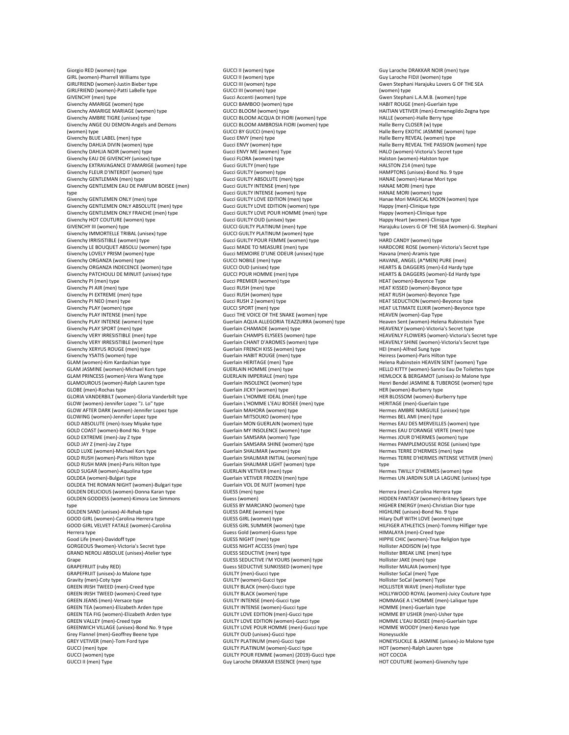Giorgio RED (women) type GIRL (women)-Pharrell Williams type GIRLFRIEND (women)-Justin Bieber type GIRLFRIEND (women)-Patti LaBelle type GIVENCHY (men) type Givenchy AMARIGE (women) type Givenchy AMARIGE MARIAGE (women) type Givenchy AMBRE TIGRE (unisex) type Givenchy ANGE OU DEMON-Angels and Demons (women) type Givenchy BLUE LABEL (men) type Givenchy DAHLIA DIVIN (women) type Givenchy DAHLIA NOIR (women) type Givenchy EAU DE GIVENCHY (unisex) type Givenchy EXTRAVAGANCE D'AMARIGE (women) type Givenchy FLEUR D'INTERDIT (women) type Givenchy GENTLEMAN (men) type Givenchy GENTLEMEN EAU DE PARFUM BOISEE (men) type Givenchy GENTLEMEN ONLY (men) type Givenchy GENTLEMEN ONLY ABSOLUTE (men) type Givenchy GENTLEMEN ONLY FRAICHE (men) type Givenchy HOT COUTURE (women) type GIVENCHY III (women) type Givenchy IMMORTELLE TRIBAL (unisex) type Givenchy IRRISISTIBLE (women) type Givenchy LE BOUQUET ABSOLU (women) type Givenchy LOVELY PRISM (women) type Givenchy ORGANZA (women) type Givenchy ORGANZA INDECENCE (women) type Givenchy PATCHOULI DE MINUIT (unisex) type Givenchy PI (men) type Givenchy PI AIR (men) type Givenchy PI EXTREME (men) type Givenchy PI NEO (men) type Givenchy PLAY (women) type Givenchy PLAY INTENSE (men) type Givenchy PLAY INTENSE (women) type Givenchy PLAY SPORT (men) type Givenchy VERY IRRESISTIBLE (men) type Givenchy VERY IRRESISTIBLE (women) type Givenchy XERYUS ROUGE (men) type Givenchy YSATIS (women) type GLAM (women)-Kim Kardashian type GLAM JASMINE (women)-Michael Kors type GLAM PRINCESS (women)-Vera Wang type GLAMOUROUS (women)-Ralph Lauren type GLOBE (men)-Rochas type GLORIA VANDERBILT (women)-Gloria Vanderbilt type GLOW (women)-Jennifer Lopez "J. Lo" type GLOW AFTER DARK (women)-Jennifer Lopez type GLOWING (women)-Jennifer Lopez type GOLD ABSOLUTE (men)-Issey Miyake type GOLD COAST (women)-Bond No. 9 type GOLD EXTREME (men)-Jay Z type GOLD JAY Z (men)-Jay Z type GOLD LUXE (women)-Michael Kors type GOLD RUSH (women)-Paris Hilton type GOLD RUSH MAN (men)-Paris Hilton type GOLD SUGAR (women)-Aquolina type GOLDEA (women)-Bulgari type GOLDEA THE ROMAN NIGHT (women)-Bulgari type GOLDEN DELICIOUS (women)-Donna Karan type GOLDEN GODDESS (women)-Kimora Lee Simmons type GOLDEN SAND (unisex)-Al-Rehab type GOOD GIRL (women)-Carolina Herrera type GOOD GIRL VELVET FATALE (women)-Carolina Herrera type Good Life (men)-Davidoff type GORGEOUS 9women)-Victoria's Secret type GRAND NEROLI ABSOLUE (unisex)-Atelier type Grape GRAPEFRUIT (ruby RED) GRAPEFRUIT (unisex)-Jo Malone type Gravity (men)-Coty type GREEN IRISH TWEED (men)-Creed type GREEN IRISH TWEED (women)-Creed type GREEN JEANS (men)-Versace type GREEN TEA (women)-Elizabeth Arden type GREEN TEA FIG (women)-Elizabeth Arden type GREEN VALLEY (men)-Creed type GREENWICH VILLAGE (unisex)-Bond No. 9 type Grey Flannel (men)-Geoffrey Beene type GREY VETIVER (men)-Tom Ford type GUCCI (men) type GUCCI (women) type GUCCI II (men) Type

GUCCI II (women) type GUCCI II (women) type GUCCI III (women) type GUCCI III (women) type Gucci Accenti (women) type GUCCI BAMBOO (women) type GUCCI BLOOM (women) type GUCCI BLOOM ACQUA DI FIORI (women) type GUCCI BLOOM AMBROSIA FIORI (women) type GUCCI BY GUCCI (men) type Gucci ENVY (men) type Gucci ENVY (women) type Gucci ENVY ME (women) Type Gucci FLORA (women) type Gucci GUILTY (men) type Gucci GUILTY (women) type Gucci GUILTY ABSOLUTE (men) type Gucci GUILTY INTENSE (men) type Gucci GUILTY INTENSE (women) type Gucci GUILTY LOVE EDITION (men) type Gucci GUILTY LOVE EDITION (women) type Gucci GUILTY LOVE POUR HOMME (men) type Gucci GUILTY OUD (unisex) type GUCCI GUILTY PLATINUM (men) type GUCCI GUILTY PLATINUM (women) type Gucci GUILTY POUR FEMME (women) type Gucci MADE TO MEASURE (men) type Gucci MEMOIRE D'UNE ODEUR (unisex) type GUCCI NOBILE (men) type GUCCI OUD (unisex) type GUCCI POUR HOMME (men) type Gucci PREMIER (women) type Gucci RUSH (men) type Gucci RUSH (women) type Gucci RUSH 2 (women) type GUCCI SPORT (men) type Gucci THE VOICE OF THE SNAKE (women) type Guerlain AQUA ALLEGORIA TEAZZURRA (women) type Guerlain CHAMADE (women) type Guerlain CHAMPS ELYSEES (women) type Guerlain CHANT D'AROMES (women) type Guerlain FRENCH KISS (women) type Guerlain HABIT ROUGE (men) type Guerlain HERITAGE (men) Type GUERLAIN HOMME (men) type GUERLAIN IMPERIALE (men) type Guerlain INSOLENCE (women) type Guerlain JICKY (women) type Guerlain L'HOMME IDEAL (men) type Guerlain L'HOMME L'EAU BOISEE (men) type Guerlain MAHORA (women) type Guerlain MITSOUKO (women) type Guerlain MON GUERLAIN (women) type Guerlain MY INSOLENCE (women) typ Guerlain SAMSARA (women) Type Guerlain SAMSARA SHINE (women) type Guerlain SHALIMAR (women) type Guerlain SHALIMAR INITIAL (women) type Guerlain SHALIMAR LIGHT (women) type GUERLAIN VETIVER (men) type Guerlain VETIVER FROZEN (men) type Guerlain VOL DE NUIT (women) type GUESS (men) type Guess (women) GUESS BY MARCIANO (women) type GUESS DARE (women) type GUESS GIRL (women) type GUESS GIRL SUMMER (women) type Guess Gold (women)-Guess type GUESS NIGHT (men) type GUESS NIGHT ACCESS (men) type GUESS SEDUCTIVE (men) type GUESS SEDUCTIVE I'M YOURS (women) type Guess SEDUCTIVE SUNKISSED (women) type GUILTY (men)-Gucci type GUILTY (women)-Gucci type GUILTY BLACK (men)-Gucci type GUILTY BLACK (women) type GUILTY INTENSE (men)-Gucci type GUILTY INTENSE (women)-Gucci type GUILTY LOVE EDITION (men)-Gucci type GUILTY LOVE EDITION (women)-Gucci type GUILTY LOVE POUR HOMME (men)-Gucci type GUILTY OUD (unisex)-Gucci type GUILTY PLATINUM (men)-Gucci type GUILTY PLATINUM (women)-Gucci type GUILTY POUR FEMME (women) (2019)-Gucci type Guy Laroche DRAKKAR ESSENCE (men) type

Guy Laroche DRAKKAR NOIR (men) type Guy Laroche FIDJI (women) type Gwen Stephani Harajuku Lovers G OF THE SEA (women) type Gwen Stephani L.A.M.B. (women) type HABIT ROUGE (men)-Guerlain type HAITIAN VETIVER (men)-Ermenegildo Zegna type HALLE (women)-Halle Berry type Halle Berry CLOSER (w) type Halle Berry EXOTIC JASMINE (women) type Halle Berry REVEAL (women) type Halle Berry REVEAL THE PASSION (women) type HALO (women)-Victoria's Secret type Halston (women)-Halston type HALSTON Z14 (men) type HAMPTONS (unisex)-Bond No. 9 type HANAE (women)-Hanae Mori type HANAE MORI (men) type HANAE MORI (women) type Hanae Mori MAGICAL MOON (women) type Happy (men)-Clinique type Happy (women)-Clinique type Happy Heart (women)-Clinique type Harajuku Lovers G OF THE SEA (women)-G. Stephani type HARD CANDY (women) type HARDCORE ROSE (women)-Victoria's Secret type Havana (men)-Aramis type HAVANE, ANGEL (A\*MEN) PURE (men) HEARTS & DAGGERS (men)-Ed Hardy type HEARTS & DAGGERS (women)-Ed Hardy type HEAT (women)-Beyonce Type HEAT KISSED (women)-Beyonce type HEAT RUSH (women)-Beyonce Type HEAT SEDUCTION (women)-Beyonce type HEAT ULTIMATE ELIXIR (women)-Beyonce type HEAVEN (women)-Gap Type Heaven Sent (women)-Helena Rubinstein Type HEAVENLY (women)-Victoria's Secret type HEAVENLY FLOWERS (women)-Victoria's Secret type HEAVENLY SHINE (women)-Victoria's Secret type HEI (men)-Alfred Sung type Heiress (women)-Paris Hilton type Helena Rubinstein HEAVEN SENT (women) Type HELLO KITTY (women)-Sanrio Eau De Toilettes type HEMLOCK & BERGAMOT (unisex)-Jo Malone type Henri Bendel JASMINE & TUBEROSE (women) type HER (women)-Burberry type HER BLOSSOM (women)-Burberry type HERITAGE (men)-Guerlain type Hermes AMBRE NARGUILE (unisex) type Hermes BEL AMI (men) type Hermes EAU DES MERVEILLES (women) type Hermes EAU D'ORANGE VERTE (men) typ Hermes JOUR D'HERMES (women) type Hermes PAMPLEMOUSSE ROSE (unisex) type Hermes TERRE D'HERMES (men) type Hermes TERRE D'HERMES INTENSE VETIVER (men) type Hermes TWILLY D'HERMES (women) type Hermes UN JARDIN SUR LA LAGUNE (unisex) type Herrera (men)-Carolina Herrera type HIDDEN FANTASY (women)-Britney Spears type HIGHER ENERGY (men)-Christian Dior type HIGHLINE (unisex)-Bond No. 9 type Hilary Duff WITH LOVE (women) type HILFIGER ATHLETICS (men)-Tommy Hilfiger type HIMALAYA (men)-Creed type HIPPIE CHIC (women)-True Religion type Hollister ADDISON (w) type Hollister BREAK LINE (men) type Hollister JAKE (men) type Hollister MALAIA (women) type Hollister SoCal (men) Type Hollister SoCal (women) Type HOLLISTER WAVE (men)-Hollister type HOLLYWOOD ROYAL (women)-Juicy Couture type HOMMAGE A L'HOMME (men)-Lalique type HOMME (men)-Guerlain type HOMME BY USHER (men)-Usher type HOMME L'EAU BOISEE (men)-Guerlain type HOMME WOODY (men)-Kenzo type Honeysuckle HONEYSUCKLE & JASMINE (unisex)-Jo Malone type HOT (women)-Ralph Lauren type HOT COCOA HOT COUTURE (women)-Givenchy type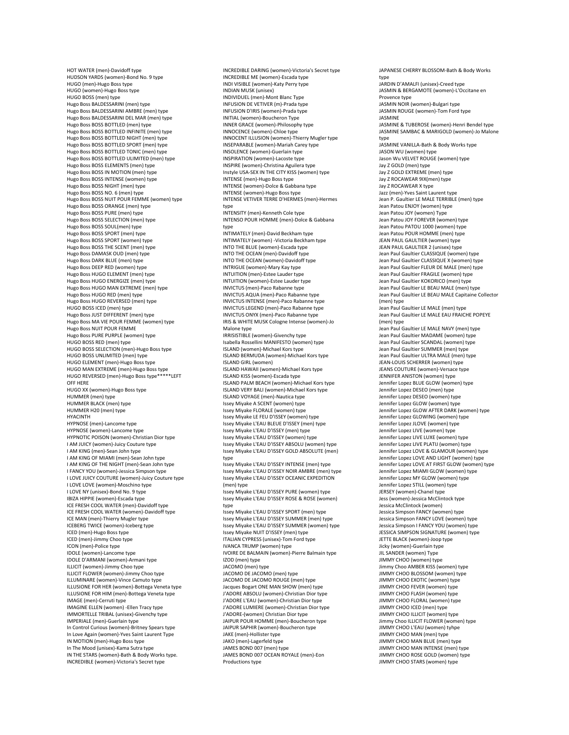HOT WATER (men)-Davidoff type HUDSON YARDS (women)-Bond No. 9 type HUGO (men)-Hugo Boss type HUGO (women)-Hugo Boss type HUGO BOSS (men) type Hugo Boss BALDESSARINI (men) type Hugo Boss BALDESSARINI AMBRE (men) type Hugo Boss BALDESSARINI DEL MAR (men) type Hugo Boss BOSS BOTTLED (men) type Hugo Boss BOSS BOTTLED INFINITE (men) type<br>Hugo Boss BOSS BOTTLED NIGHT (men) type Hugo Boss BOSS BOTTLED SPORT (men) type Hugo Boss BOSS BOTTLED TONIC (men) type Hugo Boss BOSS BOTTLED ULIMITED (men) type<br>Hugo Boss BOSS ELEMENTS (men) type Hugo Boss BOSS IN MOTION (men) type Hugo Boss BOSS INTENSE (women) type Hugo Boss BOSS NIGHT (men) type Hugo Boss BOSS NO. 6 (men) type Hugo Boss BOSS NUIT POUR FEMME (women) type Hugo Boss BOSS ORANGE (men) type Hugo Boss BOSS PURE (men) type Hugo Boss BOSS SELECTION (men) type Hugo Boss BOSS SOUL(men) type Hugo Boss BOSS SPORT (men) type Hugo Boss BOSS SPORT (women) type Hugo Boss BOSS THE SCENT (men) type Hugo Boss DAMASK OUD (men) type Hugo Boss DARK BLUE (men) type Hugo Boss DEEP RED (women) type Hugo Boss HUGO ELEMENT (men) type Hugo Boss HUGO ENERGIZE (men) type Hugo Boss HUGO MAN EXTREME (men) type Hugo Boss HUGO RED (men) type Hugo Boss HUGO REVERSED (men) type HUGO BOSS ICED (men) type Hugo Boss JUST DIFFERENT (men) type Hugo Boss MA VIE POUR FEMME (women) type Hugo Boss NUIT POUR FEMME Hugo Boss PURE PURPLE (women) type HUGO BOSS RED (men) type HUGO BOSS SELECTION (men)-Hugo Boss type HUGO BOSS UNLIMITED (men) type HUGO ELEMENT (men)-Hugo Boss type HUGO MAN EXTREME (men)-Hugo Boss type HUGO REVERSED (men)-Hugo Boss type\*\*\*\*\*LEFT OFF HERE HUGO XX (women)-Hugo Boss type HUMMER (men) type HUMMER BLACK (men) type HUMMER H20 (men) type HYACINTH HYPNOSE (men)-Lancome type HYPNOSE (women)-Lancome type HYPNOTIC POISON (women)-Christian Dior type I AM JUICY (women)-Juicy Couture type I AM KING (men)-Sean John type I AM KING OF MIAMI (men)-Sean John type I AM KING OF THE NIGHT (men)-Sean John type I FANCY YOU (women)-Jessica Simpson type I LOVE JUICY COUTURE (women)-Juicy Couture type I LOVE LOVE (women)-Moschino type I LOVE NY (unisex)-Bond No. 9 type IBIZA HIPPIE (women)-Escada type ICE FRESH COOL WATER (men)-Davidoff type ICE FRESH COOL WATER (women)-Davidoff type ICE MAN (men)-Thierry Mugler type ICEBERG TWICE (women)-Iceberg type ICED (men)-Hugo Boss type ICED (men)-Jimmy Choo type ICON (men)-Police type IDOLE (women)-Lancome type IDOLE D'ARMANI (women)-Armani type ILLICIT (women)-Jimmy Choo type ILLICIT FLOWER (women)-Jimmy Choo type ILLUMINARE (women)-Vince Camuto type ILLUSIONE FOR HER (women)-Bottega Veneta type ILLUSIONE FOR HIM (men)-Bottega Veneta type IMAGE (men)-Cerruti type IMAGINE ELLEN (women) -Ellen Tracy type IMMORTELLE TRIBAL (unisex)-Givenchy type IMPERIALE (men)-Guerlain type In Control Curious (women)-Britney Spears type In Love Again (women)-Yves Saint Laurent Type IN MOTION (men)-Hugo Boss type In The Mood (unisex)-Kama Sutra type IN THE STARS (women)-Bath & Body Works type. INCREDIBLE (women)-Victoria's Secret type

INCREDIBLE DARING (women)-Victoria's Secret type INCREDIBLE ME (women)-Escada type INDI VISIBLE (women)-Katy Perry type INDIAN MUSK (unisex) INDIVIDUEL (men)-Mont Blanc Type INFUSION DE VETIVER (m)-Prada type INFUSION D'IRIS (women)-Prada type INITIAL (women)-Boucheron Type INNER GRACE (women)-Philosophy type INNOCENCE (women)-Chloe type INNOCENT ILLUSION (women)-Thierry Mugler type INSEPARABLE (women)-Mariah Carey type INSOLENCE (women)-Guerlain type INSPIRATION (women)-Lacoste type INSPIRE (women)-Christina Aguilera type Instyle USA-SEX IN THE CITY KISS (women) type INTENSE (men)-Hugo Boss type INTENSE (women)-Dolce & Gabbana type INTENSE (women)-Hugo Boss type INTENSE VETIVER TERRE D'HERMES (men)-Hermes type INTENSITY (men)-Kenneth Cole type INTENSO POUR HOMME (men)-Dolce & Gabbana type INTIMATELY (men)-David Beckham type INTIMATELY (women) -Victoria Beckham type INTO THE BLUE (women)-Escada type INTO THE OCEAN (men)-Davidoff type INTO THE OCEAN (women)-Davidoff type INTRIGUE (women)-Mary Kay type INTUITION (men)-Estee Lauder type INTUITION (women)-Estee Lauder type INVICTUS (men)-Paco Rabanne type INVICTUS AQUA (men)-Paco Rabanne type INVICTUS INTENSE (men)-Paco Rabanne type INVICTUS LEGEND (men)-Paco Rabanne type INVICTUS ONYX (men)-Paco Rabanne type IRIS & WHITE MUSK Cologne Intense (women)-Jo Malone type IRRISISTIBLE (women)-Givenchy type Isabella Rossellini MANIFESTO (women) type ISLAND (women)-Michael Kors type ISLAND BERMUDA (women)-Michael Kors type ISLAND GIRL (women) ISLAND HAWAII (women)-Michael Kors type ISLAND KISS (women)-Escada type ISLAND PALM BEACH (women)-Michael Kors type ISLAND VERY BALI (women)-Michael Kors type ISLAND VOYAGE (men)-Nautica type Issey Miyake A SCENT (women) type Issey Miyake FLORALE (women) type Issey Miyake LE FEU D'ISSEY (women) type Issey Miyake L'EAU BLEUE D'ISSEY (men) type Issey Miyake L'EAU D'ISSEY (men) type Issey Miyake L'EAU D'ISSEY (women) type Issey Miyake L'EAU D'ISSEY ABSOLU (women) type Issey Miyake L'EAU D'ISSEY GOLD ABSOLUTE (men) type Issey Miyake L'EAU D'ISSEY INTENSE (men) type Issey Miyake L'EAU D'ISSEY NOIR AMBRE (men) type Issey Miyake L'EAU D'ISSEY OCEANIC EXPEDITION (men) type Issey Miyake L'EAU D'ISSEY PURE (women) type Issey Miyake L'EAU D'ISSEY ROSE & ROSE (women) type Issey Miyake L'EAU D'ISSEY SPORT (men) type Issey Miyake L'EAU D'ISSEY SUMMER (men) type Issey Miyake L'EAU D'ISSEY SUMMER (women) type Issey Miyake NUIT D'ISSEY (men) type ITALIAN CYPRESS (unisex)-Tom Ford type IVANCA TRUMP (women) type IVOIRE DE BALMAIN (women)-Pierre Balmain type IZOD (men) type JACOMO (men) type JACOMO DE JACOMO (men) type JACOMO DE JACOMO ROUGE (men) type Jacques Bogart ONE MAN SHOW (men) type J'ADORE ABSOLU (women)-Christian Dior type J'ADORE L'EAU (women)-Christian Dior type J'ADORE LUMIERE (women)-Christian Dior type J'ADORE-(women) Christian Dior type JAIPUR POUR HOMME (men)-Boucheron type JAIPUR SAPHIR (women)-Boucheron type JAKE (men)-Hollister type JAKO (men)-Lagerfeld type JAMES BOND 007 (men) type JAMES BOND 007 OCEAN ROYALE (men)-Eon Productions type

JAPANESE CHERRY BLOSSOM-Bath & Body Works type JARDIN D'AMALFI (unisex)-Creed type JASMIN & BERGAMOTE (women)-L'Occitane en Provence type JASMIN NOIR (women)-Bulgari type JASMIN ROUGE (women)-Tom Ford type JASMINE JASMINE & TUBEROSE (women)-Henri Bendel type JASMINE SAMBAC & MARIGOLD (women)-Jo Malone type JASMINE VANILLA-Bath & Body Works type JASON WU (women) type Jason Wu VELVET ROUGE (women) type Jay Z GOLD (men) type Jay Z GOLD EXTREME (men) type Jay Z ROCAWEAR 9IX(men) type Jay Z ROCAWEAR X type Jazz (men)-Yves Saint Laurent type Jean P. Gaultier LE MALE TERRIBLE (men) type Jean Patou ENJOY (women) type Jean Patou JOY (women) Type Jean Patou JOY FOREVER (women) type Jean Patou PATOU 1000 (women) type Jean Patou POUR HOMME (men) type JEAN PAUL GAULTIER (women) type JEAN PAUL GAULTIER 2 (unisex) type Jean Paul Gaultier CLASSIQUE (women) type Jean Paul Gaultier CLASSIQUE X (women) type Jean Paul Gaultier FLEUR DE MALE (men) type Jean Paul Gaultier FRAGILE (women) type Jean Paul Gaultier KOKORICO (men) type Jean Paul Gaultier LE BEAU MALE (men) type Jean Paul Gaultier LE BEAU MALE Capitaine Collector (men) type Jean Paul Gaultier LE MALE (men) type Jean Paul Gaultier LE MALE EAU FRAICHE POPEYE (men) type Jean Paul Gaultier LE MALE NAVY (men) type Jean Paul Gaultier MADAME (women) type Jean Paul Gaultier SCANDAL (women) type Jean Paul Gaultier SUMMER (men) type Jean Paul Gaultier ULTRA MALE (men) type JEAN-LOUIS SCHERRER (women) type JEANS COUTURE (women)-Versace type JENNIFER ANISTON (women) type Jennifer Lopez BLUE GLOW (women) type Jennifer Lopez DESEO (men) type Jennifer Lopez DESEO (women) type Jennifer Lopez GLOW (women) type Jennifer Lopez GLOW AFTER DARK (women) type Jennifer Lopez GLOWING (women) type Jennifer Lopez JLOVE (women) type Jennifer Lopez LIVE (women) type Jennifer Lopez LIVE LUXE (women) type Jennifer Lopez LIVE PLATIJ (women) type Jennifer Lopez LOVE & GLAMOUR (women) type Jennifer Lopez LOVE AND LIGHT (women) type Jennifer Lopez LOVE AT FIRST GLOW (women) type Jennifer Lopez MIAMI GLOW (women) type Jennifer Lopez MY GLOW (women) type Jennifer Lopez STILL (women) type JERSEY (women)-Chanel type Jess (women)-Jessica McClintock type Jessica McClintock (women) Jessica Simpson FANCY (women) type Jessica Simpson FANCY LOVE (women) type Jessica Simpson I FANCY YOU (women) type JESSICA SIMPSON SIGNATURE (women) type JETTE BLACK (women)-Joop type Jicky (women)-Guerlain type JIL SANDER (women) Type JIMMY CHOO (women) type Jimmy Choo AMBER KISS (women) type JIMMY CHOO BLOSSOM (women) type JIMMY CHOO EXOTIC (women) type JIMMY CHOO FEVER (women) type JIMMY CHOO FLASH (women) type JIMMY CHOO FLORAL (women) type JIMMY CHOO ICED (men) type JIMMY CHOO ILLICIT (women) type Jimmy Choo ILLICIT FLOWER (women) type JIMMY CHOO L'EAU (women) tyhpe JIMMY CHOO MAN (men) type JIMMY CHOO MAN BLUE (men) type JIMMY CHOO MAN INTENSE (men) type JIMMY CHOO ROSE GOLD (women) type JIMMY CHOO STARS (women) type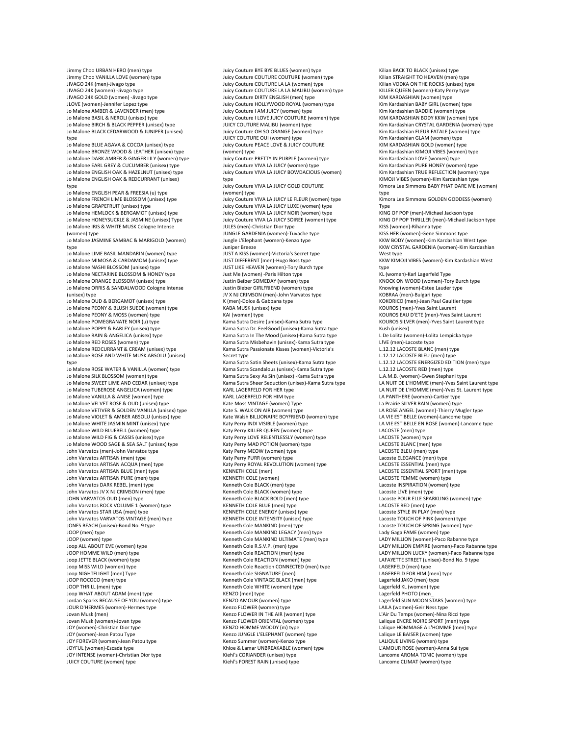Jimmy Choo URBAN HERO (men) type Jimmy Choo VANILLA LOVE (women) type JIVAGO 24K (men)-Jivago type JIVAGO 24K (women) -Jivago type JIVAGO 24K GOLD (women) -Jivago type JLOVE (women)-Jennifer Lopez type Jo Malone AMBER & LAVENDER (men) type Jo Malone BASIL & NEROLI (unisex) type Jo Malone BIRCH & BLACK PEPPER (unisex) type Jo Malone BLACK CEDARWOOD & JUNIPER (unisex) type Jo Malone BLUE AGAVA & COCOA (unisex) type Jo Malone BRONZE WOOD & LEATHER (unisex) type Jo Malone DARK AMBER & GINGER LILY (women) type Jo Malone EARL GREY & CUCUMBER (unisex) type Jo Malone ENGLISH OAK & HAZELNUT (unisex) type Jo Malone ENGLISH OAK & REDCURRANT (unisex) type Jo Malone ENGLISH PEAR & FREESIA (u) type Jo Malone FRENCH LIME BLOSSOM (unisex) type Jo Malone GRAPEFRUIT (unisex) type Jo Malone HEMLOCK & BERGAMOT (unisex) type Jo Malone HONEYSUCKLE & JASMINE (unisex) Type Jo Malone IRIS & WHITE MUSK Cologne Intense (women) type Jo Malone JASMINE SAMBAC & MARIGOLD (women) type Jo Malone LIME BASIL MANDARIN (women) type Jo Malone MIMOSA & CARDAMOM (unisex) type Jo Malone NASHI BLOSSOM (unisex) type Jo Malone NECTARINE BLOSSOM & HONEY type Jo Malone ORANGE BLOSSOM (unisex) type Jo Malone ORRIS & SANDALWOOD Cologne Intense (unisex) type Jo Malone OUD & BERGAMOT (unisex) type Jo Malone PEONY & BLUSH SUEDE (women) type Jo Malone PEONY & MOSS (women) type Jo Malone POMEGRANATE NOIR (u) type Jo Malone POPPY & BARLEY (unisex) type Jo Malone RAIN & ANGELICA (unisex) type Jo Malone RED ROSES (women) type Jo Malone REDCURRANT & CREAM (unisex) type Jo Malone ROSE AND WHITE MUSK ABSOLU (unisex) type Jo Malone ROSE WATER & VANILLA (women) type Jo Malone SILK BLOSSOM (women) type Jo Malone SWEET LIME AND CEDAR (unisex) type Jo Malone TUBEROSE ANGELICA (women) type Jo Malone VANILLA & ANISE (women) type Jo Malone VELVET ROSE & OUD (unisex) type Jo Malone VETIVER & GOLDEN VANILLA (unisex) type Jo Malone VIOLET & AMBER ABSOLU (unisex) type Jo Malone WHITE JASMIN MINT (unisex) type Jo Malone WILD BLUEBELL (women) type Jo Malone WILD FIG & CASSIS (unisex) type Jo Malone WOOD SAGE & SEA SALT (unisex) type John Varvatos (men)-John Varvatos type John Varvatos ARTISAN (men) type John Varvatos ARTISAN ACQUA (men) type John Varvatos ARTISAN BLUE (men) type John Varvatos ARTISAN PURE (men) type John Varvatos DARK REBEL (men) type John Varvatos JV X NJ CRIMSON (men) type JOHN VARVATOS OUD (men) type John Varvatos ROCK VOLUME 1 (women) type John Varvatos STAR USA (men) type John Varvatos VARVATOS VINTAGE (men) type JONES BEACH (unisex)-Bond No. 9 type JOOP (men) type JOOP (women) type Joop ALL ABOUT EVE (women) type JOOP HOMME WILD (men) type Joop JETTE BLACK (women) type Joop MISS WILD (women) type Joop NIGHTFLIGHT (men) Type JOOP ROCOCO (men) type JOOP THRILL (men) type Joop WHAT ABOUT ADAM (men) type Jordan Sparks BECAUSE OF YOU (women) type JOUR D'HERMES (women)-Hermes type Jovan Musk (men) Jovan Musk (women)-Jovan type JOY (women)-Christian Dior type JOY (women)-Jean Patou Type JOY FOREVER (women)-Jean Patou type JOYFUL (women)-Escada type JOY INTENSE (women)-Christian Dior type JUICY COUTURE (women) type

Juicy Couture BYE BYE BLUES (women) type Juicy Couture COUTURE COUTURE (women) type Juicy Couture COUTURE LA LA (women) type Juicy Couture COUTURE LA LA MALIBU (women) type Juicy Couture DIRTY ENGLISH (men) type Juicy Couture HOLLYWOOD ROYAL (women) type Juicy Couture I AM JUICY (women) type Juicy Couture I LOVE JUICY COUTURE (women) type JUICY COUTURE MALIBU (women) type Juicy Couture OH SO ORANGE (women) type JUICY COUTURE OUI (women) type Juicy Couture PEACE LOVE & JUICY COUTURE (women) type Juicy Couture PRETTY IN PURPLE (women) type Juicy Couture VIVA LA JUICY (women) type Juicy Couture VIVA LA JUICY BOWDACIOUS (women) type Juicy Couture VIVA LA JUICY GOLD COUTURE (women) type Juicy Couture VIVA LA JUICY LE FLEUR (women) type Juicy Couture VIVA LA JUICY LUXE (women) type Juicy Couture VIVA LA JUICY NOIR (women) type Juicy Couture VIVA LA JUICY SOIREE (women) type JULES (men)-Christian Dior type JUNGLE GARDENIA (women)-Tuvache type Jungle L'Elephant (women)-Kenzo type Juniper Breeze JUST A KISS (women)-Victoria's Secret type JUST DIFFERENT (men)-Hugo Boss type JUST LIKE HEAVEN (women)-Tory Burch type Just Me (women) -Paris Hilton type Justin Beiber SOMEDAY (women) type Justin Bieber GIRLFRIEND (women) type JV X NJ CRIMSON (men)-John Varvatos type K (men)-Dolce & Gabbana type KABA MUSK (unisex) type KAI (women) type Kama Sutra Desire (unisex)-Kama Sutra type Kama Sutra Dr. FeelGood (unisex)-Kama Sutra type Kama Sutra In The Mood (unisex)-Kama Sutra type Kama Sutra Misbehavin (unisex)-Kama Sutra type Kama Sutra Passionate Kisses (women)-Victoria's Secret type Kama Sutra Satin Sheets (unisex)-Kama Sutra type Kama Sutra Scandalous (unisex)-Kama Sutra type Kama Sutra Sexy As Sin (unisex) -Kama Sutra type Kama Sutra Sheer Seduction (unisex)-Kama Sutra type KARL LAGERFELD FOR HER type KARL LAGERFELD FOR HIM type Kate Moss VINTAGE (women) Type Kate S. WALK ON AIR (women) type Kate Walsh BILLIONAIRE BOYFRIEND (women) type Katy Perry INDI VISIBLE (women) type Katy Perry KILLER QUEEN (women) type Katy Perry LOVE RELENTLESSLY (women) type Katy Perry MAD POTION (women) type Katy Perry MEOW (women) type Katy Perry PURR (women) type Katy Perry ROYAL REVOLUTION (women) type KENNETH COLE (men) KENNETH COLE (women) Kenneth Cole BLACK (men) type Kenneth Cole BLACK (women) type Kenneth Cole BLACK BOLD (men) type KENNETH COLE BLUE (men) type KENNETH COLE ENERGY (unisex) type KENNETH COLE INTENSITY (unisex) type Kenneth Cole MANKIND (men) type Kenneth Cole MANKIND LEGACY (men) type Kenneth Cole MANKIND ULTIMATE (men) type Kenneth Cole R.S.V.P. (men) type Kenneth Cole REACTION (men) type Kenneth Cole REACTION (women) type Kenneth Cole Reaction CONNECTED (men) type Kenneth Cole SIGNATURE (men) Kenneth Cole VINTAGE BLACK (men) type Kenneth Cole WHITE (women) type KENZO (men) type KENZO AMOUR (women) type Kenzo FLOWER (women) type Kenzo FLOWER IN THE AIR (women) type Kenzo FLOWER ORIENTAL (women) type KENZO HOMME WOODY (m) type Kenzo JUNGLE L'ELEPHANT (women) type Kenzo Summer (women)-Kenzo type Khloe & Lamar UNBREAKABLE (women) type Kiehl's CORIANDER (unisex) type Kiehl's FOREST RAIN (unisex) type

Kilian BACK TO BLACK (unisex) type Kilian STRAIGHT TO HEAVEN (men) type Kilian VODKA ON THE ROCKS (unisex) type KILLER QUEEN (women)-Katy Perry type KIM KARDASHIAN (women) type Kim Kardashian BABY GIRL (women) type Kim Kardashian BADDIE (women) type KIM KARDASHIAN BODY KKW (women) type Kim Kardashian CRYSTAL GARDENIA (women) type Kim Kardashian FLEUR FATALE (women) type Kim Kardashian GLAM (women) type KIM KARDASHIAN GOLD (women) type Kim Kardashian KIMOJI VIBES (women) type Kim Kardashian LOVE (women) type Kim Kardashian PURE HONEY (women) type Kim Kardashian TRUE REFLECTION (women) type KIMOJI VIBES (women)-Kim Kardashian type Kimora Lee Simmons BABY PHAT DARE ME (w type<br>Kimora Lee Simmons GOLDEN GODDESS (women) Type KING OF POP (men)-Michael Jackson type KING OF POP THRILLER (men)-Michael Jackson type KISS (women)-Rihanna type KISS HER (women)-Gene Simmons type KKW BODY (women)-Kim Kardashian West type KKW CRYSTAL GARDENIA (women)-Kim Kardashian West type KKW KIMOJI VIBES (women)-Kim Kardashian West type KL (women)-Karl Lagerfeld Type KNOCK ON WOOD (women)-Tory Burch type Knowing (women)-Estee Lauder type KOBRAA (men)-Bulgari type KOKORICO (men)-Jean Paul Gaultier type KOUROS (men)-Yves Saint Laurent KOUROS EAU D'ETE (men)-Yves Saint Laurent KOUROS SILVER (men)-Yves Saint Laurent type Kush (unisex) L De Lolita (women)-Lolita Lempicka type L!VE (men)-Lacoste type L.12.12 LACOSTE BLANC (men) type L.12.12 LACOSTE BLEU (men) type L.12.12 LACOSTE ENERGIZED EDITION (men) type L.12.12 LACOSTE RED (men) type L.A.M.B. (women)-Gwen Stephani type LA NUIT DE L'HOMME (men)-Yves Saint Laurent type LA NUIT DE L'HOMME (men)-Yves St. Laurent type LA PANTHERE (women)-Cartier type<br>La Prairie SILVER RAIN (women) type<br>LA ROSE ANGEL (women)-Thierry Mugler type LA VIE EST BELLE (women)-Lancome type LA VIE EST BELLE EN ROSE (women)-Lancome type LACOSTE (men) type LACOSTE (women) type LACOSTE BLANC (men) type LACOSTE BLEU (men) type Lacoste ELEGANCE (men) type LACOSTE ESSENTIAL (men) type LACOSTE ESSENTIAL SPORT (men) type LACOSTE FEMME (women) type Lacoste INSPIRATION (women) type Lacoste L!VE (men) type Lacoste POUR ELLE SPARKLING (women) type LACOSTE RED (men) type Lacoste STYLE IN PLAY (men) type Lacoste TOUCH OF PINK (women) type Lacoste TOUCH OF SPRING (women) type Lady Gaga FAME (women) type LADY MILLION (women)-Paco Rabanne type LADY MILLION EMPIRE (women)-Paco Rabanne type LADY MILLION LUCKY (women)-Paco Rabanne type LAFAYETTE STREET (unisex)-Bond No. 9 type LAGERFELD (men) type LAGERFELD FOR HIM (men) type Lagerfeld JAKO (men) type Lagerfeld KL (women) type Lagerfeld PHOTO (men\_ Lagerfeld SUN MOON STARS (women) type LAILA (women)-Geir Ness type L'Air Du Temps (women)-Nina Ricci type Lalique ENCRE NOIRE SPORT (men) type Lalique HOMMAGE A L'HOMME (men) type Lalique LE BAISER (women) type LALIQUE LIVING (women) type L'AMOUR ROSE (women)-Anna Sui type Lancome AROMA TONIC (women) type Lancome CLIMAT (women) type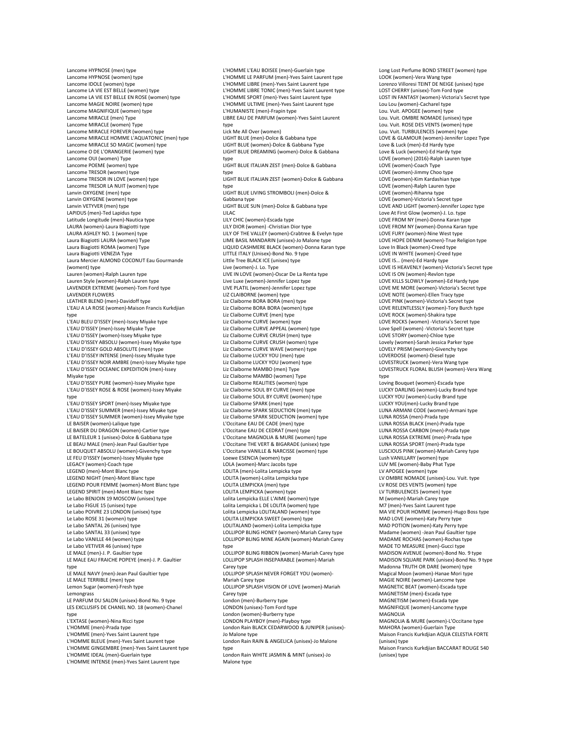Lancome HYPNOSE (men) type Lancome HYPNOSE (women) type Lancome IDOLE (women) type Lancome LA VIE EST BELLE (women) type Lancome LA VIE EST BELLE EN ROSE (women) type Lancome MAGIE NOIRE (women) type Lancome MAGNIFIQUE (women) type Lancome MIRACLE (men) Type Lancome MIRACLE (women) Type Lancome MIRACLE FOREVER (women) type Lancome MIRACLE HOMME L'AQUATONIC (men) type Lancome MIRACLE SO MAGIC (women) type Lancome O DE L'ORANGERIE (women) type Lancome OUI (women) Type Lancome POEME (women) type Lancome TRESOR (women) type Lancome TRESOR IN LOVE (women) type Lancome TRESOR LA NUIT (women) type Lanvin OXYGENE (men) type Lanvin OXYGENE (women) type Lanvin VETYVER (men) type LAPIDUS (men)-Ted Lapidus type Latitude Longitude (men)-Nautica type LAURA (women)-Laura Biagiotti type LAURA ASHLEY NO. 1 (women) type Laura Biagiotti LAURA (women) Type Laura Biagiotti ROMA (women) Type Laura Biagiotti VENEZIA Type Laura Mercier ALMOND COCONUT Eau Gourmande (woment) type Lauren (women)-Ralph Lauren type Lauren Style (women)-Ralph Lauren type LAVENDER EXTREME (women)-Tom Ford type LAVENDER FLOWERS LEATHER BLEND (men)-Davidoff type L'EAU A LA ROSE (women)-Maison Francis Kurkdjian type L'EAU BLEU D'ISSEY (men)-Issey Miyake type L'EAU D'ISSEY (men)-Issey Miyake Type L'EAU D'ISSEY (women)-Issey Miyake type L'EAU D'ISSEY ABSOLU (women)-Issey Miyake type L'EAU D'ISSEY GOLD ABSOLUTE (men) type L'EAU D'ISSEY INTENSE (men)-Issey Miyake type L'EAU D'ISSEY NOIR AMBRE (men)-Issey Miyake type L'EAU D'ISSEY OCEANIC EXPEDITION (men)-Issey Miyake type L'EAU D'ISSEY PURE (women)-Issey Miyake type L'EAU D'ISSEY ROSE & ROSE (women)-Issey Miyake type L'EAU D'ISSEY SPORT (men)-Issey Miyake type L'EAU D'ISSEY SUMMER (men)-Issey Miyake type L'EAU D'ISSEY SUMMER (women)-Issey Miyake type LE BAISER (women)-Lalique type LE BAISER DU DRAGON (women)-Cartier type LE BATELEUR 1 (unisex)-Dolce & Gabbana type LE BEAU MALE (men)-Jean Paul Gaultier type LE BOUQUET ABSOLU (women)-Givenchy type LE FEU D'ISSEY (women)-Issey Miyake type LEGACY (women)-Coach type LEGEND (men)-Mont Blanc type LEGEND NIGHT (men)-Mont Blanc type LEGEND POUR FEMME (women)-Mont Blanc type LEGEND SPIRIT (men)-Mont Blanc type Le Labo BENJOIN 19 MOSCOW (unisex) type Le Labo FIGUE 15 (unisex) type Le Labo POIVRE 23 LONDON (unisex) type Le Labo ROSE 31 (women) type Le Labo SANTAL 26 (unisex) type Le Labo SANTAL 33 (unisex) type Le Labo VANILLE 44 (women) type Le Labo VETIVER 46 (unisex) type LE MALE (men)-J. P. Gaultier type LE MALE EAU FRAICHE POPEYE (men)-J. P. Gaultier type LE MALE NAVY (men)-Jean Paul Gaultier type LE MALE TERRIBLE (men) type Lemon Sugar (women)-Fresh type Lemongrass LE PARFUM DU SALON (unisex)-Bond No. 9 type LES EXCLUSIFS DE CHANEL NO. 18 (women)-Chanel type L'EXTASE (women)-Nina Ricci type L'HOMME (men)-Prada type L'HOMME (men)-Yves Saint Laurent type L'HOMME BLEUE (men)-Yves Saint Laurent type L'HOMME GINGEMBRE (men)-Yves Saint Laurent type L'HOMME IDEAL (men)-Guerlain type L'HOMME INTENSE (men)-Yves Saint Laurent type

L'HOMME L'EAU BOISEE (men)-Guerlain type L'HOMME LE PARFUM (men)-Yves Saint Laurent type L'HOMME LIBRE (men)-Yves Saint Laurent type L'HOMME LIBRE TONIC (men)-Yves Saint Laurent type L'HOMME SPORT (men)-Yves Saint Laurent type L'HOMME ULTIME (men)-Yves Saint Laurent type L'HUMANISTE (men)-Frapin type LIBRE EAU DE PARFUM (women)-Yves Saint Laurent type Lick Me All Over (women) LIGHT BLUE (men)-Dolce & Gabbana type LIGHT BLUE (women)-Dolce & Gabbana Type LIGHT BLUE DREAMING (women)-Dolce & Gabbana type LIGHT BLUE ITALIAN ZEST (men)-Dolce & Gabbana type LIGHT BLUE ITALIAN ZEST (women)-Dolce & Gabbana type LIGHT BLUE LIVING STROMBOLI (men)-Dolce & Gabbana type LIGHT BLUE SUN (men)-Dolce & Gabbana type LILAC LILY CHIC (women)-Escada type LILY DIOR (women) -Christian Dior type LILY OF THE VALLEY (women)-Crabtree & Evelyn type LIME BASIL MANDARIN (unisex)-Jo Malone type LIQUID CASHMERE BLACK (women)-Donna Karan type LITTLE ITALY (Unisex)-Bond No. 9 type Little Tree BLACK ICE (unisex) type Live (women)-J. Lo. Type LIVE IN LOVE (women)-Oscar De La Renta type Live Luxe (women)-Jennifer Lopez type LIVE PLATIL (women)-Jennifer Lopez type LIZ CLAIBORNE (women) type Liz Claiborne BORA BORA (men) type Liz Claiborne BORA BORA (women) type Liz Claiborne CURVE (men) type Liz Claiborne CURVE (women) type Liz Claiborne CURVE APPEAL (women) type Liz Claiborne CURVE CRUSH (men) type Liz Claiborne CURVE CRUSH (women) type Liz Claiborne CURVE WAVE (women) type Liz Claiborne LUCKY YOU (men) type Liz Claiborne LUCKY YOU (women) type Liz Claiborne MAMBO (men) Type Liz Claiborne MAMBO (women) Type Liz Claiborne REALITIES (women) type Liz Claiborne SOUL BY CURVE (men) type Liz Claiborne SOUL BY CURVE (women) type Liz Claiborne SPARK (men) type Liz Claiborne SPARK SEDUCTION (men) type Liz Claiborne SPARK SEDUCTION (women) type L'Occitane EAU DE CADE (men) type L'Occitane EAU DE CEDRAT (men) type L'Occitane MAGNOLIA & MURE (women) type L'Occitane THE VERT & BIGARADE (unisex) type L'Occitane VANILLE & NARCISSE (women) type Loewe ESENCIA (women) type LOLA (women)-Marc Jacobs type LOLITA (men)-Lolita Lempicka type LOLITA (women)-Lolita Lempicka type LOLITA LEMPICKA (men) type LOLITA LEMPICKA (women) type Lolita Lempicka ELLE L'AIME (women) type Lolita Lempicka L DE LOLITA (women) type Lolita Lempicka LOLITALAND (women) type LOLITA LEMPICKA SWEET (women) type LOLITALAND (women)-Lolita Lempicka type LOLLIPOP BLING HONEY (women)-Mariah Carey type LOLLIPOP BLING MINE AGAIN (women)-Mariah Carey type LOLLIPOP BLING RIBBON (women)-Mariah Carey type LOLLIPOP SPLASH INSEPARABLE (women)-Mariah Carey type LOLLIPOP SPLASH NEVER FORGET YOU (women)- Mariah Carey type LOLLIPOP SPLASH VISION OF LOVE (women)-Mariah Carey type London (men)-Burberry type LONDON (unisex)-Tom Ford type London (women)-Burberry type LONDON PLAYBOY (men)-Playboy type London Rain BLACK CEDARWOOD & JUNIPER (unisex)- Jo Malone type London Rain RAIN & ANGELICA (unisex)-Jo Malone type London Rain WHITE JASMIN & MINT (unisex)-Jo Malone type

Long Lost Perfume BOND STREET (women) type LOOK (women)-Vera Wang type Lorenzo Villoresi TEINT DE NEIGE (unisex) type LOST CHERRY (unisex)-Tom Ford type LOST IN FANTASY (women)-Victoria's Secret type Lou Lou (women)-Cacharel type Lou. Vuit. APOGEE (women) type Lou. Vuit. OMBRE NOMADE (unisex) type Lou. Vuit. ROSE DES VENTS (women) type Lou. Vuit. TURBULENCES (women) type LOVE & GLAMOUR (women)-Jennifer Lopez Type Love & Luck (men)-Ed Hardy type Love & Luck (women)-Ed Hardy type LOVE (women) (2016)-Ralph Lauren type LOVE (women)-Coach Type LOVE (women)-Jimmy Choo type LOVE (women)-Kim Kardashian type LOVE (women)-Ralph Lauren type LOVE (women)-Rihanna type LOVE (women)-Victoria's Secret type LOVE AND LIGHT (women)-Jennifer Lopez type Love At First Glow (women)-J. Lo. type LOVE FROM NY (men)-Donna Karan type LOVE FROM NY (women)-Donna Karan type LOVE FURY (women)-Nine West type LOVE HOPE DENIM (women)-True Religion type Love In Black (women)-Creed type LOVE IN WHITE (women)-Creed type LOVE IS… (men)-Ed Hardy type LOVE IS HEAVENLY (women)-Victoria's Secret type LOVE IS ON (women)-Revlon type LOVE KILLS SLOWLY (women)-Ed Hardy type LOVE ME MORE (women)-Victoria's Secret type LOVE NOTE (women)-Ellen Tracy type LOVE PINK (women)-Victoria's Secret type LOVE RELENTLESSLY (women)-Tory Burch type LOVE ROCK (women)-Shakira type LOVE ROCKS (women) -Victoria's Secret type Love Spell (women) -Victoria's Secret type LOVE STORY (women)-Chloe type Lovely (women)-Sarah Jessica Parker type LOVELY PRISM (women)-Givenchy type LOVERDOSE (women)-Diesel type LOVESTRUCK (women)-Vera Wang type LOVESTRUCK FLORAL BLUSH (women)-Vera Wang type Loving Bouquet (women)-Escada type LUCKY DARLING (women)-Lucky Brand type LUCKY YOU (women)-Lucky Brand type LUCKY YOU(men)-Lucky Brand type LUNA ARMANI CODE (women)-Armani type LUNA ROSSA (men)-Prada type LUNA ROSSA BLACK (men)-Prada type LUNA ROSSA CARBON (men)-Prada type LUNA ROSSA EXTREME (men)-Prada type LUNA ROSSA SPORT (men)-Prada type LUSCIOUS PINK (women)-Mariah Carey type Lush VANILLARY (women) type LUV ME (women)-Baby Phat Type LV APOGEE (women) type LV OMBRE NOMADE (unisex)-Lou. Vuit. type LV ROSE DES VENTS (women) type LV TURBULENCES (women) type M (women)-Mariah Carey type M7 (men)-Yves Saint Laurent type MA VIE POUR HOMME (women)-Hugo Boss type MAD LOVE (women)-Katy Perry type MAD POTION (women)-Katy Perry type Madame (women) -Jean Paul Gaultier type MADAME ROCHAS (women)-Rochas type MADE TO MEASURE (men)-Gucci type MADISON AVENUE (women)-Bond No. 9 type MADISON SQUARE PARK (unisex)-Bond No. 9 type Madonna TRUTH OR DARE (women) type Magical Moon (women)-Hanae Mori type MAGIE NOIRE (women)-Lancome type MAGNETIC BEAT (women)-Escada type MAGNETISM (men)-Escada type MAGNETISM (women)-Escada type MAGNIFIQUE (women)-Lancome tyype MAGNOLIA MAGNOLIA & MURE (women)-L'Occitane type MAHORA (women)-Guerlain Type Maison Francis Kurkdjian AQUA CELESTIA FORTE (unisex) type Maison Francis Kurkdjian BACCARAT ROUGE 540 (unisex) type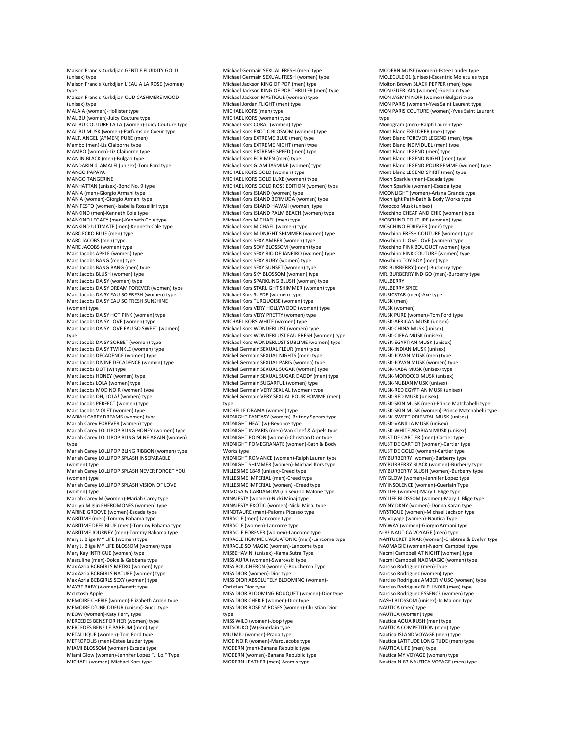Maison Francis Kurkdjian GENTLE FLUIDITY GOLD (unisex) type Maison Francis Kurkdjian L'EAU A LA ROSE (women) type Maison Francis Kurkdjian OUD CASHMERE MOOD (unisex) type MALAIA (women)-Hollister type MALIBU (women)-Juicy Couture type MALIBU COUTURE LA LA (women)-Juicy Couture type MALIBU MUSK (women)-Parfums de Coeur type MALT, ANGEL (A\*MEN) PURE (men) Mambo (men)-Liz Claiborne type MAMBO (women)-Liz Claiborne type MAN IN BLACK (men)-Bulgari type MANDARIN di AMALFI (unisex)-Tom Ford type MANGO PAPAYA MANGO TANGERINE MANHATTAN (unisex)-Bond No. 9 type MANIA (men)-Giorgio Armani type MANIA (women)-Giorgio Armani type MANIFESTO (women)-Isabella Rossellini type MANKIND (men)-Kenneth Cole type MANKIND LEGACY (men)-Kenneth Cole type MANKIND ULTIMATE (men)-Kenneth Cole type MARC ECKO BLUE (men) type MARC JACOBS (men) type MARC JACOBS (women) type Marc Jacobs APPLE (women) type Marc Jacobs BANG (men) type Marc Jacobs BANG BANG (men) type Marc Jacobs BLUSH (women) type Marc Jacobs DAISY (women) type Marc Jacobs DAISY DREAM FOREVER (women) type Marc Jacobs DAISY EAU SO FRESH (women) type Marc Jacobs DAISY EAU SO FRESH SUNSHINE (women) type Marc Jacobs DAISY HOT PINK (women) type Marc Jacobs DAISY LOVE (women) type Marc Jacobs DAISY LOVE EAU SO SWEET (women) type Marc Jacobs DAISY SORBET (women) type Marc Jacobs DAISY TWINKLE (women) type Marc Jacobs DECADENCE (women) type Marc Jacobs DIVINE DECADENCE (women) type Marc Jacobs DOT (w) type Marc Jacobs HONEY (women) type Marc Jacobs LOLA (women) type Marc Jacobs MOD NOIR (women) type Marc Jacobs OH, LOLA! (women) type Marc Jacobs PERFECT (women) type Marc Jacobs VIOLET (women) type MARIAH CAREY DREAMS (women) type Mariah Carey FOREVER (women) type Mariah Carey LOLLIPOP BLING HONEY (women) type Mariah Carey LOLLIPOP BLING MINE AGAIN (women) type Mariah Carey LOLLIPOP BLING RIBBON (women) type Mariah Carey LOLLIPOP SPLASH INSEPARABLE (women) type Mariah Carey LOLLIPOP SPLASH NEVER FORGET YOU (women) type Mariah Carey LOLLIPOP SPLASH VISION OF LOVE (women) type Mariah Carey M (women)-Mariah Carey type Marilyn Miglin PHEROMONES (women) type MARINE GROOVE (women)-Escada type MARITIME (men)-Tommy Bahama type MARITIME DEEP BLUE (men)-Tommy Bahama type MARITIME JOURNEY (men)-Tommy Bahama type Mary J. Blige MY LIFE (women) type Mary J. Blige MY LIFE BLOSSOM (women) type Mary Kay INTRIGUE (women) type Masculine (men)-Dolce & Gabbana type Max Azria BCBGIRLS METRO (women) type Max Azria BCBGIRLS NATURE (women) type Max Azria BCBGIRLS SEXY (women) type MAYBE BABY (women)-Benefit type McIntosh Apple MEMOIRE CHERIE (women)-Elizabeth Arden type MEMOIRE D'UNE ODEUR (unisex)-Gucci type MEOW (women)-Katy Perry type MERCEDES BENZ FOR HER (women) type MERCEDES BENZ LE PARFUM (men) type METALLIQUE (women)-Tom Ford type METROPOLIS (men)-Estee Lauder type MIAMI BLOSSOM (women)-Escada type Miami Glow (women)-Jennifer Lopez "J. Lo." Type MICHAEL (women)-Michael Kors type

Michael Germain SEXUAL FRESH (men) type Michael Germain SEXUAL FRESH (women) type Michael Jackson KING OF POP (men) type Michael Jackson KING OF POP THRILLER (men) type Michael Jackson MYSTIQUE (women) type Michael Jordan FLIGHT (men) type MICHAEL KORS (men) type MICHAEL KORS (women) type Michael Kors CORAL (women) type Michael Kors EXOTIC BLOSSOM (women) type Michael Kors EXTREME BLUE (men) type Michael Kors EXTREME NIGHT (men) type Michael Kors EXTREME SPEED (men) type Michael Kors FOR MEN (men) type Michael Kors GLAM JASMINE (women) type MICHAEL KORS GOLD (women) type MICHAEL KORS GOLD LUXE (women) type MICHAEL KORS GOLD ROSE EDITION (women) type Michael Kors ISLAND (women) type Michael Kors ISLAND BERMUDA (women) type Michael Kors ISLAND HAWAII (women) type Michael Kors ISLAND PALM BEACH (women) type Michael Kors MICHAEL (men) type Michael Kors MICHAEL (women) type Michael Kors MIDNIGHT SHIMMER (women) type Michael Kors SEXY AMBER (women) type Michael Kors SEXY BLOSSOM (women) type Michael Kors SEXY RIO DE JANEIRO (women) type Michael Kors SEXY RUBY (women) type Michael Kors SEXY SUNSET (women) type Michael Kors SKY BLOSSOM (women) type Michael Kors SPARKLING BLUSH (women) type Michael Kors Stammers Sessin (Women), type<br>Michael Kors STARLIGHT SHIMMER (women) type Michael Kors SUEDE (women) type Michael Kors TURQUOISE (women) type Michael Kors VERY HOLLYWOOD (women) type Michael Kors VERY PRETTY (women) type MICHAEL KORS WHITE (women) type Michael Kors WONDERLUST (women) type Michael Kors WONDERLUST EAU FRESH (women) type Michael Kors WONDERLUST SUBLIME (women) typ Michel Germain SEXUAL FLEUR (men) type Michel Germain SEXUAL NIGHTS (men) type Michel Germain SEXUAL PARIS (women) type Michel Germain SEXUAL SUGAR (women) type Michel Germain SEXUAL SUGAR DADDY (men) type Michel Germain SUGARFUL (women) type Michel Germain VERY SEXUAL (women) type Michel Germain VERY SEXUAL POUR HOMME (men) type MICHELLE OBAMA (women) type MIDNIGHT FANTASY (women)-Britney Spears type MIDNIGHT HEAT (w)-Beyonce type MIDNIGHT IN PARIS (men)-Van Cleef & Arpels type MIDNIGHT POISON (women)-Christian Dior type MIDNIGHT POMEGRANATE (women)-Bath & Body Works type MIDNIGHT ROMANCE (women)-Ralph Lauren type MIDNIGHT SHIMMER (women)-Michael Kors type MILLESIME 1849 (unisex)-Creed type MILLESIME IMPERIAL (men)-Creed type MILLESIME IMPERIAL (women) -Creed type MIMOSA & CARDAMOM (unisex)-Jo Malone type MINAJESTY (women)-Nicki Minaj type MINAJESTY EXOTIC (women)-Nicki Minaj type MINOTAURE (men)-Paloma Picasso type MIRACLE (men)-Lancome type MIRACLE (women)-Lancome type MIRACLE FOREVER (women)-Lancome type MIRACLE HOMME L'AQUATONIC (men)-Lancome type MIRACLE SO MAGIC (women)-Lancome type MISBEHAVIN' (unisex) -Kama Sutra Type MISS AURA (women)-Swarovski type MISS BOUCHERON (women)-Boucheron Type MISS DIOR (women)-Dior type MISS DIOR ABSOLUTELY BLOOMING (women)- Christian Dior type MISS DIOR BLOOMING BOUQUET (women)-Dior type MISS DIOR CHERIE (women)-Dior type MISS DIOR ROSE N' ROSES (women)-Christian Dior type MISS WILD (women)-Joop type MITSOUKO (W)-Guerlain type MIU MIU (women)-Prada type MOD NOIR (women)-Marc Jacobs type MODERN (men)-Banana Republic type MODERN (women)-Banana Republic type MODERN LEATHER (men)-Aramis type

MODERN MUSE (women)-Estee Lauder type MOLECULE 01 (unisex)-Escentric Molecules type Molton Brown BLACK PEPPER (men) type MON GUERLAIN (women)-Guerlain type MON JASMIN NOIR (women)-Bulgari type MON PARIS (women)-Yves Saint Laurent type MON PARIS COUTURE (women)-Yves Saint Laurent type Monogram (men)-Ralph Lauren type Mont Blanc EXPLORER (men) type Mont Blanc FOREVER LEGEND (men) type Mont Blanc INDIVIDUEL (men) type Mont Blanc LEGEND (men) type Mont Blanc LEGEND NIGHT (men) type Mont Blanc LEGEND POUR FEMME (women) type Mont Blanc LEGEND SPIRIT (men) type Moon Sparkle (men)-Escada type Moon Sparkle (women)-Escada type MOONLIGHT (women)-Ariana Grande type Moonlight Path-Bath & Body Works type Morocco Musk (unisex) Moschino CHEAP AND CHIC (women) type MOSCHINO COUTURE (women) type MOSCHINO FOREVER (men) type Moschino FRESH COUTURE (women) type Moschino I LOVE LOVE (women) type Moschino PINK BOUQUET (women) type Moschino PINK COUTURE (women) type Moschino TOY BOY (men) type MR. BURBERRY (men)-Burberry type MR. BURBERRY INDIGO (men)-Burberry type **MULRERRY** MULBERRY SPICE MUSICSTAR (men)-Axe type MUSK (men) MUSK (women) MUSK PURE (women)-Tom Ford type MUSK-AFRICAN MUSK (unisex) MUSK-CHINA MUSK (unisex) MUSK-CIERA MUSK (unisex) MUSK-EGYPTIAN MUSK (unisex) MUSK-INDIAN MUSK (unisex) MUSK-JOVAN MUSK (men) type MUSK-JOVAN MUSK (women) type MUSK-KABA MUSK (unisex) type MUSK-MOROCCO MUSK (unisex) MUSK-NUBIAN MUSK (unisex) MUSK-RED EGYPTIAN MUSK (unisex) MUSK-RED MUSK (unisex) MUSK-SKIN MUSK (men)-Prince Matchabelli type MUSK-SKIN MUSK (women)-Prince Matchabelli type MUSK-SWEET ORIENTAL MUSK (unisex) MUSK-VANILLA MUSK (unisex) MUSK-WHITE ARABIAN MUSK (unisex) MUST DE CARTIER (men)-Cartier type MUST DE CARTIER (women)-Cartier type MUST DE GOLD (women)-Cartier type MY BURBERRY (women)-Burberry type MY BURBERRY BLACK (women)-Burberry type MY BURBERRY BLUSH (women)-Burberry type MY GLOW (women)-Jennifer Lopez type MY INSOLENCE (women)-Guerlain Type MY LIFE (women)-Mary J. Blige type MY LIFE BLOSSOM (women)-Mary J. Blige type MY NY DKNY (women)-Donna Karan type MYSTIQUE (women)-Michael Jackson type My Voyage (women)-Nautica Type MY WAY (women)-Giorgio Armani type N-83 NAUTICA VOYAGE (men) type NANTUCKET BRIAR (women)-Crabtree & Evelyn type NAOMAGIC (women)-Naomi Campbell type Naomi Campbell AT NIGHT (women) type Naomi Campbell NAOMAGIC (women) type Narciso Rodriguez (men)-Type Narciso Rodriguez (women) type Narciso Rodriguez AMBER MUSC (women) type Narciso Rodriguez BLEU NOIR (men) type Narciso Rodriguez ESSENCE (women) type NASHI BLOSSOM (unisex)-Jo Malone type NAUTICA (men) type NAUTICA (women) type Nautica AQUA RUSH (men) type NAUTICA COMPETITION (men) type Nautica ISLAND VOYAGE (men) type Nautica LATITUDE LONGITUDE (men) type NAUTICA LIFE (men) type Nautica MY VOYAGE (women) type Nautica N-83 NAUTICA VOYAGE (men) type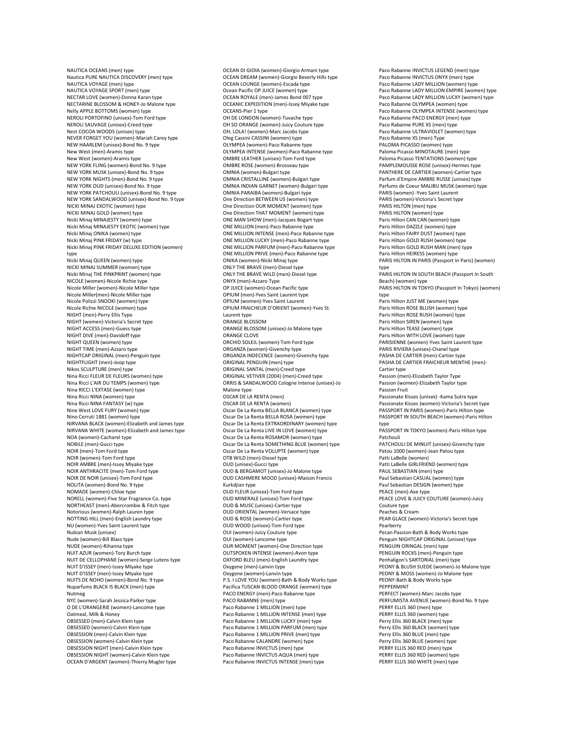NAUTICA OCEANS (men) type Nautica PURE NAUTICA DISCOVERY (men) type NAUTICA VOYAGE (men) type NAUTICA VOYAGE SPORT (men) type NECTAR LOVE (women)-Donna Karan type NECTARINE BLOSSOM & HONEY-Jo Malone type Nelly APPLE BOTTOMS (women) type NEROLI PORTOFINO (unisex)-Tom Ford type NEROLI SAUVAGE (unisex)-Creed type Nest COCOA WOODS (unisex) type NEVER FORGET YOU (women)-Mariah Carey type NEW HAARLEM (unisex)-Bond No. 9 type New West (men)-Aramis type New West (women)-Aramis type NEW YORK FLING (women)-Bond No. 9 type NEW YORK MUSK (unisex)-Bond No. 9 type NEW YORK NIGHTS (men)-Bond No. 9 type NEW YORK OUD (unisex)-Bond No. 9 type NEW YORK PATCHOULI (unisex)-Bond No. 9 type NEW YORK SANDALWOOD (unisex)-Bond No. 9 type NICKI MINAJ EXOTIC (women) type NICKI MINAJ GOLD (women) type Nicki Minaj MINAJESTY (women) type Nicki Minaj MINAJESTY EXOTIC (women) type Nicki Minaj ONIKA (women) type Nicki Minaj PINK FRIDAY (w) type Nicki Minaj PINK FRIDAY DELUXE EDITION (women) type Nicki Minaj QUEEN (women) type NICKI MINAJ SUMMER (women) type Nicki Minaj THE PINKPRINT (women) type NICOLE (women)-Nicole Richie type Nicole Miller (women)-Nicole Miller type Nicole Miller(men)-Nicole Miller type Nicole Polizzi SNOOKI (women) type Nicole Richie NICOLE (women) type NIGHT (men)-Perry Ellis Type NIGHT (women)-Victoria's Secret type NIGHT ACCESS (men)-Guess type NIGHT DIVE (men)-Davidoff type NIGHT QUEEN (women) type NIGHT TIME (men)-Azzaro type NIGHTCAP ORIGINAL (men)-Penguin type NIGHTFLIGHT (men)-Joop type Nikos SCULPTURE (men) type Nina Ricci FLEUR DE FLEURS (women) type Nina Ricci L'AIR DU TEMPS (women) type Nina RICCI L'EXTASE (women) type Nina Ricci NINA (women) type Nina Ricci NINA FANTASY (w) type Nine West LOVE FURY (women) type Nino Cerruti 1881 (women) type NIRVANA BLACK (women)-Elizabeth and James type NIRVANA WHITE (women)-Elizabeth and James type NOA (women)-Cacharel type NOBILE (men)-Gucci type NOIR (men)-Tom Ford type NOIR (women)-Tom Ford type NOIR AMBRE (men)-Issey Miyake type NOIR ANTHRACITE (men)-Tom Ford type NOIR DE NOIR (unisex)-Tom Ford type NOLITA (women)-Bond No. 9 type NOMADE (women)-Chloe type NORELL (women)-Five Star Fragrance Co. type NORTHEAST (men)-Abercrombie & Fitch type Notorious (women)-Ralph Lauren type NOTTING HILL (men)-English Laundry type NU (women)-Yves Saint Laurent type Nubian Musk (unisex) Nude (women)-Bill Blass type NUDE (women)-Rihanna type NUIT AZUR (women)-Tory Burch type NUIT DE CELLOPHANE (women)-Serge Lutens type NUIT D'ISSEY (men)-Issey MIyake type NUIT D'ISSEY (men)-Issey MIyake type NUITS DE NOHO (women)-Bond No. 9 type Nuparfums BLACK IS BLACK (men) type Nutmeg NYC (women)-Sarah Jessica Parker type O DE L'ORANGERIE (women)-Lancome type Oatmeal, Milk & Honey OBSESSED (men)-Calvin Klein type OBSESSED (women)-Calvin Klein type OBSESSION (men)-Calvin Klein type OBSESSION (women)-Calvin Klein type OBSESSION NIGHT (men)-Calvin Klein type OBSESSION NIGHT (women)-Calvin Klein type OCEAN D'ARGENT (women)-Thierry Mugler type

OCEAN DI GIOIA (women)-Giorgio Armani type OCEAN DREAM (women)-Giorgio Beverly Hills type OCEAN LOUNGE (women)-Escada type Ocean Pacific OP JUICE (women) type OCEAN ROYALE (men)-James Bond 007 type OCEANIC EXPEDITION (men)-Issey Miyake type OCEANS-Pier 1 type OH DE LONDON (women)-Tuvache type OH SO ORANGE (women)-Juicy Couture type OH, LOLA! (women)-Marc Jacobs type Oleg Cassini CASSINI (women) type OLYMPEA (women)-Paco Rabanne type OLYMPEA INTENSE (women)-Paco Rabanne type OMBRE LEATHER (unisex)-Tom Ford type OMBRE ROSE (women)-Brosseau type OMNIA (women)-Bulgari type OMNIA CRISTALLINE (women)-Bulgari type OMNIA INDIAN GARNET (women)-Bulgari type OMNIA PARAIBA (women)-Bulgari type One Direction BETWEEN US (women) type One Direction OUR MOMENT (women) type One Direction THAT MOMENT (women) type ONE MAN SHOW (men)-Jacques Bogart type ONE MILLION (men)-Paco Rabanne type ONE MILLION INTENSE (men)-Paco Rabanne type ONE MILLION LUCKY (men)-Paco Rabanne type ONE MILLION PARFUM (men)-Paco Rabanne type ONE MILLION PRIVE (men)-Paco Rabanne type ONIKA (women)-Nicki Minaj type ONLY THE BRAVE (men)-Diesel type ONLY THE BRAVE WILD (men)-Diesel type ONYX (men)-Azzaro Type OP JUICE (women)-Ocean Pacific type OPIUM (men)-Yves Saint Laurent type OPIUM (women)-Yves Saint Laurent OPIUM FRAICHEUR D'ORIENT (women)-Yves St. Laurent type ORANGE BLOSSOM ORANGE BLOSSOM (unisex)-Jo Malone type ORANGE CLOVE ORCHID SOLEIL (women)-Tom Ford type ORGANZA (women)-Givenchy type ORGANZA INDECENCE (women)-Givenchy type ORIGINAL PENGUIN (men) type ORIGINAL SANTAL (men)-Creed type ORIGINAL VETIVER (2004) (men)-Creed type ORRIS & SANDALWOOD Cologne Intense (unisex)-Jo Malone type OSCAR DE LA RENTA (men) OSCAR DE LA RENTA (women) Oscar De La Renta BELLA BLANCA (women) type Oscar De La Renta BELLA ROSA (women) type Oscar De La Renta EXTRAORDINARY (women) type Oscar De La Renta LIVE IN LOVE (women) type Oscar De La Renta ROSAMOR (women) type Oscar De La Renta SOMETHING BLUE (women) type Oscar De La Renta VOLUPTE (women) type OTB WILD (men)-Diesel type OUD (unisex)-Gucci type OUD & BERGAMOT (unisex)-Jo Malone type OUD CASHMERE MOOD (unisex)-Maison Francis Kurkdjian type OUD FLEUR (unisex)-Tom Ford type OUD MINERALE (unisex)-Tom Ford type OUD & MUSC (unisex)-Cartier type OUD ORIENTAL (women)-Versace type OUD & ROSE (women)-Cartier type OUD WOOD (unisex)-Tom Ford type OUI (women)-Juicy Couture type OUI (women)-Lancome type OUR MOMENT (women)-One Direction type OUTSPOKEN INTENSE (women)-Avon type OXFORD BLEU (men)-English Laundry type Oxygene (men)-Lanvin type Oxygene (women)-Lanvin type P.S. I LOVE YOU (women)-Bath & Body Works type Pacifica TUSCAN BLOOD ORANGE (women) type PACO ENERGY (men)-Paco Rabanne type PACO RABANNE (men) type Paco Rabanne 1 MILLION (men) type Paco Rabanne 1 MILLION INTENSE (men) type Paco Rabanne 1 MILLION LUCKY (men) type Paco Rabanne 1 MILLION PARFUM (men) type Paco Rabanne 1 MILLION PRIVE (men) type Paco Rabanne CALANDRE (women) type Paco Rabanne INVICTUS (men) type Paco Rabanne INVICTUS AQUA (men) type Paco Rabanne INVICTUS INTENSE (men) type

Paco Rabanne INVICTUS LEGEND (men) type Paco Rabanne INVICTUS ONYX (men) type Paco Rabanne LADY MILLION (women) type Paco Rabanne LADY MILLION EMPIRE (women) type Paco Rabanne LADY MILLION LUCKY (women) type Paco Rabanne OLYMPEA (women) type Paco Rabanne OLYMPEA INTENSE (women) type Paco Rabanne PACO ENERGY (men) type Paco Rabanne PURE XS (men) type Paco Rabanne ULTRAVIOLET (women) type Paco Rabanne XS (men) Type PALOMA PICASSO (women) type Paloma Picasso MINOTAURE (men) type Paloma Picasso TENTATIONS (women) type PAMPLEMOUSSE ROSE (unisex)-Hermes type PANTHERE DE CARTIER (women)-Cartier type Parfum d'Empire AMBRE RUSSE (unisex) type Parfums de Coeur MALIBU MUSK (women) type PARIS (women) -Yves Saint Laurent PARIS (women)-Victoria's Secret type PARIS HILTON (men) type PARIS HILTON (women) type Paris Hilton CAN CAN (women) type Paris Hilton DAZZLE (women) type Paris Hilton FAIRY DUST (women) type Paris Hilton GOLD RUSH (women) type Paris Hilton GOLD RUSH MAN (men) type Paris Hilton HEIRESS (women) type PARIS HILTON IN PARIS (Passport In Paris) (women) type PARIS HILTON IN SOUTH BEACH (Passport In South Beach) (women) type PARIS HILTON IN TOKYO (Passport In Tokyo) (women) type Paris Hilton JUST ME (women) type Paris Hilton ROSE BLUSH (women) type Paris Hilton ROSE RUSH (women) type Paris Hilton SIREN (women) type Paris Hilton TEASE (women) type Paris Hilton WITH LOVE (women) type PARISIENNE (women)-Yves Saint Laurent type PARIS RIVIERA (unisex)-Chanel type PASHA DE CARTIER (men)-Cartier type PASHA DE CARTIER FRAICHEUR MENTHE (men)- Cartier type Passion (men)-Elizabeth Taylor Type Passion (women)-Elizabeth Taylor type Passion Fruit Passionate Kisses (unisex) -Kama Sutra type Passionate Kisses (women)-Victoria's Secret type PASSPORT IN PARIS (women)-Paris Hilton type PASSPORT IN SOUTH BEACH (women)-Paris Hilton type PASSPORT IN TOKYO (women)-Paris Hilton type Patchouli PATCHOULI DE MINUIT (unisex)-Givenchy type Patou 1000 (women)-Jean Patou type Patti LaBelle (women) Patti LaBelle GIRLFRIEND (women) type PAUL SEBASTIAN (men) type Paul Sebastian CASUAL (women) type Paul Sebastian DESIGN (women) type PEACE (men)-Axe type PEACE LOVE & JUICY COUTURE (women)-Juicy Couture type Peaches & Cream PEAR GLACE (women)-Victoria's Secret type Pearberry Pecan Passion-Bath & Body Works type Penguin NIGHTCAP ORIGINAL (unisex) type PENGUIN ORINGAL (men) type PENGUIN ROCKS (men)-Penguin type Penhaligon's SARTORIAL (men) type PEONY & BLUSH SUEDE (women)-Jo Malone type PEONY & MOSS (women)-Jo Malone type PEONY-Bath & Body Works type PEPPERMINT PERFECT (women)-Marc Jacobs type PERFUMISTA AVENUE (women)-Bond No. 9 type PERRY ELLIS 360 (men) type PERRY ELLIS 360 (women) type Perry Ellis 360 BLACK (men) type Perry Ellis 360 BLACK (women) type Perry Ellis 360 BLUE (men) type Perry Ellis 360 BLUE (women) type PERRY ELLIS 360 RED (men) type PERRY ELLIS 360 RED (women) type PERRY ELLIS 360 WHITE (men) type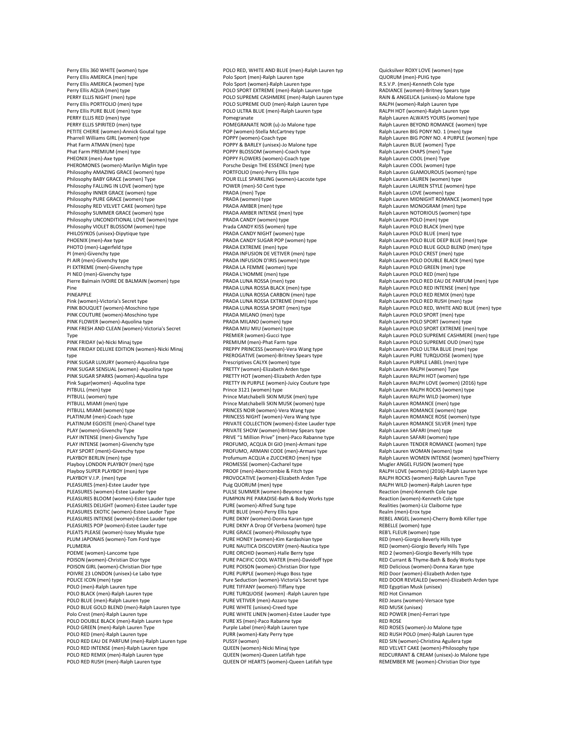Perry Ellis 360 WHITE (women) type Perry Ellis AMERICA (men) type Perry Ellis AMERICA (women) type Perry Ellis AQUA (men) type PERRY ELLIS NIGHT (men) type Perry Ellis PORTFOLIO (men) type Perry Ellis PURE BLUE (men) type PERRY ELLIS RED (men) type PERRY ELLIS SPIRITED (men) type PETITE CHERIE (women)-Annick Goutal type Pharrell Williams GIRL (women) type Phat Farm ATMAN (men) type Phat Farm PREMIUM (men) type PHEONIX (men)-Axe type PHEROMONES (women)-Marilyn Miglin type Philosophy AMAZING GRACE (women) type Philosophy BABY GRACE (women) Type Philosophy FALLING IN LOVE (women) type Philosophy INNER GRACE (women) type Philosophy PURE GRACE (women) type Philosophy RED VELVET CAKE (women) type Philosophy SUMMER GRACE (women) type Philosophy UNCONDITIONAL LOVE (women) type Philosophy VIOLET BLOSSOM (women) type PHILOSYKOS (unisex)-Dipytique type PHOENIX (men)-Axe type PHOTO (men)-Lagerfeld type PI (men)-Givenchy type PI AIR (men)-Givenchy type PI EXTREME (men)-Givenchy type PI NEO (men)-Givenchy type Pierre Balmain IVOIRE DE BALMAIN (women) type Pine PINEAPPLE Pink (women)-Victoria's Secret type PINK BOUQUET (women)-Moschino type PINK COUTURE (women)-Moschino type PINK FLOWER (women)-Aquolina type PINK FRESH AND CLEAN (women)-Victoria's Secret Type PINK FRIDAY (w)-Nicki Minaj type PINK FRIDAY DELUXE EDITION (women)-Nicki Minaj type PINK SUGAR LUXURY (women)-Aquolina type PINK SUGAR SENSUAL (women) -Aquolina type PINK SUGAR SPARKS (women)-Aquolina type Pink Sugar(women) -Aquolina type PITBULL (men) type PITBULL (women) type PITBULL MIAMI (men) type PITBULL MIAMI (women) type PLATINUM (men)-Coach type PLATINUM EGOISTE (men)-Chanel type PLAY (women)-Givenchy Type PLAY INTENSE (men)-Givenchy Type PLAY INTENSE (women)-Givenchy type PLAY SPORT (ment)-Givenchy type PLAYBOY BERLIN (men) type Playboy LONDON PLAYBOY (men) type Playboy SUPER PLAYBOY (men) type PLAYBOY V.I.P. (men) type PLEASURES (men)-Estee Lauder type PLEASURES (women)-Estee Lauder type PLEASURES BLOOM (women)-Estee Lauder type PLEASURES DELIGHT (women)-Estee Lauder type PLEASURES EXOTIC (women)-Estee Lauder Type PLEASURES INTENSE (women)-Estee Lauder type PLEASURES POP (women)-Estee Lauder type PLEATS PLEASE (women)-Issey Miyake type PLUM JAPONAIS (women)-Tom Ford type PLUMERIA POEME (women)-Lancome type POISON (women)-Christian Dior type POISON GIRL (women)-Christian Dior type POIVRE 23 LONDON (unisex)-Le Labo type POLICE ICON (men) type POLO (men)-Ralph Lauren type POLO BLACK (men)-Ralph Lauren type POLO BLUE (men)-Ralph Lauren type POLO BLUE GOLD BLEND (men)-Ralph Lauren type Polo Crest (men)-Ralph Lauren type POLO DOUBLE BLACK (men)-Ralph Lauren type POLO GREEN (men)-Ralph Lauren Type POLO RED (men)-Ralph Lauren type POLO RED EAU DE PARFUM (men)-Ralph Lauren type POLO RED INTENSE (men)-Ralph Lauren type POLO RED REMIX (men)-Ralph Lauren type POLO RED RUSH (men)-Ralph Lauren type

POLO RED, WHITE AND BLUE (men)-Ralph Lauren typ Polo Sport (men)-Ralph Lauren type Polo Sport (women)-Ralph Lauren type POLO SPORT EXTREME (men)-Ralph Lauren type POLO SUPREME CASHMERE (men)-Ralph Lauren type POLO SUPREME OUD (men)-Ralph Lauren type POLO ULTRA BLUE (men)-Ralph Lauren type Pomegranate POMEGRANATE NOIR (u)-Jo Malone type POP (women)-Stella McCartney type POPPY (women)-Coach type POPPY & BARLEY (unisex)-Jo Malone type POPPY BLOSSOM (women)-Coach type POPPY FLOWERS (women)-Coach type Porsche Design THE ESSENCE (men) type PORTFOLIO (men)-Perry Ellis type POUR ELLE SPARKLING (women)-Lacoste type POWER (men)-50 Cent type PRADA (men) Type PRADA (women) type PRADA AMBER (men) type PRADA AMBER INTENSE (men) type PRADA CANDY (women) type Prada CANDY KISS (women) type PRADA CANDY NIGHT (women) type PRADA CANDY SUGAR POP (women) type PRADA EXTREME (men) type PRADA INFUSION DE VETIVER (men) type PRADA INFUSION D'IRIS (women) type PRADA LA FEMME (women) type PRADA L'HOMME (men) type PRADA LUNA ROSSA (men) type PRADA LUNA ROSSA BLACK (men) type PRADA LUNA ROSSA CARBON (men) type PRADA LUNA ROSSA EXTREME (men) type PRADA LUNA ROSSA SPORT (men) type PRADA MILANO (men) type PRADA MILANO (women) type PRADA MIU MIU (women) type PREMIER (women)-Gucci type PREMIUM (men)-Phat Farm type PREPPY PRINCESS (women)-Vera Wang type PREROGATIVE (women)-Britney Spears type Prescriptives CALYX (women) type PRETTY (women)-Elizabeth Arden type PRETTY HOT (women)-Elizabeth Arden type PRETTY IN PURPLE (women)-Juicy Couture type Prince 3121 (women) type Prince Matchabelli SKIN MUSK (men) type Prince Matchabelli SKIN MUSK (women) type PRINCES NOIR (women)-Vera Wang type PRINCESS NIGHT (women)-Vera Wang type PRIVATE COLLECTION (women)-Estee Lauder type PRIVATE SHOW (women)-Britney Spears type PRIVE "1 Million Prive" (men)-Paco Rabanne type PROFUMO, ACQUA DI GIO (men)-Armani type PROFUMO, ARMANI CODE (men)-Armani type Profumum ACQUA e ZUCCHERO (men) type PROMESSE (women)-Cacharel type PROOF (men)-Abercrombie & Fitch type PROVOCATIVE (women)-Elizabeth Arden Type Puig QUORUM (men) type PULSE SUMMER (women)-Beyonce type PUMPKIN PIE PARADISE-Bath & Body Works type PURE (women)-Alfred Sung type PURE BLUE (men)-Perry Ellis type PURE DKNY (women)-Donna Karan type PURE DKNY A Drop Of Verbena (women) type PURE GRACE (women)-Philosophy type PURE HONEY (women)-Kim Kardashian type PURE NAUTICA DISCOVERY (men)-Nautica type PURE ORCHID (women)-Halle Berry type PURE PACIFIC COOL WATER (men)-Davidoff type PURE POISON (women)-Christian Dior type PURE PURPLE (women)-Hugo Boss type Pure Seduction (women)-Victoria's Secret type PURE TIFFANY (women)-Tiffany type PURE TURQUOISE (women) -Ralph Lauren type PURE VETIVER (men)-Azzaro type PURE WHITE (unisex)-Creed type PURE WHITE LINEN (women)-Estee Lauder type PURE XS (men)-Paco Rabanne type Purple Label (men)-Ralph Lauren type PURR (women)-Katy Perry type PUSSY (women) QUEEN (women)-Nicki Minaj type QUEEN (women)-Queen Latifah type QUEEN OF HEARTS (women)-Queen Latifah type

Quicksilver ROXY LOVE (women) type QUORUM (men)-PUIG type R.S.V.P. (men)-Kenneth Cole type RADIANCE (women)-Britney Spears type RAIN & ANGELICA (unisex)-Jo Malone type RALPH (women)-Ralph Lauren type RALPH HOT (women)-Ralph Lauren type Ralph Lauren ALWAYS YOURS (women) type Ralph Lauren BEYOND ROMANCE (women) type Ralph Lauren BIG PONY NO. 1 (men) type Ralph Lauren BIG PONY NO. 4 PURPLE (women) type Ralph Lauren BLUE (women) Type Ralph Lauren CHAPS (men) Type Ralph Lauren COOL (men) Type Ralph Lauren COOL (women) type Ralph Lauren GLAMOUROUS (women) type Ralph Lauren LAUREN (women) type Ralph Lauren LAUREN STYLE (women) type Ralph Lauren LOVE (women) type Ralph Lauren MIDNIGHT ROMANCE (women) type Ralph Lauren MONOGRAM (men) type Ralph Lauren NOTORIOUS (women) type Ralph Lauren POLO (men) type Ralph Lauren POLO BLACK (men) type Ralph Lauren POLO BLUE (men) type Ralph Lauren POLO BLUE DEEP BLUE (men) type Ralph Lauren POLO BLUE GOLD BLEND (men) type Ralph Lauren POLO CREST (men) type Ralph Lauren POLO DOUBLE BLACK (men) type Ralph Lauren POLO GREEN (men) type Ralph Lauren POLO RED (men) type Ralph Lauren POLO RED EAU DE PARFUM (men) type Ralph Lauren POLO RED INTENSE (men) type Ralph Lauren POLO RED REMIX (men) type Ralph Lauren POLO RED RUSH (men) type Ralph Lauren POLO RED, WHITE AND BLUE (men) type Ralph Lauren POLO SPORT (men) type Ralph Lauren POLO SPORT (women) type Ralph Lauren POLO SPORT EXTREME (men) type Ralph Lauren POLO SUPREME CASHMERE (men) type Ralph Lauren POLO SUPREME OUD (men) type Ralph Lauren POLO ULTRA BLUE (men) type Ralph Lauren PURE TURQUOISE (women) type Ralph Lauren PURPLE LABEL (men) type Ralph Lauren RALPH (women) Type Ralph Lauren RALPH HOT (women) type Ralph Lauren RALPH LOVE (women) (2016) type Ralph Lauren RALPH ROCKS (women) type Ralph Lauren RALPH WILD (women) type Ralph Lauren ROMANCE (men) type Ralph Lauren ROMANCE (women) type Ralph Lauren ROMANCE ROSE (women) type Ralph Lauren ROMANCE SILVER (men) type Ralph Lauren SAFARI (men) type Ralph Lauren SAFARI (women) type Ralph Lauren TENDER ROMANCE (women) type Ralph Lauren WOMAN (women) type Ralph Lauren WOMEN INTENSE (women) typeThierry Mugler ANGEL FUSION (women) type RALPH LOVE (women) (2016)-Ralph Lauren type RALPH ROCKS (women)-Ralph Lauren Type RALPH WILD (women)-Ralph Lauren type Reaction (men)-Kenneth Cole type Reaction (women)-Kenneth Cole type Realities (women)-Liz Claiborne type Realm (men)-Erox type REBEL ANGEL (women)-Cherry Bomb Killer type REBELLE (women) type REB'L FLEUR (women) type RED (men)-Giorgio Beverly Hills type RED (women)-Giorgio Beverly Hills Type RED 2 (women)-Giorgio Beverly Hills type RED Currant & Thyme-Bath & Body Works type RED Delicious (women)-Donna Karan type RED Door (women)-Elizabeth Arden type RED DOOR REVEALED (women)-Elizabeth Arden type RED Egyptian Musk (unisex) RED Hot Cinnamon RED Jeans (women)-Versace type RED MUSK (unisex) RED POWER (men)-Ferrari type RED ROSE RED ROSES (women)-Jo Malone type RED RUSH POLO (men)-Ralph Lauren type RED SIN (women)-Christina Aguilera type RED VELVET CAKE (women)-Philosophy type REDCURRANT & CREAM (unisex)-Jo Malone type REMEMBER ME (women)-Christian Dior type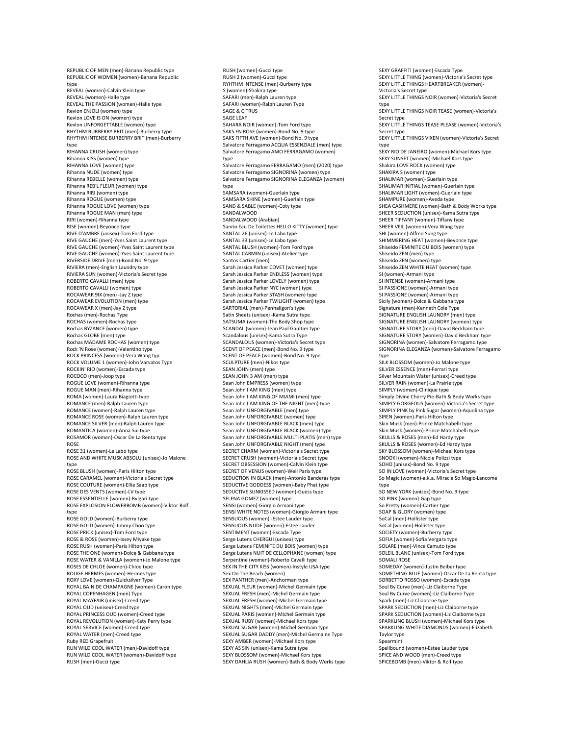REPUBLIC OF MEN (men)-Banana Republic type REPUBLIC OF WOMEN (women)-Banana Republic type REVEAL (women)-Calvin Klein type REVEAL (women)-Halle type REVEAL THE PASSION (women)-Halle type Revlon ENJOLI (women) type Revlon LOVE IS ON (women) type Revlon UNFORGETTABLE (women) type RHYTHM BURBERRY BRIT (men)-Burberry type RHYTHM INTENSE BURBERRY BRIT (men)-Burberry type RIHANNA CRUSH (women) type Rihanna KISS (women) type RIHANNA LOVE (women) type Rihanna NUDE (women) type Rihanna REBELLE (women) type Rihanna REB'L FLEUR (women) type Rihanna RIRI (women) type Rihanna ROGUE (women) type Rihanna ROGUE LOVE (women) type Rihanna ROGUE MAN (men) type RIRI (women)-Rihanna type RISE (women)-Beyonce type RIVE D'AMBRE (unisex)-Tom Ford type RIVE GAUCHE (men)-Yves Saint Laurent type RIVE GAUCHE (women)-Yves Saint Laurent type RIVE GAUCHE (women)-Yves Saint Laurent type RIVERSIDE DRIVE (men)-Bond No. 9 type RIVIERA (men)-English Laundry type RIVIERA SUN (women)-Victoria's Secret type ROBERTO CAVALLI (men) type ROBERTO CAVALLI (women) type ROCAWEAR 9IX (men) -Jay Z type ROCAWEAR EVOLUTION (men) type ROCAWEAR X (men)-Jay Z type Rochas (men)-Rochas Type ROCHAS (women)-Rochas type Rochas BYZANCE (women) type Rochas GLOBE (men) type Rochas MADAME ROCHAS (women) type Rock 'N Rose (women)-Valentino type ROCK PRINCESS (women)-Vera Wang typ ROCK VOLUME 1 (women)-John Varvatos Type ROCKIN' RIO (women)-Escada type ROCOCO (men)-Joop type ROGUE LOVE (women)-Rihanna type ROGUE MAN (men)-Rihanna type ROMA (women)-Laura Biagiotti type ROMANCE (men)-Ralph Lauren type ROMANCE (women)-Ralph Lauren type ROMANCE ROSE (women)-Ralph Lauren type ROMANCE SILVER (men)-Ralph Lauren type ROMANTICA (women)-Anna Sui type ROSAMOR (women)-Oscar De La Renta type ROSE ROSE 31 (women)-Le Labo type ROSE AND WHITE MUSK ABSOLU (unisex)-Jo Malone type ROSE BLUSH (women)-Paris Hilton type ROSE CARAMEL (women)-Victoria's Secret type ROSE COUTURE (women)-Ellie Saab type ROSE DES VENTS (women)-LV type ROSE ESSENTIELLE (women)-Bvlgari type ROSE EXPLOSION FLOWERBOMB (women)-Viktor Rolf type ROSE GOLD (women)-Burberry type ROSE GOLD (women)-Jimmy Choo type ROSE PRICK (unisex)-Tom Ford type ROSE & ROSE (women)-Issey Miyake type ROSE RUSH (women)-Paris Hilton type ROSE THE ONE (women)-Dolce & Gabbana type ROSE WATER & VANILLA (women)-Jo Malone type ROSES DE CHLOE (women)-Chloe type ROUGE HERMES (women)-Hermes type ROXY LOVE (women)-Quicksilver Type ROYAL BAIN DE CHAMPAGNE (women)-Caron type ROYAL COPENHAGEN (men) Type ROYAL MAYFAIR (unisex)-Creed type ROYAL OUD (unisex)-Creed type ROYAL PRINCESS OUD (women)-Creed type ROYAL REVOLUTION (women)-Katy Perry type ROYAL SERVICE (women)-Creed type ROYAL WATER (men)-Creed type Ruby RED Grapefruit RUN WILD COOL WATER (men)-Davidoff type RUN WILD COOL WATER (women)-Davidoff type RUSH (men)-Gucci type

RUSH 2 (women)-Gucci type RYHTHM INTENSE (men)-Burberry type S (women)-Shakira type SAFARI (men)-Ralph Lauren type SAFARI (women)-Ralph Lauren Type SAGE & CITRUS SAGE LEAF SAHARA NOIR (women)-Tom Ford type SAKS EN ROSE (women)-Bond No. 9 type SAKS FIFTH AVE (women)-Bond No. 9 type Salvatore Ferragamo ACQUA ESSENZIALE (men) type Salvatore Ferragamo AMO FERRAGAMO (women) type Salvatore Ferragamo FERRAGAMO (men) (2020) type Salvatore Ferragamo SIGNORINA (women) type Salvatore Ferragamo SIGNORINA ELEGANZA (women) type SAMSARA (women)-Guerlain type SAMSARA SHINE (women)-Guerlain type SAND & SABLE (women)-Coty type SANDALWOOD SANDALWOOD (Arabian) Sanrio Eau De Toilettes HELLO KITTY (women) type SANTAL 26 (unisex)-Le Labo type SANTAL 33 (unisex)-Le Labo type SANTAL BLUSH (women)-Tom Ford type SANTAL CARMIN (unisex)-Atelier type Santos Cartier (men) Sarah Jessica Parker COVET (women) type Sarah Jessica Parker ENDLESS (women) type Sarah Jessica Parker LOVELY (women) type Sarah Jessica Parker NYC (women) type Sarah Jessica Parker STASH (women) type Sarah Jessica Parker TWILIGHT (women) type SARTORIAL (men)-Penhaligon's type Satin Sheets (unisex) -Kama Sutra type SATSUMA (women)-The Body Shop type SCANDAL (women)-Jean Paul Gaultier type Scandalous (unisex)-Kama Sutra Type SCANDALOUS (women)-Victoria's Secret type SCENT OF PEACE (men)-Bond No. 9 type SCENT OF PEACE (women)-Bond No. 9 type SCULPTURE (men)-Nikos type SEAN JOHN (men) type SEAN JOHN 3 AM (men) type Sean John EMPRESS (women) type Sean John I AM KING (men) type Sean John I AM KING OF MIAMI (men) type Sean John I AM KING OF THE NIGHT (men) type Sean John UNFORGIVABLE (men) type Sean John UNFORGIVABLE (women) type Sean John UNFORGIVABLE BLACK (men) type Sean John UNFORGIVABLE BLACK (women) type Sean John UNFORGIVABLE MULTI PLATIS (men) type Sean John UNFORGIVABLE NIGHT (men) type SECRET CHARM (women)-Victoria's Secret type SECRET CRUSH (women)-Victoria's Secret type SECRET OBSESSION (women)-Calvin Klein type SECRET OF VENUS (women)-Weil Paris type SEDUCTION IN BLACK (men)-Antonio Banderas type SEDUCTIVE GODDESS (women)-Baby Phat type SEDUCTIVE SUNKISSED (women)-Guess type SELENA GOMEZ (women) type SENSI (women)-Giorgio Armani type SENSI WHITE NOTES (women)-Giorgio Armani type SENSUOUS (women) -Estee Lauder type SENSUOUS NUDE (women)-Estee Lauder SENTIMENT (women)-Escada Type Serge Lutens CHERGUI (unisex) type Serge Lutens FEMINITE DU BOIS (women) type Serge Lutens NUIT DE CELLOPHANE (women) type Serpentine (women)-Roberto Cavalli type SEX IN THE CITY KISS (women)-Instyle USA type Sex On The Beach (women) SEX PANTHER (men)-Anchorman type SEXUAL FLEUR (women)-Michel Germain type SEXUAL FRESH (men)-Michel Germain type SEXUAL FRESH (women)-Michel Germain type SEXUAL NIGHTS (men)-Michel Germain type SEXUAL PARIS (women)-Michel Germain type SEXUAL RUBY (women)-Michael Kors type SEXUAL SUGAR (women)-Michel Germain type SEXUAL SUGAR DADDY (men)-Michel Germaine Type SEXY AMBER (women)-Michael Kors type SEXY AS SIN (unisex)-Kama Sutra type SEXY BLOSSOM (women)-Michael Kors type SEXY DAHLIA RUSH (women)-Bath & Body Works type

RUSH (women)-Gucci type

SEXY GRAFFITI (women)-Escada Type SEXY LITTLE THING (women)-Victoria's Secret type SEXY LITTLE THINGS HEARTBREAKER (women)- Victoria's Secret type SEXY LITTLE THINGS NOIR (women)-Victoria's Secret type<br>SEXY LITTLE THINGS NOIR TEASE (women)-Victoria's Secret type SEXY LITTLE THINGS TEASE PLEASE (women)-Victoria's Secret type SEXY LITTLE THINGS VIXEN (women)-Victoria's Secret type SEXY RIO DE JANEIRO (women)-Michael Kors type SEXY SUNSET (women)-Michael Kors type Shakira LOVE ROCK (women) type SHAKIRA S (women) type SHALIMAR (women)-Guerlain type SHALIMAR INITIAL (women)-Guerlain type SHALIMAR LIGHT (women)-Guerlain type SHAMPURE (women)-Aveda type SHEA CASHMERE (women)-Bath & Body Works type SHEER SEDUCTION (unisex)-Kama Sutra type SHEER TIFFANY (women)-Tiffany type SHEER VEIL (women)-Vera Wang type SHI (women)-Alfred Sung type SHIMMERING HEAT (women)-Beyonce type Shiseido FEMINITE DU BOIS (women) type Shiseido ZEN (men) type Shiseido ZEN (women) type Shiseido ZEN WHITE HEAT (women) type SI (women)-Armani type SI INTENSE (women)-Armani type SI PASSIONE (women)-Armani type SI PASSIONE (women)-Armani type Sicily (women)-Dolce & Gabbana type Signature (men)-Kenneth Cole Type SIGNATURE ENGLISH LAUNDRY (men) type SIGNATURE ENGLISH LAUNDRY (women) type SIGNATURE STORY (men)-David Beckham type SIGNATURE STORY (women)-David Beckham type SIGNORINA (women)-Salvatore Ferragamo type SIGNORINA ELEGANZA (women)-Salvatore Ferragamo type SILK BLOSSOM (women)-Jo Malone type SILVER ESSENCE (men)-Ferrari type Silver Mountain Water (unisex)-Creed type SILVER RAIN (women)-La Prairie type SIMPLY (women)-Clinique type Simply Divine Cherry Pie-Bath & Body Works type SIMPLY GORGEOUS (women)-Victoria's Secret type SIMPLY PINK by Pink Sugar (women)-Aquolina type SIREN (women)-Paris Hilton type Skin Musk (men)-Prince Matchabelli type Skin Musk (women)-Prince Matchabelli type SKULLS & ROSES (men)-Ed Hardy type SKULLS & ROSES (women)-Ed Hardy type SKY BLOSSOM (women)-Michael Kors type SNOOKI (women)-Nicole Polizzi type SOHO (unisex)-Bond No. 9 type SO IN LOVE (women)-Victoria's Secret type So Magic (women)-a.k.a. Miracle So Magic-Lancome type SO NEW YORK (unisex)-Bond No. 9 type SO PINK (women)-Gap type So Pretty (women)-Cartier type SOAP & GLORY (women) type SoCal (men)-Hollister type SoCal (women)-Hollister type SOCIETY (women)-Burberry type SOFIA (women)-Sofia Vergara type SOLARE (men)-Vince Camuto type SOLEIL BLANC (unisex)-Tom Ford type SOMALI ROSE SOMEDAY (women)-Justin Beiber type SOMETHING BLUE (women)-Oscar De La Renta type SORBETTO ROSSO (women)-Escada type Soul By Curve (men)-Liz Claiborne Type Soul By Curve (women)-Liz Claiborne Type Spark (men)-Liz Cliaborne type SPARK SEDUCTION (men)-Liz Claiborne type SPARK SEDUCTION (women)-Liz Claiborne type SPARKLING BLUSH (women)-Michael Kors type SPARKLING WHITE DIAMONDS (women)-Elizabeth Taylor type Spearmint Spellbound (women)-Estee Lauder type SPICE AND WOOD (men)-Creed type SPICEBOMB (men)-Viktor & Rolf type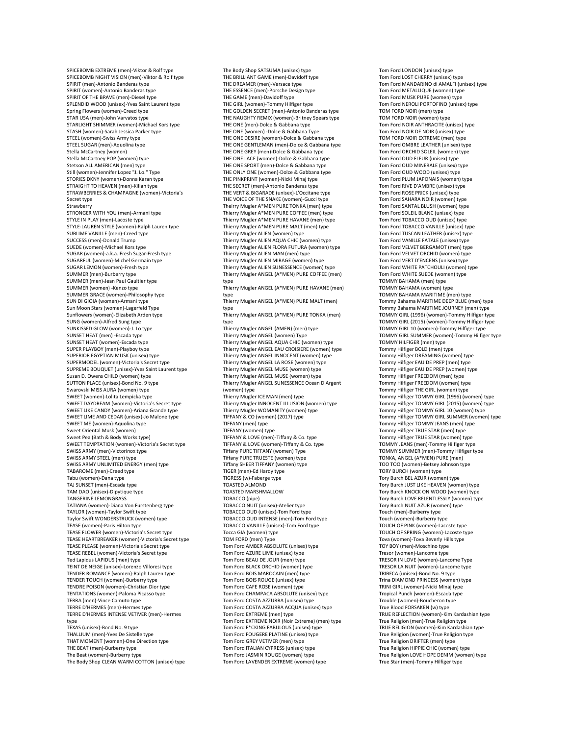SPICEBOMB EXTREME (men)-Viktor & Rolf type SPICEBOMB NIGHT VISION (men)-Viktor & Rolf type SPIRIT (men)-Antonio Banderas type SPIRIT (women)-Antonio Banderas type SPIRIT OF THE BRAVE (men)-Diesel type SPLENDID WOOD (unisex)-Yves Saint Laurent type Spring Flowers (women)-Creed type STAR USA (men)-John Varvatos type STARLIGHT SHIMMER (women)-Michael Kors type STASH (women)-Sarah Jessica Parker type STEEL (women)-Swiss Army type STEEL SUGAR (men)-Aquolina type Stella McCartney (women) Stella McCartney POP (women) type Stetson ALL AMERICAN (men) type Still (women)-Jennifer Lopez "J. Lo." Type STORIES DKNY (women)-Donna Karan type STRAIGHT TO HEAVEN (men)-Kilian type STRAWBERRIES & CHAMPAGNE (women)-Victoria's Secret type Strawberry STRONGER WITH YOU (men)-Armani type STYLE IN PLAY (men)-Lacoste type STYLE-LAUREN STYLE (women)-Ralph Lauren type SUBLIME VANILLE (men)-Creed type SUCCESS (men)-Donald Trump SUEDE (women)-Michael Kors type SUGAR (women)-a.k.a. Fresh Sugar-Fresh type SUGARFUL (women)-Michel Germain type SUGAR LEMON (women)-Fresh type SUMMER (men)-Burberry type SUMMER (men)-Jean Paul Gaultier type SUMMER (women) -Kenzo type SUMMER GRACE (women)-Philosophy type SUN DI GIOIA (women)-Armani type Sun Moon Stars (women)-Lagerfeld Type Sunflowers (women)-Elizabeth Arden type SUNG (women)-Alfred Sung type SUNKISSED GLOW (women)-J. Lo type SUNSET HEAT (men) -Escada type SUNSET HEAT (women)-Escada type SUPER PLAYBOY (men)-Playboy type SUPERIOR EGYPTIAN MUSK (unisex) type SUPERMODEL (women)-Victoria's Secret type SUPREME BOUQUET (unisex)-Yves Saint Laurent type Susan D. Owens CHILD (women) type SUTTON PLACE (unisex)-Bond No. 9 type Swarovski MISS AURA (women) type SWEET (women)-Lolita Lempicka type SWEET DAYDREAM (women)-Victoria's Secret type SWEET LIKE CANDY (women)-Ariana Grande type SWEET LIME AND CEDAR (unisex)-Jo Malone type SWEET ME (women)-Aquolina type Sweet Oriental Musk (women) Sweet Pea (Bath & Body Works type) SWEET TEMPTATION (women)-Victoria's Secret type SWISS ARMY (men)-Victorinox type SWISS ARMY STEEL (men) type SWISS ARMY UNLIMITED ENERGY (men) type TABAROME (men)-Creed type Tabu (women)-Dana type TAJ SUNSET (men)-Escada type TAM DAO (unisex)-Dipytique type TANGERINE LEMONGRASS TATIANA (women)-Diana Von Furstenberg type TAYLOR (women)-Taylor Swift type Taylor Swift WONDERSTRUCK (women) type TEASE (women)-Paris Hilton type TEASE FLOWER (women)-Victoria's Secret type TEASE HEARTBREAKER (women)-Victoria's Secret type TEASE PLEASE (women)-Victoria's Secret type TEASE REBEL (women)-Victoria's Secret type Ted Lapidus LAPIDUS (men) type TEINT DE NEIGE (unisex)-Lorenzo Villoresi type TENDER ROMANCE (women)-Ralph Lauren type TENDER TOUCH (women)-Burberry type TENDRE POISON (women)-Christian Dior type TENTATIONS (women)-Paloma Picasso type TERRA (men)-Vince Camuto type TERRE D'HERMES (men)-Hermes type TERRE D'HERMES INTENSE VETIVER (men)-Hermes type TEXAS (unisex)-Bond No. 9 type THALLIUM (men)-Yves De Sistelle type THAT MOMENT (women)-One Direction type THE BEAT (men)-Burberry type The Beat (women)-Burberry type The Body Shop CLEAN WARM COTTON (unisex) type

The Body Shop SATSUMA (unisex) type THE BRILLIANT GAME (men)-Davidoff type THE DREAMER (men)-Versace type THE ESSENCE (men)-Porsche Design type THE GAME (men)-Davidoff type THE GIRL (women)-Tommy Hilfiger type THE GOLDEN SECRET (men)-Antonio Banderas type THE NAUGHTY REMIX (women)-Britney Spears type THE ONE (men)-Dolce & Gabbana type THE ONE (women) -Dolce & Gabbana Type THE ONE DESIRE (women)-Dolce & Gabbana type THE ONE GENTLEMAN (men)-Dolce & Gabbana type THE ONE GREY (men)-Dolce & Gabbana type THE ONE LACE (women)-Dolce & Gabbana type THE ONE SPORT (men)-Dolce & Gabbana type THE ONLY ONE (women)-Dolce & Gabbana type THE PINKPRINT (women)-Nicki Minaj type THE SECRET (men)-Antonio Banderas type THE VERT & BIGARADE (unisex)-L'Occitane type THE VOICE OF THE SNAKE (women)-Gucci type Theirry Mugler A\*MEN PURE TONKA (men) type Thierry Mugler A\*MEN PURE COFFEE (men) type Thierry Mugler A\*MEN PURE HAVANE (men) type Thierry Mugler A\*MEN PURE MALT (men) type Thierry Mugler ALIEN (women) type Thierry Mugler ALIEN AQUA CHIC (women) type Thierry Mugler ALIEN FLORA FUTURA (women) type Thierry Mugler ALIEN MAN (men) type Thierry Mugler ALIEN MIRAGE (women) type Thierry Mugler ALIEN SUNESSENCE (women) type Thierry Mugler ANGEL (A\*MEN) PURE COFFEE (men) type Thierry Mugler ANGEL (A\*MEN) PURE HAVANE (men) type Thierry Mugler ANGEL (A\*MEN) PURE MALT (men) type Thierry Mugler ANGEL (A\*MEN) PURE TONKA (men) type Thierry Mugler ANGEL (AMEN) (men) type Thierry Mugler ANGEL (women) Type Thierry Mugler ANGEL AQUA CHIC (women) type Thierry Mugler ANGEL EAU CROISIERE (women) type Thierry Mugler ANGEL INNOCENT (women) type Thierry Mugler ANGEL LA ROSE (women) type Thierry Mugler ANGEL MUSE (women) type Thierry Mugler ANGEL MUSE (women) type Thierry Mugler ANGEL SUNESSENCE Ocean D'Argent (women) type Thierry Mugler ICE MAN (men) type Thierry Mugler INNOCENT ILLUSION (women) type Thierry Mugler WOMANITY (women) type TIFFANY & CO (women) (2017) type TIFFANY (men) type TIFFANY (women) type TIFFANY & LOVE (men)-Tiffany & Co. type TIFFANY & LOVE (women)-Tiffany & Co. type Tiffany PURE TIFFANY (women) Type Tiffany PURE TRUESTE (women) type Tiffany SHEER TIFFANY (women) type TIGER (men)-Ed Hardy type TIGRESS (w)-Faberge type TOASTED ALMOND TOASTED MARSHMALLOW TOBACCO (pipe) TOBACCO NUIT (unisex)-Atelier type TOBACCO OUD (unisex)-Tom Ford type TOBACCO OUD INTENSE (men)-Tom Ford type TOBACCO VANILLE (unisex)-Tom Ford type Tocca GIA (women) type TOM FORD (men) Type Tom Ford AMBER ABSOLUTE (unisex) type Tom Ford AZURE LIME (unisex) type Tom Ford BEAU DE JOUR (men) type Tom Ford BLACK ORCHID (women) type Tom Ford BOIS MAROCAIN (men) type Tom Ford BOIS ROUGE (unisex) type Tom Ford CAFE ROSE (women) type Tom Ford CHAMPACA ABSOLUTE (unisex) type Tom Ford COSTA AZZURRA (unisex) type Tom Ford COSTA AZZURRA ACQUA (unisex) type Tom Ford EXTREME (men) type Tom Ford EXTREME NOIR (Noir Extreme) (men) type Tom Ford F\*CKING FABULOUS (unisex) type Tom Ford FOUGERE PLATINE (unisex) type Tom Ford GREY VETIVER (men) type Tom Ford ITALIAN CYPRESS (unisex) type Tom Ford JASMIN ROUGE (women) type Tom Ford LAVENDER EXTREME (women) type

Tom Ford LONDON (unisex) type Tom Ford LOST CHERRY (unisex) type Tom Ford MANDARINO di AMALFI (unisex) type Tom Ford METALLIQUE (women) type Tom Ford MUSK PURE (women) type Tom Ford NEROLI PORTOFINO (unisex) type TOM FORD NOIR (men) type TOM FORD NOIR (women) type Tom Ford NOIR ANTHRACITE (unisex) type Tom Ford NOIR DE NOIR (unisex) type TOM FORD NOIR EXTREME (men) type Tom Ford OMBRE LEATHER (unisex) type Tom Ford ORCHID SOLEIL (women) type Tom Ford OUD FLEUR (unisex) type Tom Ford OUD MINERALE (unisex) type Tom Ford OUD WOOD (unisex) type Tom Ford PLUM JAPONAIS (women) type Tom Ford RIVE D'AMBRE (unisex) type Tom Ford ROSE PRICK (unisex) type Tom Ford SAHARA NOIR (women) type Tom Ford SANTAL BLUSH (women) type Tom Ford SOLEIL BLANC (unisex) type Tom Ford TOBACCO OUD (unisex) type Tom Ford TOBACCO VANILLE (unisex) type Tom Ford TUSCAN LEATHER (unisex) type Tom Ford VANILLE FATALE (unisex) type Tom Ford VELVET BERGAMOT (men) type Tom Ford VELVET ORCHID (women) type Tom Ford VERT D'ENCENS (unisex) type Tom Ford WHITE PATCHOULI (women) type Tom Ford WHITE SUEDE (women) type TOMMY BAHAMA (men) type TOMMY BAHAMA (women) type TOMMY BAHAMA MARITIME (men) type Tommy Bahama MARITIME DEEP BLUE (men) type Tommy Bahama MARITIME JOURNEY (men) type TOMMY GIRL (1996) (women)-Tommy Hilfiger type TOMMY GIRL (2015) (women)-Tommy Hilfiger type TOMMY GIRL 10 (women)-Tommy Hilfiger type TOMMY GIRL SUMMER (women)-Tommy Hilfiger type TOMMY HILFIGER (men) type Tommy Hilfiger BOLD (men) type Tommy Hilfiger DREAMING (women) type Tommy Hilfiger EAU DE PREP (men) type Tommy Hilfiger EAU DE PREP (women) type Tommy Hilfiger FREEDOM (men) type Tommy Hilfiger FREEDOM (women) type Tommy Hilfiger THE GIRL (women) type Tommy Hilfiger TOMMY GIRL (1996) (women) type Tommy Hilfiger TOMMY GIRL (2015) (women) type Tommy Hilfiger TOMMY GIRL 10 (women) type Tommy Hilfiger TOMMY GIRL SUMMER (women) type Tommy Hilfiger TOMMY JEANS (men) type Tommy Hilfiger TRUE STAR (men) type Tommy Hilfiger TRUE STAR (women) type TOMMY JEANS (men)-Tommy Hilfiger type TOMMY SUMMER (men)-Tommy Hilfiger type TONKA, ANGEL (A\*MEN) PURE (men) TOO TOO (women)-Betsey Johnson type TORY BURCH (women) type Tory Burch BEL AZUR (women) type Tory Burch JUST LIKE HEAVEN (women) type Tory Burch KNOCK ON WOOD (women) type Tory Burch LOVE RELENTLESSLY (women) type Tory Burch NUIT AZUR (women) type Touch (men)-Burberry type Touch (women)-Burberry type TOUCH OF PINK (women)-Lacoste type TOUCH OF SPRING (women)-Lacoste type Tova (women)-Tova Beverly Hills type TOY BOY (men)-Moschino type Tresor (women)-Lancome type TRESOR IN LOVE (women)-Lancome Type TRESOR LA NUIT (women)-Lancome type TRIBECA (unisex)-Bond No. 9 type Trina DIAMOND PRINCESS (women) type TRINI GIRL (women)-Nicki Minaj type Tropical Punch (women)-Escada type Trouble (women)-Boucheron type True Blood FORSAKEN (w) type TRUE REFLECTION (women)-Kim Kardashian type True Religion (men)-True Religion type TRUE RELIGION (women)-Kim Kardashian type True Religion (women)-True Religion type True Religion DRIFTER (men) type True Religion HIPPIE CHIC (women) type True Religion LOVE HOPE DENIM (women) type True Star (men)-Tommy Hilfiger type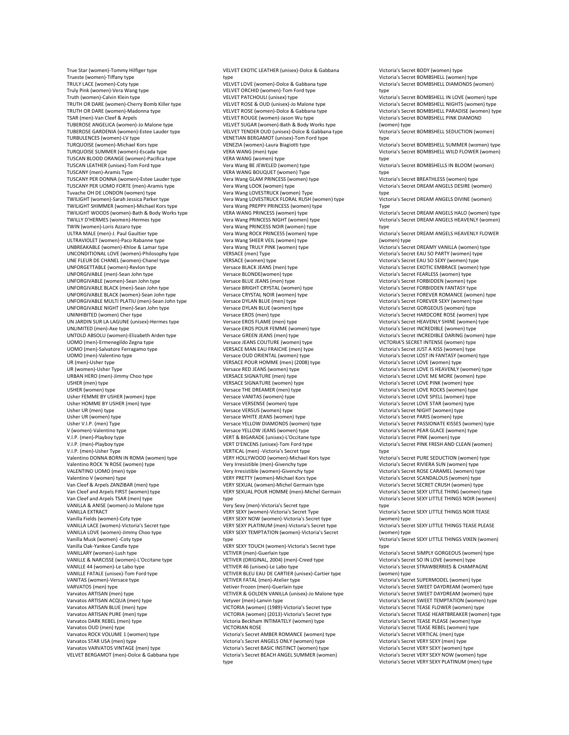True Star (women)-Tommy Hilfiger type Trueste (women)-Tiffany type TRULY LACE (women)-Coty type Truly Pink (women)-Vera Wang type Truth (women)-Calvin Klein type TRUTH OR DARE (women)-Cherry Bomb Killer type TRUTH OR DARE (women)-Madonna type TSAR (men)-Van Cleef & Arpels TUBEROSE ANGELICA (women)-Jo Malone type TUBEROSE GARDENIA (women)-Estee Lauder type TURBULENCES (women)-LV type TURQUOISE (women)-Michael Kors type TURQUOISE SUMMER (women)-Escada type TUSCAN BLOOD ORANGE (women)-Pacifica type TUSCAN LEATHER (unisex)-Tom Ford type TUSCANY (men)-Aramis Type TUSCANY PER DONNA (women)-Estee Lauder type TUSCANY PER UOMO FORTE (men)-Aramis type Tuvache OH DE LONDON (women) type TWILIGHT (women)-Sarah Jessica Parker type TWILIGHT SHIMMER (women)-Michael Kors type TWILIGHT WOODS (women)-Bath & Body Works type TWILLY D'HERMES (women)-Hermes type TWIN (women)-Loris Azzaro type ULTRA MALE (men)-J. Paul Gaultier type ULTRAVIOLET (women)-Paco Rabanne type UNBREAKABLE (women)-Khloe & Lamar type UNCONDITIONAL LOVE (women)-Philosophy type UNE FLEUR DE CHANEL (women)-Chanel type UNFORGETTABLE (women)-Revlon type UNFORGIVABLE (men)-Sean John type UNFORGIVABLE (women)-Sean John type UNFORGIVABLE BLACK (men)-Sean John type UNFORGIVABLE BLACK (women)-Sean John type UNFORGIVABLE MULTI PLATIU (men)-Sean John type UNFORGIVABLE NIGHT (men)-Sean John type UNINHIBITED (women) Cher type UN JARDIN SUR LA LAGUNE (unisex)-Hermes type UNLIMITED (men)-Axe type UNTOLD ABSOLU (women)-Elizabeth Arden type UOMO (men)-Ermenegildo Zegna type UOMO (men)-Salvatore Ferragamo type UOMO (men)-Valentino type UR (men)-Usher type UR (women)-Usher Type URBAN HERO (men)-Jimmy Choo type USHER (men) type USHER (women) type Usher FEMME BY USHER (women) type Usher HOMME BY USHER (men) type Usher UR (men) type Usher UR (women) type Usher V.I.P. (men) Type V (women)-Valentino type V.I.P. (men)-Playboy type V.I.P. (men)-Playboy type V.I.P. (men)-Usher Type Valentino DONNA BORN IN ROMA (women) type Valentino ROCK 'N ROSE (women) type VALENTINO UOMO (men) type Valentino V (women) type Van Cleef & Arpels ZANZIBAR (men) type Van Cleef and Arpels FIRST (women) type Van Cleef and Arpels TSAR (men) type VANILLA & ANISE (women)-Jo Malone type VANILLA EXTRACT Vanilla Fields (women)-Coty type VANILLA LACE (women)-Victoria's Secret type VANILLA LOVE (women)-Jimmy Choo type Vanilla Musk (women) -Coty type Vanilla Oak-Yankee Candle type VANILLARY (women)-Lush type VANILLE & NARCISSE (women)-L'Occitane type VANILLE 44 (women)-Le Labo type VANILLE FATALE (unisex)-Tom Ford type VANITAS (women)-Versace type VARVATOS (men) type Varvatos ARTISAN (men) type Varvatos ARTISAN ACQUA (men) type Varvatos ARTISAN BLUE (men) type Varvatos ARTISAN PURE (men) type Varvatos DARK REBEL (men) type Varvatos OUD (men) type Varvatos ROCK VOLUME 1 (women) type Varvatos STAR USA (men) type Varvatos VARVATOS VINTAGE (men) type VELVET BERGAMOT (men)-Dolce & Gabbana type

VELVET EXOTIC LEATHER (unisex)-Dolce & Gabbana type VELVET LOVE (women)-Dolce & Gabbana type VELVET ORCHID (women)-Tom Ford type VELVET PATCHOULI (unisex) type VELVET ROSE & OUD (unisex)-Jo Malone type VELVET ROSE (women)-Dolce & Gabbana type VELVET ROUGE (women)-Jason Wu type VELVET SUGAR (women)-Bath & Body Works type VELVET TENDER OUD (unisex)-Dolce & Gabbana type VENETIAN BERGAMOT (unisex)-Tom Ford type VENEZIA (women)-Laura Biagiotti type VERA WANG (men) type VERA WANG (women) type Vera Wang BE JEWELED (women) type VERA WANG BOUQUET (women) Type Vera Wang GLAM PRINCESS (women) type Vera Wang LOOK (women) type Vera Wang LOVESTRUCK (women) Type Vera Wang LOVESTRUCK FLORAL RUSH (women) type Vera Wang PREPPY PRINCESS (women) type VERA WANG PRINCESS (women) type Vera Wang PRINCESS NIGHT (women) type Vera Wang PRINCESS NOIR (women) type Vera Wang ROCK PRINCESS (women) type Vera Wang SHEER VEIL (women) type Vera Wang TRULY PINK (women) type VERSACE (men) Type VERSACE (women) type Versace BLACK JEANS (men) type Versace BLONDE(women) type Versace BLUE JEANS (men) type Versace BRIGHT CRYSTAL (women) type Versace CRYSTAL NOIR (women) type Versace DYLAN BLUE (men) type Versace DYLAN BLUE (women) type Versace EROS (men) type Versace EROS FLAME (men) type Versace EROS POUR FEMME (women) type Versace GREEN JEANS (men) type Versace JEANS COUTURE (women) type VERSACE MAN EAU FRAICHE (men) type Versace OUD ORIENTAL (women) type VERSACE POUR HOMME (men) (2008) type Versace RED JEANS (women) type VERSACE SIGNATURE (men) type VERSACE SIGNATURE (women) type Versace THE DREAMER (men) type Versace VANITAS (women) type Versace VERSENSE (women) type Versace VERSUS (women) type Versace WHITE JEANS (women) type Versace YELLOW DIAMONDS (women) type Versace YELLOW JEANS (women) type VERT & BIGARADE (unisex)-L'Occitane type VERT D'ENCENS (unisex)-Tom Ford type VERTICAL (men) -Victoria's Secret type VERY HOLLYWOOD (women)-Michael Kors type Very Irresistible (men)-Givenchy type Very Irresistible (women)-Givenchy type VERY PRETTY (women)-Michael Kors type VERY SEXUAL (women)-Michel Germain type VERY SEXUAL POUR HOMME (men)-Michel Germain type Very Sexy (men)-Victoria's Secret type VERY SEXY (women)-Victoria's Secret Type VERY SEXY NOW (women)-Victoria's Secret type VERY SEXY PLATINUM (men)-Victoria's Secret type VERY SEXY TEMPTATION (women)-Victoria's Secret type VERY SEXY TOUCH (women)-Victoria's Secret type VETIVER (men)-Guerlain type VETIVER (ORIGINAL, 2004) (men)-Creed type VETIVER 46 (unisex)-Le Labo type VETIVER BLEU EAU DE CARTIER (unisex)-Cartier type VETIVER FATAL (men)-Atelier type Vetiver Frozen (men)-Guerlain type VETIVER & GOLDEN VANILLA (unisex)-Jo Malone type Vetyver (men)-Lanvin type VICTORIA (women) (1989)-Victoria's Secret type VICTORIA (women) (2013)-Victoria's Secret type Victoria Beckham INTIMATELY (women) type VICTORIAN ROSE Victoria's Secret AMBER ROMANCE (women) type Victoria's Secret ANGELS ONLY (women) type Victoria's Secret BASIC INSTINCT (women) type Victoria's Secret BEACH ANGEL SUMMER (women) type

Victoria's Secret BODY (women) type Victoria's Secret BOMBSHELL (women) type Victoria's Secret BOMBSHELL DIAMONDS (women) type Victoria's Secret BOMBSHELL IN LOVE (women) type Victoria's Secret BOMBSHELL NIGHTS (women) type Victoria's Secret BOMBSHELL PARADISE (women) type Victoria's Secret BOMBSHELL PINK DIAMOND (women) type Victoria's Secret BOMBSHELL SEDUCTION (women) type Victoria's Secret BOMBSHELL SUMMER (women) type Victoria's Secret BOMBSHELL WILD FLOWER (women) type Victoria's Secret BOMBSHELLS IN BLOOM (women) type Victoria's Secret BREATHLESS (women) type Victoria's Secret DREAM ANGELS DESIRE (women) type<br>Victoria's Secret DREAM ANGELS DIVINE (women) Type Victoria's Secret DREAM ANGELS HALO (women) type Victoria's Secret DREAM ANGELS HEAVENLY (women) type Victoria's Secret DREAM ANGELS HEAVENLY FLOWER (women) type Victoria's Secret DREAMY VANILLA (women) type Victoria's Secret EAU SO PARTY (women) type Victoria's Secret EAU SO SEXY (women) type Victoria's Secret EXOTIC EMBRACE (women) type Victoria's Secret FEARLESS (women) type Victoria's Secret FORBIDDEN (women) type Victoria's Secret FORBIDDEN FANTASY type Victoria's Secret FOREVER ROMANCE (women) type Victoria's Secret FOREVER SEXY (women) type Victoria's Secret GORGEOUS (women) type Victoria's Secret HARDCORE ROSE (women) type Victoria's Secret HEAVENLY SHINE (women) type Victoria's Secret INCREDIBLE (women) type Victoria's Secret INCREDIBLE DARING (women) type VICTORIA'S SECRET INTENSE (women) type Victoria's Secret JUST A KISS (women) type Victoria's Secret LOST IN FANTASY (women) type Victoria's Secret LOVE (women) type Victoria's Secret LOVE IS HEAVENLY (women) type Victoria's Secret LOVE ME MORE (women) type Victoria's Secret LOVE PINK (women) type Victoria's Secret LOVE ROCKS (women) type Victoria's Secret LOVE SPELL (women) type Victoria's Secret LOVE STAR (women) type Victoria's Secret NIGHT (women) type Victoria's Secret PARIS (women) type Victoria's Secret PASSIONATE KISSES (women) type Victoria's Secret PEAR GLACE (women) type Victoria's Secret PINK (women) type Victoria's Secret PINK FRESH AND CLEAN (women) type Victoria's Secret PURE SEDUCTION (women) type Victoria's Secret RIVIERA SUN (women) type Victoria's Secret ROSE CARAMEL (women) type Victoria's Secret SCANDALOUS (women) type Victoria's Secret SECRET CRUSH (women) type Victoria's Secret SEXY LITTLE THING (women) type Victoria's Secret SEXY LITTLE THINGS NOIR (women) type Victoria's Secret SEXY LITTLE THINGS NOIR TEASE (women) type Victoria's Secret SEXY LITTLE THINGS TEASE PLEASE (women) type Victoria's Secret SEXY LITTLE THINGS VIXEN (women) type Victoria's Secret SIMPLY GORGEOUS (women) type Victoria's Secret SO IN LOVE (women) type Victoria's Secret STRAWBERRIES & CHAMPAGNE (women) type Victoria's Secret SUPERMODEL (women) type Victoria's Secret SWEET DAYDREAM (women) type Victoria's Secret SWEET DAYDREAM (women) type Victoria's Secret SWEET TEMPTATION (women) type Victoria's Secret TEASE FLOWER (women) type Victoria's Secret TEASE HEARTBREAKER (women) type Victoria's Secret TEASE PLEASE (women) type Victoria's Secret TEASE REBEL (women) type Victoria's Secret VERTICAL (men) type Victoria's Secret VERY SEXY (men) type Victoria's Secret VERY SEXY (women) type Victoria's Secret VERY SEXY NOW (women) type Victoria's Secret VERY SEXY PLATINUM (men) type